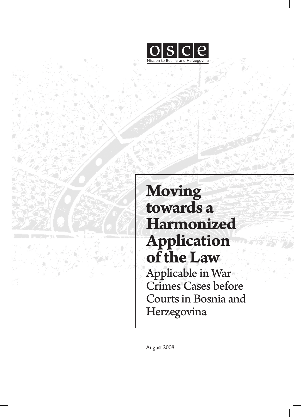

# **Moving towards a Harmonized Application of the Law**

Applicable in War Crimes Cases before Courts in Bosnia and Herzegovina

August 2008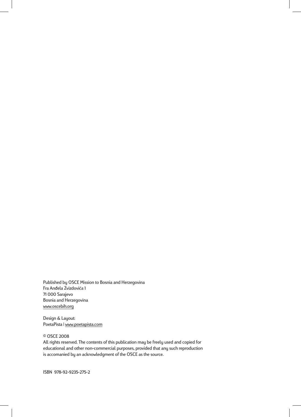Published by OSCE Mission to Bosnia and Herzegovina Fra Anđela Zvizdovića 1 71 000 Sarajevo Bosnia and Herzegovina www.oscebih.org

Design & Layout: PoetaPista | www.poetapista.com

© OSCE 2008

All rights reserved. The contents of this publication may be freely used and copied for educational and other non-commercial purposes, provided that any such reproduction is accomanied by an acknowledgment of the OSCE as the source.

ISBN 978-92-9235-275-2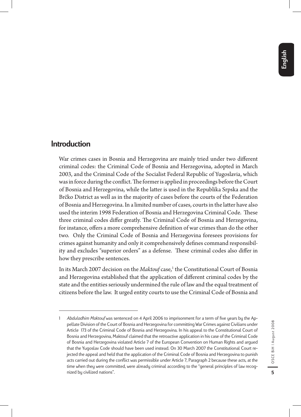#### Introduction

War crimes cases in Bosnia and Herzegovina are mainly tried under two different criminal codes: the Criminal Code of Bosnia and Herzegovina, adopted in March 2003, and the Criminal Code of the Socialist Federal Republic of Yugoslavia, which was in force during the conflict. The former is applied in proceedings before the Court of Bosnia and Herzegovina, while the latter is used in the Republika Srpska and the Brčko District as well as in the majority of cases before the courts of the Federation of Bosnia and Herzegovina.In a limited number of cases, courts in the latter have also used the interim 1998 Federation of Bosnia and Herzegovina Criminal Code. These three criminal codes differ greatly. The Criminal Code of Bosnia and Herzegovina, for instance, offers a more comprehensive definition of war crimes than do the other two. Only the Criminal Code of Bosnia and Herzegovina foresees provisions for crimes against humanity and only it comprehensively defines command responsibility and excludes "superior orders" as a defense. These criminal codes also differ in how they prescribe sentences.

In its March 2007 decision on the *Maktouf* case,<sup>1</sup> the Constitutional Court of Bosnia and Herzegovina established that the application of different criminal codes by the state and the entities seriously undermined the rule of law and the equal treatment of citizens before the law. It urged entity courts to use the Criminal Code of Bosnia and

<sup>1</sup> *Abduladhim Maktouf* was sentenced on 4 April 2006 to imprisonment for a term of five years by the Appellate Division of the Court of Bosnia and Herzegovina for committing War Crimes against Civilians under Article 173 of the Criminal Code of Bosnia and Herzegovina. In his appeal to the Constitutional Court of Bosnia and Herzegovina, Maktouf claimed that the retroactive application in his case of the Criminal Code of Bosnia and Herzegovina violated Article 7 of the European Convention on Human Rights and argued that the Yugoslav Code should have been used instead. On 30 March 2007 the Constitutional Court rejected the appeal and held that the application of the Criminal Code of Bosnia and Herzegovina to punish acts carried out during the conflict was permissible under Article 7, Paragraph 2 because these acts, at the time when they were committed, were already criminal according to the "general principles of law recognized by civilized nations".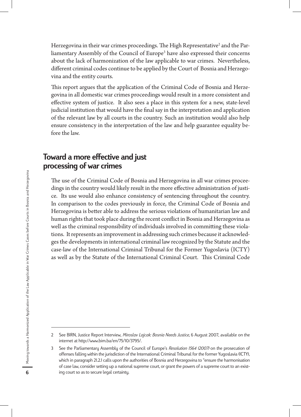Herzegovina in their war crimes proceedings. The High Representative<sup>2</sup> and the Parliamentary Assembly of the Council of Europe<sup>3</sup> have also expressed their concerns about the lack of harmonization of the law applicable to war crimes. Nevertheless, different criminal codes continue to be applied by the Court of Bosnia and Herzegovina and the entity courts.

This report argues that the application of the Criminal Code of Bosnia and Herzegovina in all domestic war crimes proceedings would result in a more consistent and effective system of justice. It also sees a place in this system for a new, state-level judicial institution that would have the final say in the interpretation and application of the relevant law by all courts in the country. Such an institution would also help ensure consistency in the interpretation of the law and help guarantee equality before the law.

#### Toward a more effective and just processing of war crimes

The use of the Criminal Code of Bosnia and Herzegovina in all war crimes proceedings in the country would likely result in the more effective administration of justice. Its use would also enhance consistency of sentencing throughout the country. In comparison to the codes previously in force, the Criminal Code of Bosnia and Herzegovina is better able to address the serious violations of humanitarian law and human rights that took place during the recent conflict in Bosnia and Herzegovina as well as the criminal responsibility of individuals involved in committing these violations. It represents an improvement in addressing such crimes because it acknowledges the developments in international criminal law recognized by the Statute and the case-law of the International Criminal Tribunal for the Former Yugoslavia (ICTY) as well as by the Statute of the International Criminal Court. This Criminal Code

<sup>2</sup> See BIRN, Justice Report Interview, *Miroslav Lajcak: Bosnia Needs Justice*, 6 August 2007, available on the internet at http://www.bim.ba/en/75/10/3795/.

<sup>3</sup> See the Parliamentary Assembly of the Council of Europe's *Resolution 1564 (2007)* on the prosecution of offenses falling within the jurisdiction of the International Criminal Tribunal for the former Yugoslavia (ICTY), which in paragraph 21.2.1 calls upon the authorities of Bosnia and Herzegovina to "ensure the harmonisation of case law, consider setting up a national supreme court, or grant the powers of a supreme court to an existing court so as to secure legal certainty.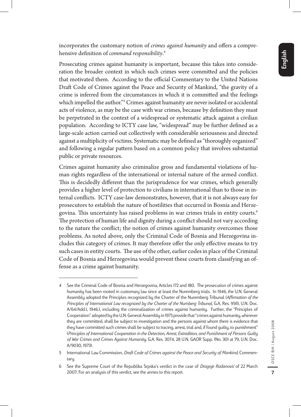incorporates the customary notion of *crimes against humanity* and offers a comprehensive definition of *command responsibility*. 4

Prosecuting crimes against humanity is important, because this takes into consideration the broader context in which such crimes were committed and the policies that motivated them. According to the official Commentary to the United Nations Draft Code of Crimes against the Peace and Security of Mankind, "the gravity of a crime is inferred from the circumstances in which it is committed and the feelings which impelled the author."<sup>5</sup> Crimes against humanity are never isolated or accidental acts of violence, as may be the case with war crimes, because by definition they must be perpetrated in the context of a widespread or systematic attack against a civilian population. According to ICTY case law, "widespread" may be further defined as a large-scale action carried out collectively with considerable seriousness and directed against a multiplicity of victims. Systematic may be defined as "thoroughly organized" and following a regular pattern based on a common policy that involves substantial public or private resources.

Crimes against humanity also criminalize gross and fundamental violations of human rights regardless of the international or internal nature of the armed conflict. This is decidedly different than the jurisprudence for war crimes, which generally provides a higher level of protection to civilians in international than to those in internal conflicts. ICTY case-law demonstrates, however, that it is not always easy for prosecutors to establish the nature of hostilities that occurred in Bosnia and Herzegovina. This uncertainty has raised problems in war crimes trials in entity courts.6 The protection of human life and dignity during a conflict should not vary according to the nature the conflict; the notion of crimes against humanity overcomes those problems. As noted above, only the Criminal Code of Bosnia and Herzegovina includes this category of crimes. It may therefore offer the only effective means to try such cases in entity courts. The use of the other, earlier codes in place of the Criminal Code of Bosnia and Herzegovina would prevent these courts from classifying an offense as a crime against humanity.

See the Criminal Code of Bosnia and Herzegovina, Articles 172 and 180. The prosecution of crimes against humanity has been rooted in customary law since at least the Nuremberg trials. In 1946, the U.N. General Assembly adopted the Principles recognized by the Charter of the Nuremberg Tribunal (*Affirmation of the Principles of International Law recognized by the Charter of the Nurnberg Tribunal,* G.A. Res. 95(I), U.N. Doc. A/64/Add.1, 1946.), including the criminalization of crimes against humanity. Further, the "Principles of Cooperation" adopted by the U.N. General Assembly in 1973 provide that "crimes against humanity, wherever they are committed, shall be subject to investigation and the persons against whom there is evidence that they have committed such crimes shall be subject to tracing, arrest, trial and, if found guilty, to punishment" (*Principles of International Cooperation in the Detection, Arrest, Extradition, and Punishment of Persons Guilty of War Crimes and Crimes Against Humanity,* G.A. Res. 3074, 28 U.N. GAOR Supp. (No. 30) at 79, U.N. Doc. A/9030, 1973).

<sup>5</sup> International Law Commission, *Draft Code of Crimes against the Peace and Security of Mankind*, Commentary.

<sup>6</sup> See the Supreme Court of the Republika Srpska's verdict in the case of *Dragoje Radanović* of 22 March 2007. For an analysis of this verdict, see the annex to this report.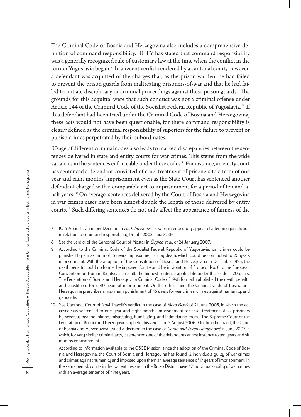The Criminal Code of Bosnia and Herzegovina also includes a comprehensive definition of command responsibility. ICTY has stated that command responsibility was a generally recognized rule of customary law at the time when the conflict in the former Yugoslavia began.7 In a recent verdict rendered by a cantonal court, however, a defendant was acquitted of the charges that, as the prison warden, he had failed to prevent the prison guards from maltreating prisoners-of-war and that he had failed to initiate disciplinary or criminal proceedings against these prison guards. The grounds for this acquittal were that such conduct was not a criminal offense under Article 144 of the Criminal Code of the Socialist Federal Republic of Yugoslavia. 8 If this defendant had been tried under the Criminal Code of Bosnia and Herzegovina, these acts would not have been questionable, for there command responsibility is clearly defined as the criminal responsibility of superiors for the failure to prevent or punish crimes perpetrated by their subordinates.

 Usage of different criminal codes also leads to marked discrepancies between the sentences delivered in state and entity courts for war crimes. This stems from the wide variances in the sentences enforceable under these codes.9 For instance, an entity court has sentenced a defendant convicted of cruel treatment of prisoners to a term of one year and eight months' imprisonment even as the State Court has sentenced another defendant charged with a comparable act to imprisonment for a period of ten-and-ahalf years.<sup>10</sup> On average, sentences delivered by the Court of Bosnia and Herzegovina in war crimes cases have been almost double the length of those delivered by entity courts.11 Such differing sentences do not only affect the appearance of fairness of the

8

<sup>7</sup> ICTY Appeals Chamber Decision in *Hadžihasanović et al* on interlocutory appeal challenging jurisdiction in relation to command responsibility*,* 16 July 2003, para.32-36.

<sup>8</sup> See the verdict of the Cantonal Court of Mostar in *Čupina et al.* of 24 January 2007.

<sup>9</sup> According to the Criminal Code of the Socialist Federal Republic of Yugoslavia, war crimes could be punished by a maximum of 15 years imprisonment or by death, which could be commuted to 20 years imprisonment. With the adoption of the Constitution of Bosnia and Herzegovina in December 1995, the death penalty could no longer be imposed, for it would be in violation of Protocol No. 6 to the European Convention on Human Rights; as a result, the highest sentence applicable under that code is 20 years. The Federation of Bosnia and Herzegovina Criminal Code of 1998 formally abolished the death penalty and substituted for it 40 years of imprisonment. On the other hand, the Criminal Code of Bosnia and Herzegovina prescribes a maximum punishment of 45 years for war crimes, crimes against humanity, and genocide.

<sup>10</sup> See Cantonal Court of Novi Travnik's verdict in the case of *Mato Đerek* of 21 June 2005, in which the accused was sentenced to one year and eight months imprisonment for cruel treatment of six prisoners by severely beating, hitting, mistreating, humiliating, and intimidating them. The Supreme Court of the Federation of Bosnia and Herzegovina upheld this verdict on 3 August 2006. On the other hand, the Court of Bosnia and Herzegovina issued a decision in the case of *Goran and Zoran Damjanović* in June 2007 in which, for very similar criminal acts, it sentenced one of the defendants at first instance to ten years and six months imprisonment.

<sup>11</sup> According to information available to the OSCE Mission, since the adoption of the Criminal Code of Bosnia and Herzegovina, the Court of Bosnia and Herzegovina has found 12 individuals guilty of war crimes and crimes against humanity and imposed upon them an average sentence of 17 years of imprisonment. In the same period, courts in the two entities and in the Brčko District have 47 individuals guilty of war crimes with an average sentence of nine years.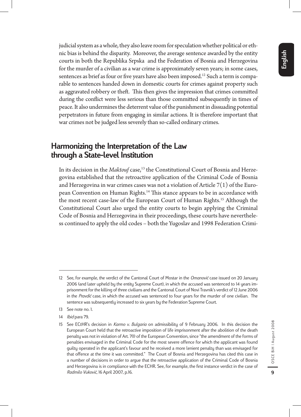judicial system as a whole, they also leave room for speculation whether political or ethnic bias is behind the disparity. Moreover, the average sentence awarded by the entity courts in both the Republika Srpska and the Federation of Bosnia and Herzegovina for the murder of a civilian as a war crime is approximately seven years; in some cases, sentences as brief as four or five years have also been imposed.<sup>12</sup> Such a term is comparable to sentences handed down in domestic courts for crimes against property such as aggravated robbery or theft. This then gives the impression that crimes committed during the conflict were less serious than those committed subsequently in times of peace. It also undermines the deterrent value of the punishment in dissuading potential perpetrators in future from engaging in similar actions. It is therefore important that war crimes not be judged less severely than so-called ordinary crimes.

### Harmonizing the Interpretation of the Law through a State-level Institution

In its decision in the *Maktouf* case,<sup>13</sup> the Constitutional Court of Bosnia and Herzegovina established that the retroactive application of the Criminal Code of Bosnia and Herzegovina in war crimes cases was not a violation of Article  $7(1)$  of the European Convention on Human Rights.14 This stance appears to be in accordance with the most recent case-law of the European Court of Human Rights.15 Although the Constitutional Court also urged the entity courts to begin applying the Criminal Code of Bosnia and Herzegovina in their proceedings, these courts have nevertheless continued to apply the old codes – both the Yugoslav and 1998 Federation Crimi-

<sup>12</sup> See, for example, the verdict of the Cantonal Court of Mostar in the *Omanović* case issued on 20 January 2006 (and later upheld by the entity Supreme Court), in which the accused was sentenced to 14 years imprisonment for the killing of three civilians and the Cantonal Court of Novi Travnik's verdict of 12 June 2006 in the *Pravdić* case, in which the accused was sentenced to four years for the murder of one civilian. The sentence was subsequently increased to six years by the Federation Supreme Court.

<sup>13</sup> See note no. 1.

<sup>14</sup> *Ibid* para 79.

<sup>15</sup> See ECtHR's decision in *Karmo v. Bulgaria* on admissibility of 9 February 2006. In this decision the European Court held that the retroactive imposition of life imprisonment after the abolition of the death penalty was not in violation of Art. 7(1) of the European Convention, since "the amendment of the forms of penalties envisaged in the Criminal Code for the most severe offence for which the applicant was found guilty operated in the applicant's favour and he received a more lenient penalty than was envisaged for that offence at the time it was committed." The Court of Bosnia and Herzegovina has cited this case in a number of decisions in order to argue that the retroactive application of the Criminal Code of Bosnia and Herzegovina is in compliance with the ECHR. See, for example, the first instance verdict in the case of *Radmilo Vuković*, 16 April 2007, p.16.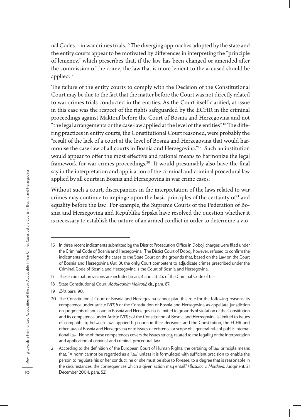nal Codes -- in war crimes trials.<sup>16</sup> The diverging approaches adopted by the state and the entity courts appear to be motivated by differences in interpreting the "principle of leniency," which prescribes that, if the law has been changed or amended after the commission of the crime, the law that is more lenient to the accused should be applied.<sup>17</sup>

The failure of the entity courts to comply with the Decision of the Constitutional Court may be due to the fact that the matter before the Court was not directly related to war crimes trials conducted in the entities. As the Court itself clarified, at issue in this case was the respect of the rights safeguarded by the ECHR in the criminal proceedings against Maktouf before the Court of Bosnia and Herzegovina and not "the legal arrangements or the case-law applied at the level of the entities".18 The differing practices in entity courts, the Constitutional Court reasoned, were probably the "result of the lack of a court at the level of Bosnia and Herzegovina that would harmonise the case-law of all courts in Bosnia and Herzegovina."19 Such an institution would appear to offer the most effective and rational means to harmonize the legal framework for war crimes proceedings.<sup>20</sup> It would presumably also have the final say in the interpretation and application of the criminal and criminal procedural law applied by all courts in Bosnia and Herzegovina in war crime cases.

Without such a court, discrepancies in the interpretation of the laws related to war crimes may continue to impinge upon the basic principles of the certainty of $21$  and equality before the law. For example, the Supreme Courts of the Federation of Bosnia and Herzegovina and Republika Srpska have resolved the question whether it is necessary to establish the nature of an armed conflict in order to determine a vio-

<sup>16</sup> In three recent indictments submitted by the District Prosecution Office in Doboj, charges were filed under the Criminal Code of Bosnia and Herzegovina. The Distict Court of Doboj, however, refused to confirm the indictments and referred the cases to the State Court on the grounds that, based on the Law on the Court of Bosnia and Herzegovina (Art.13), the only Court competent to adjudicate crimes prescribed under the Criminal Code of Bosnia and Herzegovina is the Court of Bosnia and Herzegovina.

<sup>17</sup> These criminal provisions are included in art. 4 and art. 4*a* of the Criminal Code of BiH.

<sup>18</sup> State Constitutional Court, *Abduladhim Maktouf*, cit., para. 87.

<sup>19</sup> *Ibid.* para. 90.

<sup>20</sup> The Constitutional Court of Bosnia and Herzegovina cannot play this role for the following reasons: its competence under article IV(3)*b* of the Constitution of Bosnia and Herzegovina as appellate jurisdiction on judgments of any court in Bosnia and Herzegovina is limited to grounds of violation of the Constitution and its competence under Article IV(3)*c* of the Constitution of Bosnia and Herzegovina is limited to issues of compatibility between laws applied by courts in their decisions and the Constitution, the ECHR and other laws of Bosnia and Herzegovina or to issues of existence or scope of a general rule of public international law. None of these competences covers the issues strictly related to the legality of the interpretation and application of criminal and criminal procedural law.

<sup>21</sup> According to the definition of the European Court of Human Rights, the certainty of law principle means that: "A norm cannot be regarded as a 'law' unless it is formulated with sufficient precision to enable the person to regulate his or her conduct: he or she must be able to foresee, to a degree that is reasonable in the circumstances, the consequences which a given action may entail" (*Busuioc v. Moldova*, Judgment, 21 December 2004, para. 52).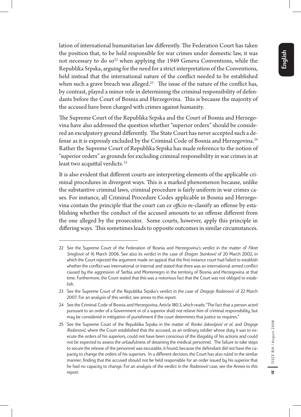lation of international humanitarian law differently. The Federation Court has taken the position that, to be held responsible for war crimes under domestic law, it was not necessary to do so<sup>22</sup> when applying the 1949 Geneva Conventions, while the Republika Srpska, arguing for the need for a strict interpretation of the Conventions, held instead that the international nature of the conflict needed to be established when such a grave breach was alleged.<sup>23</sup> The issue of the nature of the conflict has, by contrast, played a minor role in determining the criminal responsibility of defendants before the Court of Bosnia and Herzegovina. This is because the majority of the accused have been charged with crimes against humanity.

The Supreme Court of the Republika Srpska and the Court of Bosnia and Herzegovina have also addressed the question whether "superior orders" should be considered an exculpatory ground differently. The State Court has never accepted such a defense as it is expressly excluded by the Criminal Code of Bosnia and Herzegovina.24 Rather the Supreme Court of Republika Srpska has made reference to the notion of "superior orders" as grounds for excluding criminal responsibility in war crimes in at least two acquittal verdicts.<sup>25</sup>

It is also evident that different courts are interpreting elements of the applicable criminal procedures in divergent ways. This is a marked phenomenon because, unlike the substantive criminal laws, criminal procedure is fairly uniform in war crimes cases. For instance, all Criminal Procedure Codes applicable in Bosnia and Herzegovina contain the principle that the court can *ex officio* re-classify an offense by establishing whether the conduct of the accused amounts to an offense different from the one alleged by the prosecutor. Some courts, however, apply this principle in differing ways. This sometimes leads to opposite outcomes in similar circumstances.

<sup>22</sup> See the Supreme Court of the Federation of Bosnia and Herzegovina's verdict in the matter of *Fikret Smajlović* of 16 March 2006. See also its verdict in the case of *Dragan Stanković* of 20 March 2002, in which the Court rejected the argument made on appeal that the first instance court had failed to establish whether the conflict was international or internal and stated that there was an international armed conflict caused by the aggression of Serbia and Montenegro in the territory of Bosnia and Herzegovina at that time. Furthermore, the Court stated that this was a notorious fact that the Court was not obliged to establish.

<sup>23</sup> See the Supreme Court of the Republika Srpska's verdict in the case of *Dragoje Radanović* of 22 March 2007. For an analysis of this verdict, see annex to this report.

<sup>24</sup> See the Criminal Code of Bosnia and Herzegovina, Article 180.3, which reads: "The fact that a person acted pursuant to an order of a Government or of a superior shall not relieve him of criminal responsibility, but may be considered in mitigation of punishment if the court determines that justice so requires."

<sup>25</sup> See the Supreme Court of the Republika Srpska in the matter of *Ranko Jakovljević et al.* and *Dragoje Radanović,* where the Court established that the accused, as an ordinary soldier whose duty it was to execute the orders of his superiors, could not have been conscious of the illegality of his actions and could not be expected to assess the unlawfulness of detaining the medical personnel. The failure to take steps to secure the release of the personnel was excusable, it found, because the defendant did not have the capacity to change the orders of his superiors. In a different decision, the Court has also ruled in the similar manner, finding that the accused should not be held responsible for an order issued by his superior that he had no capacity to change. For an analysis of the verdict in the *Radanović* case, see the Annex to this report.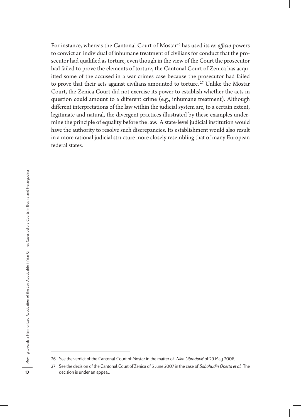For instance, whereas the Cantonal Court of Mostar<sup>26</sup> has used its *ex officio* powers to convict an individual of inhumane treatment of civilians for conduct that the prosecutor had qualified as torture, even though in the view of the Court the prosecutor had failed to prove the elements of torture, the Cantonal Court of Zenica has acquitted some of the accused in a war crimes case because the prosecutor had failed to prove that their acts against civilians amounted to torture.<sup>27</sup> Unlike the Mostar Court, the Zenica Court did not exercise its power to establish whether the acts in question could amount to a different crime (e.g., inhumane treatment). Although different interpretations of the law within the judicial system are, to a certain extent, legitimate and natural, the divergent practices illustrated by these examples undermine the principle of equality before the law. A state-level judicial institution would have the authority to resolve such discrepancies. Its establishment would also result in a more rational judicial structure more closely resembling that of many European federal states.

12

<sup>26</sup> See the verdict of the Cantonal Court of Mostar in the matter of *Niko Obradović* of 29 May 2006.

<sup>27</sup> See the decision of the Cantonal Court of Zenica of 5 June 2007 in the case of *Sabahudin Operta et al*. The decision is under an appeal.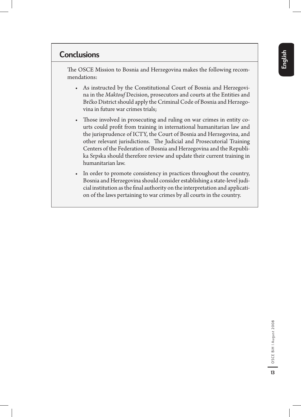## **Conclusions**

The OSCE Mission to Bosnia and Herzegovina makes the following recommendations:

- As instructed by the Constitutional Court of Bosnia and Herzegovina in the *Maktouf* Decision, prosecutors and courts at the Entities and Brčko District should apply the Criminal Code of Bosnia and Herzegovina in future war crimes trials;
- Those involved in prosecuting and ruling on war crimes in entity courts could profit from training in international humanitarian law and the jurisprudence of ICTY, the Court of Bosnia and Herzegovina, and other relevant jurisdictions. The Judicial and Prosecutorial Training Centers of the Federation of Bosnia and Herzegovina and the Republika Srpska should therefore review and update their current training in humanitarian law.
- In order to promote consistency in practices throughout the country, Bosnia and Herzegovina should consider establishing a state-level judicial institution as the final authority on the interpretation and application of the laws pertaining to war crimes by all courts in the country.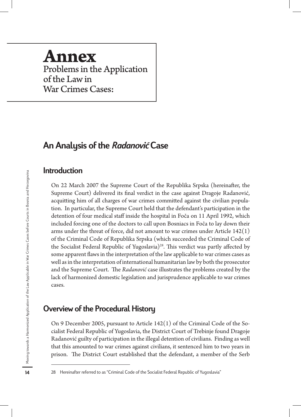## **Annex**

Problems in the Application of the Law in War Crimes Cases:

### An Analysis of the *Radanović* Case

#### Introduction

On 22 March 2007 the Supreme Court of the Republika Srpska (hereinafter, the Supreme Court) delivered its final verdict in the case against Dragoje Radanović, acquitting him of all charges of war crimes committed against the civilian population. In particular, the Supreme Court held that the defendant's participation in the detention of four medical staff inside the hospital in Foča on 11 April 1992, which included forcing one of the doctors to call upon Bosniacs in Foča to lay down their arms under the threat of force, did not amount to war crimes under Article  $142(1)$ of the Criminal Code of Republika Srpska (which succeeded the Criminal Code of the Socialist Federal Republic of Yugoslavia)<sup>28</sup>. This verdict was partly affected by some apparent flaws in the interpretation of the law applicable to war crimes cases as well as in the interpretation of international humanitarian law by both the prosecutor and the Supreme Court. The *Radanović* case illustrates the problems created by the lack of harmonized domestic legislation and jurisprudence applicable to war crimes cases.

#### Overview of the Procedural History

On 9 December 2005, pursuant to Article 142(1) of the Criminal Code of the Socialist Federal Republic of Yugoslavia, the District Court of Trebinje found Dragoje Radanović guilty of participation in the illegal detention of civilians. Finding as well that this amounted to war crimes against civilians, it sentenced him to two years in prison. The District Court established that the defendant, a member of the Serb

<sup>28</sup> Hereinafter referred to as "Criminal Code of the Socialist Federal Republic of Yugoslavia"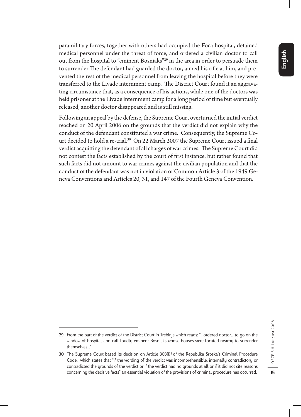paramilitary forces, together with others had occupied the Foča hospital, detained medical personnel under the threat of force, and ordered a civilian doctor to call out from the hospital to "eminent Bosniaks"29 in the area in order to persuade them to surrender The defendant had guarded the doctor, aimed his rifle at him, and prevented the rest of the medical personnel from leaving the hospital before they were transferred to the Livade internment camp. The District Court found it an aggravating circumstance that, as a consequence of his actions, while one of the doctors was held prisoner at the Livade internment camp for a long period of time but eventually released, another doctor disappeared and is still missing.

Following an appeal by the defense, the Supreme Court overturned the initial verdict reached on 20 April 2006 on the grounds that the verdict did not explain why the conduct of the defendant constituted a war crime. Consequently, the Supreme Court decided to hold a re-trial.<sup>30</sup> On 22 March 2007 the Supreme Court issued a final verdict acquitting the defendant of all charges of war crimes. The Supreme Court did not contest the facts established by the court of first instance, but rather found that such facts did not amount to war crimes against the civilian population and that the conduct of the defendant was not in violation of Common Article 3 of the 1949 Geneva Conventions and Articles 20, 31, and 147 of the Fourth Geneva Convention.

<sup>29</sup> From the part of the verdict of the District Court in Trebinje which reads: "…ordered doctor… to go on the window of hospital and call loudly eminent Bosniaks whose houses were located nearby to surrender themselves…"

<sup>30</sup> The Supreme Court based its decision on Article 303(1)*i* of the Republika Srpska's Criminal Procedure Code, which states that "if the wording of the verdict was incomprehensible, internally contradictory or contradicted the grounds of the verdict or if the verdict had no grounds at all or if it did not cite reasons concerning the decisive facts" an essential violation of the provisions of criminal procedure has occurred.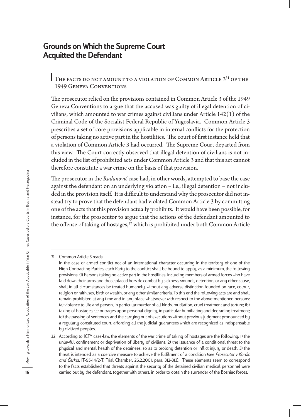#### Grounds on Which the Supreme Court Acquitted the Defendant

THE FACTS DO NOT AMOUNT TO A VIOLATION OF COMMON ARTICLE 3<sup>31</sup> OF THE 1949 Geneva Conventions

The prosecutor relied on the provisions contained in Common Article 3 of the 1949 Geneva Conventions to argue that the accused was guilty of illegal detention of civilians, which amounted to war crimes against civilians under Article 142(1) of the Criminal Code of the Socialist Federal Republic of Yugoslavia. Common Article 3 prescribes a set of core provisions applicable in internal conflicts for the protection of persons taking no active part in the hostilities. The court of first instance held that a violation of Common Article 3 had occurred. The Supreme Court departed from this view. The Court correctly observed that illegal detention of civilians is not included in the list of prohibited acts under Common Article 3 and that this act cannot therefore constitute a war crime on the basis of that provision.

The prosecutor in the *Radanović* case had, in other words, attempted to base the case against the defendant on an underlying violation – i.e., illegal detention – not included in the provision itself. It is difficult to understand why the prosecutor did not instead try to prove that the defendant had violated Common Article 3 by committing one of the acts that this provision actually prohibits. It would have been possible, for instance, for the prosecutor to argue that the actions of the defendant amounted to the offense of taking of hostages,<sup>32</sup> which is prohibited under both Common Article

<sup>31</sup> Common Article 3 reads:

In the case of armed conflict not of an international character occurring in the territory of one of the High Contracting Parties, each Party to the conflict shall be bound to apply, as a minimum, the following provisions: (1) Persons taking no active part in the hostilities, including members of armed forces who have laid down their arms and those placed hors de combat by sickness, wounds, detention, or any other cause, shall in all circumstances be treated humanely, without any adverse distinction founded on race, colour, religion or faith, sex, birth or wealth, or any other similar criteria. To this end the following acts are and shall remain prohibited at any time and in any place whatsoever with respect to the above-mentioned persons: (a) violence to life and person, in particular murder of all kinds, mutilation, cruel treatment and torture; (b) taking of hostages; (c) outrages upon personal dignity, in particular humiliating and degrading treatment; (d) the passing of sentences and the carrying out of executions without previous judgment pronounced by a regularly constituted court, affording all the judicial guarantees which are recognized as indispensable by civilized peoples.

<sup>32</sup> According to ICTY case-law, the elements of the war crime of taking of hostages are the following: 1) the unlawful confinement or deprivation of liberty of civilians; 2) the issuance of a conditional threat to the physical and mental health of the detainees, so as to prolong detention or inflict injury or death; 3) the threat is intended as a coercive measure to achieve the fulfilment of a condition (see *Prosecutor v Kordić and Čerkez*, IT-95-14/2-T, Trial Chamber, 26.2.2001, para. 312-313). These elements seem to correspond to the facts established that threats against the security of the detained civilian medical personnel were carried out by the defendant, together with others, in order to obtain the surrender of the Bosniac forces.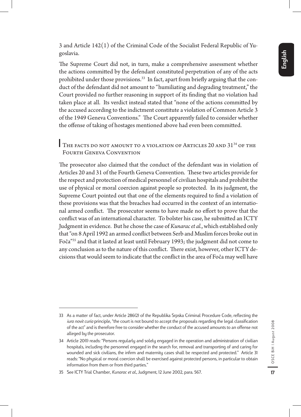3 and Article 142(1) of the Criminal Code of the Socialist Federal Republic of Yugoslavia.

The Supreme Court did not, in turn, make a comprehensive assessment whether the actions committed by the defendant constituted perpetration of any of the acts prohibited under those provisions.<sup>33</sup> In fact, apart from briefly arguing that the conduct of the defendant did not amount to "humiliating and degrading treatment," the Court provided no further reasoning in support of its finding that no violation had taken place at all. Its verdict instead stated that "none of the actions committed by the accused according to the indictment constitute a violation of Common Article 3 of the 1949 Geneva Conventions." The Court apparently failed to consider whether the offense of taking of hostages mentioned above had even been committed.

#### THE FACTS DO NOT AMOUNT TO A VIOLATION OF ARTICLES 20 AND 31<sup>34</sup> OF THE Fourth Geneva Convention

The prosecutor also claimed that the conduct of the defendant was in violation of Articles 20 and 31 of the Fourth Geneva Convention. These two articles provide for the respect and protection of medical personnel of civilian hospitals and prohibit the use of physical or moral coercion against people so protected. In its judgment, the Supreme Court pointed out that one of the elements required to find a violation of these provisions was that the breaches had occurred in the context of an international armed conflict. The prosecutor seems to have made no effort to prove that the conflict was of an international character. To bolster his case, he submitted an ICTY Judgment in evidence. But he chose the case of *Kunarac et al.*, which established only that "on 8 April 1992 an armed conflict between Serb and Muslim forces broke out in Foča"35 and that it lasted at least until February 1993; the judgment did not come to any conclusion as to the nature of this conflict. There exist, however, other ICTY decisions that would seem to indicate that the conflict in the area of Foča may well have

<sup>33</sup> As a matter of fact, under Article 286(2) of the Republika Srpska Criminal Procedure Code, reflecting the *iura novit curia* principle, "the court is not bound to accept the proposals regarding the legal classification of the act" and is therefore free to consider whether the conduct of the accused amounts to an offense not alleged by the prosecutor.

<sup>34</sup> Article 20(1) reads: "Persons regularly and solely engaged in the operation and administration of civilian hospitals, including the personnel engaged in the search for, removal and transporting of and caring for wounded and sick civilians, the infirm and maternity cases shall be respected and protected." Article 31 reads: "No physical or moral coercion shall be exercised against protected persons, in particular to obtain information from them or from third parties."

<sup>35</sup> See ICTY Trial Chamber, *Kunarac et al.*, Judgment, 12 June 2002, para. 567.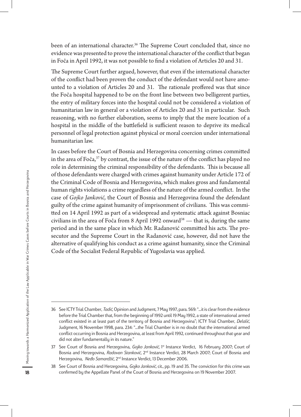been of an international character.<sup>36</sup> The Supreme Court concluded that, since no evidence was presented to prove the international character of the conflict that began in Foča in April 1992, it was not possible to find a violation of Articles 20 and 31.

The Supreme Court further argued, however, that even if the international character of the conflict had been proven the conduct of the defendant would not have amounted to a violation of Articles 20 and 31. The rationale proffered was that since the Foča hospital happened to be on the front line between two belligerent parties, the entry of military forces into the hospital could not be considered a violation of humanitarian law in general or a violation of Articles 20 and 31 in particular. Such reasoning, with no further elaboration, seems to imply that the mere location of a hospital in the middle of the battlefield is sufficient reason to deprive its medical personnel of legal protection against physical or moral coercion under international humanitarian law.

In cases before the Court of Bosnia and Herzegovina concerning crimes committed in the area of Foča, $37$  by contrast, the issue of the nature of the conflict has played no role in determining the criminal responsibility of the defendants. This is because all of those defendants were charged with crimes against humanity under Article 172 of the Criminal Code of Bosnia and Herzegovina, which makes gross and fundamental human rights violations a crime regardless of the nature of the armed conflict. In the case of *Gojko Janković*, the Court of Bosnia and Herzegovina found the defendant guilty of the crime against humanity of imprisonment of civilians. This was committed on 14 April 1992 as part of a widespread and systematic attack against Bosniac civilians in the area of Foča from 8 April 1992 onward<sup>38</sup> — that is, during the same period and in the same place in which Mr. Radanović committed his acts. The prosecutor and the Supreme Court in the Radanović case, however, did not have the alternative of qualifying his conduct as a crime against humanity, since the Criminal Code of the Socialist Federal Republic of Yugoslavia was applied.

<sup>36</sup> See ICTY Trial Chamber, *Tadić*, Opinion and Judgment, 7 May 1997, para. 569: "…it is clear from the evidence before the Trial Chamber that, from the beginning of 1992 until 19 May 1992, a state of international armed conflict existed in at least part of the territory of Bosnia and Herzegovina"; ICTY Trial Chamber, *Delalić*, Judgment, 16 November 1998, para. 234: "…the Trial Chamber is in no doubt that the international armed conflict occurring in Bosnia and Herzegovina, at least from April 1992, continued throughout that year and did not alter fundamentally in its nature."

<sup>37</sup> See Court of Bosnia and Herzegovina, Gojko Janković, 1<sup>st</sup> Instance Verdict, 16 February 2007; Court of Bosnia and Herzegovina, *Radovan Stanković*, 2nd Instance Verdict, 28 March 2007; Court of Bosnia and Herzegovina, *Neđo Samardžić*, 2<sup>nd</sup> Instance Verdict, 13 December 2006.

<sup>38</sup> See Court of Bosnia and Herzegovina, *Gojko Janković*, cit., pp. 19 and 35. The conviction for this crime was confirmed by the Appellate Panel of the Court of Bosnia and Herzegovina on 19 November 2007.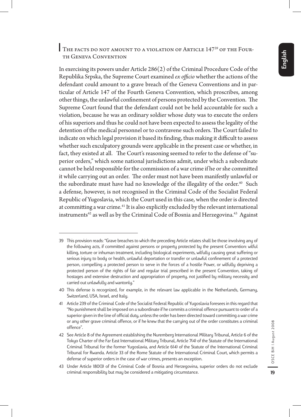#### THE FACTS DO NOT AMOUNT TO A VIOLATION OF ARTICLE 147<sup>39</sup> OF THE FOURth Geneva Convention

In exercising its powers under Article 286(2) of the Criminal Procedure Code of the Republika Srpska, the Supreme Court examined *ex officio* whether the actions of the defendant could amount to a grave breach of the Geneva Conventions and in particular of Article 147 of the Fourth Geneva Convention, which proscribes, among other things, the unlawful confinement of persons protected by the Convention. The Supreme Court found that the defendant could not be held accountable for such a violation, because he was an ordinary soldier whose duty was to execute the orders of his superiors and thus he could not have been expected to assess the legality of the detention of the medical personnel or to contravene such orders. The Court failed to indicate on which legal provision it based its finding, thus making it difficult to assess whether such exculpatory grounds were applicable in the present case or whether, in fact, they existed at all. The Court's reasoning seemed to refer to the defense of "superior orders," which some national jurisdictions admit, under which a subordinate cannot be held responsible for the commission of a war crime if he or she committed it while carrying out an order. The order must not have been manifestly unlawful or the subordinate must have had no knowledge of the illegality of the order.<sup>40</sup> Such a defense, however, is not recognised in the Criminal Code of the Socialist Federal Republic of Yugoslavia, which the Court used in this case, when the order is directed at committing a war crime.<sup>41</sup> It is also explicitly excluded by the relevant international instruments<sup>42</sup> as well as by the Criminal Code of Bosnia and Herzegovina.<sup>43</sup> Against

<sup>39</sup> This provision reads: "Grave breaches to which the preceding Article relates shall be those involving any of the following acts, if committed against persons or property protected by the present Convention: wilful killing, torture or inhuman treatment, including biological experiments, wilfully causing great suffering or serious injury to body or health, unlawful deportation or transfer or unlawful confinement of a protected person, compelling a protected person to serve in the forces of a hostile Power, or wilfully depriving a protected person of the rights of fair and regular trial prescribed in the present Convention, taking of hostages and extensive destruction and appropriation of property, not justified by military necessity and carried out unlawfully and wantonly."

<sup>40</sup> This defense is recognized, for example, in the relevant law applicable in the Netherlands, Germany, Switzerland, USA, Israel, and Italy.

<sup>41</sup> Article 239 of the Criminal Code of the Socialist Federal Republic of Yugoslavia foresees in this regard that "No punishment shall be imposed on a subordinate if he commits a criminal offence pursuant to order of a superior given in the line of official duty, unless the order has been directed toward committing a war crime or any other grave criminal offence, or if he knew that the carrying out of the order constitutes a criminal offence".

<sup>42</sup> See Article 8 of the Agreement establishing the Nuremberg International Military Tribunal, Article 6 of the Tokyo Charter of the Far East International Military Tribunal, Article 7(4) of the Statute of the International Criminal Tribunal for the former Yugoslavia, and Article 6(4) of the Statute of the International Criminal Tribunal for Rwanda. Article 33 of the Rome Statute of the International Criminal Court, which permits a defense of superior orders in the case of war crimes, presents an exception.

<sup>43</sup> Under Article 180(3) of the Criminal Code of Bosnia and Herzegovina, superior orders do not exclude criminal responsibility but may be considered a mitigating circumstance.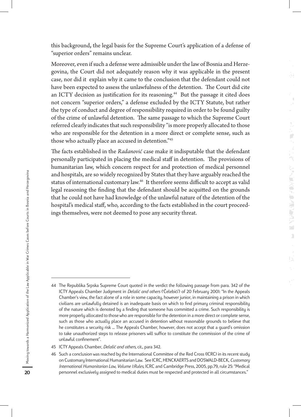this background**,** the legal basis for the Supreme Court's application of a defense of "superior orders" remains unclear.

فت

š

ガンボヘスについて シア島の高で海辺地域の場

a.

ļχ.

Moreover, even if such a defense were admissible under the law of Bosnia and Herzegovina, the Court did not adequately reason why it was applicable in the present case, nor did it explain why it came to the conclusion that the defendant could not have been expected to assess the unlawfulness of the detention. The Court did cite an ICTY decision as justification for its reasoning.<sup>44</sup> But the passage it cited does not concern "superior orders," a defense excluded by the ICTY Statute, but rather the type of conduct and degree of responsibility required in order to be found guilty of the crime of unlawful detention. The same passage to which the Supreme Court referred clearly indicates that such responsibility "is more properly allocated to those who are responsible for the detention in a more direct or complete sense, such as those who actually place an accused in detention."45

The facts established in the *Radanović* case make it indisputable that the defendant personally participated in placing the medical staff in detention. The provisions of humanitarian law, which concern respect for and protection of medical personnel and hospitals, are so widely recognized by States that they have arguably reached the status of international customary law.<sup>46</sup> It therefore seems difficult to accept as valid legal reasoning the finding that the defendant should be acquitted on the grounds that he could not have had knowledge of the unlawful nature of the detention of the hospital's medical staff, who, according to the facts established in the court proceedings themselves, were not deemed to pose any security threat.

<sup>44</sup> The Republika Srpska Supreme Court quoted in the verdict the following passage from para. 342 of the ICTY Appeals Chamber Judgment in *Delalić and others* ('Čelebići') of 20 February 2001: "In the Appeals Chamber's view, the fact alone of a role in some capacity, however junior, in maintaining a prison in which civilians are unlawfully detained is an inadequate basis on which to find primary criminal responsibility of the nature which is denoted by a finding that someone has committed a crime. Such responsibility is more properly allocated to those who are responsible for the detention in a more direct or complete sense, such as those who actually place an accused in detention without reasonable grounds to believe that he constitutes a security risk … The Appeals Chamber, however, does not accept that a guard's omission to take unauthorized steps to release prisoners will suffice to constitute the commission of the crime of unlawful confinement".

<sup>45</sup> ICTY Appeals Chamber, *Delalić and others,* cit., para 342.

<sup>46</sup> Such a conclusion was reached by the International Committee of the Red Cross (ICRC) in its recent study on Customary International Humanitarian Law. See ICRC, HENCKAERTS and DOSWALD-BECK, *Customary International Humanitarian Law, Volume 1:Rules*, ICRC and Cambridge Press, 2005, pp.79, rule 25: "Medical personnel exclusively assigned to medical duties must be respected and protected in all circumstances."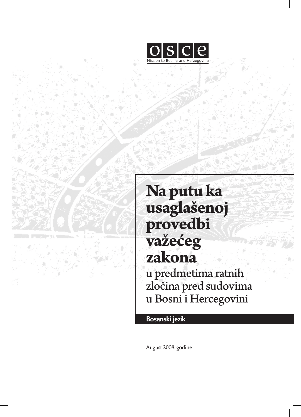

## **Na putu ka usaglašenoj provedbi važećeg zakona**

u predmetima ratnih zločina pred sudovima u Bosni i Hercegovini

Bosanski jezik

August 2008. godine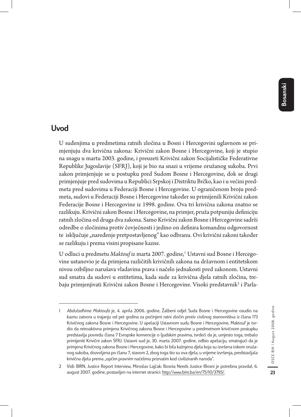#### Uvod

U suđenjima u predmetima ratnih zločina u Bosni i Hercegovini uglavnom se primjenjuju dva krivična zakona: Krivični zakon Bosne i Hercegovine, koji je stupio na snagu u martu 2003. godine, i preuzeti Krivični zakon Socijalističke Federativne Republike Jugoslavije (SFRJ), koji je bio na snazi u vrijeme oružanog sukoba. Prvi zakon primjenjuje se u postupku pred Sudom Bosne i Hercegovine, dok se drugi primjenjuje pred sudovima u Republici Srpskoj i Distriktu Brčko, kao i u većini predmeta pred sudovima u Federaciji Bosne i Hercegovine. U ograničenom broju predmeta, sudovi u Federaciji Bosne i Hercegovine također su primijenili Krivični zakon Federacije Bosne i Hercegovine iz 1998. godine. Ova tri krivična zakona znatno se razlikuju. Krivični zakon Bosne i Hercegovine, na primjer, pruža potpuniju definiciju ratnih zločina od druga dva zakona. Samo Krivični zakon Bosne i Hercegovine sadrži odredbe o zločinima protiv čovječnosti i jedino on definira komandnu odgovornost te isključuje "naređenje pretpostavljenog" kao odbranu. Ovi krivični zakoni također se razlikuju i prema visini propisane kazne.

U odluci u predmetu *Maktouf* iz marta 2007. godine,<sup>1</sup> Ustavni sud Bosne i Hercegovine ustanovio je da primjena različitih krivičnih zakona na državnom i entitetskom nivou ozbiljno narušava vladavinu prava i načelo jednakosti pred zakonom. Ustavni sud smatra da sudovi u entitetima, kada sude za krivična djela ratnih zločina, trebaju primjenjivati Krivični zakon Bosne i Hercegovine. Visoki predstavnik $^2$  i Parla-

<sup>1</sup> *Abduladhima Maktoufa* je, 4. aprila 2006. godine, Žalbeni odjel Suda Bosne i Hercegovine osudio na kaznu zatvora u trajanju od pet godina za počinjeni ratni zločin protiv civilnog stanovništva iz člana 173 Krivičnog zakona Bosne i Hercegovine. U apelaciji Ustavnom sudu Bosne i Hercegovine, Maktouf je tvrdio da retroaktivna primjena Krivičnog zakona Bosne i Hercegovine u predmetnom krivičnom postupku predstavlja povredu člana 7 Evropske konvencije o ljudskim pravima, tvrdeći da je, umjesto toga, trebalo primijeniti Krivični zakon SFRJ. Ustavni sud je, 30. marta 2007. godine, odbio apelaciju, smatrajući da je primjena Krivičnog zakona Bosne i Hercegovine, kako bi bila kažnjena djela koja su izvršena tokom oružanog sukoba, dozvoljena po članu 7, stavom 2, zbog toga što su ova djela, u vrijeme izvršenja, predstavljala krivična djela prema "općim pravnim načelima priznatim kod civiliziranih naroda".

<sup>2</sup> Vidi: BIRN, Justice Report Interview, Miroslav Lajčak: Bosnia Needs Justice (Bosni je potrebna pravda), 6. august 2007. godine, postavljen na internet stranici: http://www.bim.ba/en/75/10/3795/.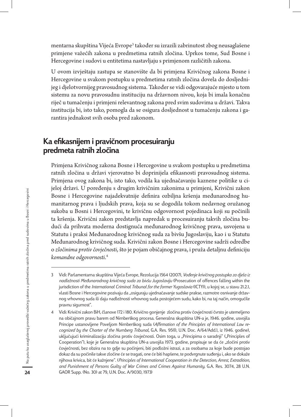mentarna skupština Vijeća Evrope<sup>3</sup> također su izrazili zabrinutost zbog neusaglašene primjene važećih zakona u predmetima ratnih zločina. Uprkos tome, Sud Bosne i Hercegovine i sudovi u entitetima nastavljaju s primjenom različitih zakona.

U ovom izvještaju zastupa se stanovište da bi primjena Krivičnog zakona Bosne i Hercegovine u svakom postupku u predmetima ratnih zločina dovela do dosljednijeg i djelotvornijeg pravosudnog sistema. Također se vidi odgovarajuće mjesto u tom sistemu za novu pravosudnu instituciju na državnom nivou, koja bi imala konačnu riječ u tumačenju i primjeni relevantnog zakona pred svim sudovima u državi. Takva institucija bi, isto tako, pomogla da se osigura dosljednost u tumačenju zakona i garantira jednakost svih osoba pred zakonom.

### Ka efikasnijem i pravičnom procesuiranju predmeta ratnih zločina

Primjena Krivičnog zakona Bosne i Hercegovine u svakom postupku u predmetima ratnih zločina u državi vjerovatno bi doprinijela efikasnosti pravosudnog sistema. Primjena ovog zakona bi, isto tako, vodila ka ujednačavanju kaznene politike u cijeloj državi. U poređenju s drugim krivičnim zakonima u primjeni, Krivični zakon Bosne i Hercegovine najadekvatnije definira ozbiljna kršenja međunarodnog humanitarnog prava i ljudskih prava, koja su se dogodila tokom nedavnog oružanog sukoba u Bosni i Hercegovini, te krivičnu odgovornost pojedinaca koji su počinili ta kršenja. Krivični zakon predstavlja napredak u procesuiranju takvih zločina budući da prihvata moderna dostignuća međunarodnog krivičnog prava, usvojena u Statutu i praksi Međunarodnog krivičnog suda za bivšu Jugoslaviju, kao i u Statutu Međunarodnog krivičnog suda. Krivični zakon Bosne i Hercegovine sadrži odredbe o *zločinima protiv čovječnosti*, što je pojam običajnog prava, i pruža detaljnu definiciju *komandne odgovornosti*. 4

24

<sup>3</sup> Vidi: Parlamentarna skupština Vijeća Evrope, Rezolucija 1564 (2007), *Vođenje krivičnog postupka za djela iz nadležnosti Međunarodnog krivičnog suda za bivšu Jugoslaviju* (Prosecution of offences falling within the jurisdiction of the *International Criminal Tribunal for the former Yugoslavia* (ICTY)), u kojoj se, u stavu 21.2.1, vlasti Bosne i Hercegovine pozivaju da "osiguraju ujednačavanje sudske prakse, razmotre osnivanje državnog vrhovnog suda ili daju nadležnosti vrhovnog suda postojećem sudu, kako bi, na taj način, omogućile pravnu sigurnost".

<sup>4</sup> Vidi: Krivični zakon BiH, članove 172 i 180. Krivično gonjenje zločina protiv čovječnosti čvrsto je utemeljeno na običajnom pravu barem od Nirnberškog procesa. Generalna skupština UN-a je, 1946. godine, usvojila Principe ustanovljene Poveljom Nirnberškog suda (*Affirmation of the Principles of International Law recognized by the Charter of the Nurnberg Tribunal,* G.A. Res. 95(I), U.N. Doc. A/64/Add.1, iz 1946. godine), uključujući kriminalizaciju zločina protiv čovječnosti. Osim toga, u "Principima o saradnji" ("Principles of Cooperation"), koje je Generalna skupština UN-a usvojila 1973. godine, propisuje se da će "zločini protiv čovječnosti, bez obzira na to gdje su počinjeni, biti podložni istrazi, a za osobama za koje bude postojao dokaz da su počinile takve zločine će se tragati, one će biti hapšene, te podvrgnute suđenju i, ako se dokaže njihova krivica, bit će kažnjene". (*Principles of International Cooperation in the Detection, Arrest, Extradition, and Punishment of Persons Guilty of War Crimes and Crimes Against Humanity*, G.A. Res. 3074, 28 U.N. GAOR Supp. (No. 30) at 79, U.N. Doc. A/9030, 1973)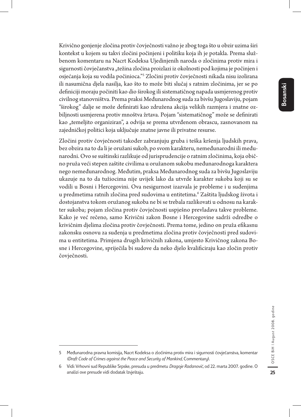Krivično gonjenje zločina protiv čovječnosti važno je zbog toga što u obzir uzima širi kontekst u kojem su takvi zločini počinjeni i politiku koja ih je potakla. Prema službenom komentaru na Nacrt Kodeksa Ujedinjenih naroda o zločinima protiv mira i sigurnosti čovječanstva "težina zločina proizlazi iz okolnosti pod kojima je počinjen i osjećanja koja su vodila počinioca."5 Zločini protiv čovječnosti nikada nisu izolirana ili nasumična djela nasilja, kao što to može biti slučaj s ratnim zločinima, jer se po definiciji moraju počiniti kao dio širokog ili sistematičnog napada usmjerenog protiv civilnog stanovništva. Prema praksi Međunarodnog suda za bivšu Jugoslaviju, pojam "širokog" dalje se može definirati kao združena akcija velikih razmjera i znatne ozbiljnosti usmjerena protiv mnoštva žrtava. Pojam "sistematičnog" može se definirati kao "temeljito organiziran", a odvija se prema utvrđenom obrascu, zasnovanom na zajedničkoj politici koja uključuje znatne javne ili privatne resurse.

Zločini protiv čovječnosti također zabranjuju gruba i teška kršenja ljudskih prava, bez obzira na to da li je oružani sukob, po svom karakteru, nemeđunarodni ili međunarodni. Ovo se suštinski razlikuje od jurisprudencije o ratnim zločinima, koja obično pruža veći stepen zaštite civilima u oružanom sukobu međunarodnoga karaktera nego nemeđunarodnog. Međutim, praksa Međunarodnog suda za bivšu Jugoslaviju ukazuje na to da tužiocima nije uvijek lako da utvrde karakter sukoba koji su se vodili u Bosni i Hercegovini. Ova nesigurnost izazvala je probleme i u suđenjima u predmetima ratnih zločina pred sudovima u entitetima.6 Zaštita ljudskog života i dostojanstva tokom oružanog sukoba ne bi se trebala razlikovati u odnosu na karakter sukoba; pojam zločina protiv čovječnosti uspješno prevladava takve probleme. Kako je već rečeno, samo Krivični zakon Bosne i Hercegovine sadrži odredbe o krivičnim djelima zločina protiv čovječnosti. Prema tome, jedino on pruža efikasnu zakonsku osnovu za suđenja u predmetima zločina protiv čovječnosti pred sudovima u entitetima. Primjena drugih krivičnih zakona, umjesto Krivičnog zakona Bosne i Hercegovine, spriječila bi sudove da neko djelo kvalificiraju kao zločin protiv čovječnosti.

25

<sup>5</sup> Međunarodna pravna komisija, Nacrt Kodeksa o zločinima protiv mira i sigurnosti čovječanstva, komentar *(Draft Code of Crimes against the Peace and Security of Mankind*, Commentary).

<sup>6</sup> Vidi: Vrhovni sud Republike Srpske, presuda u predmetu *Dragoje Radanović*, od 22. marta 2007. godine. O analizi ove presude vidi dodatak Izvještaju.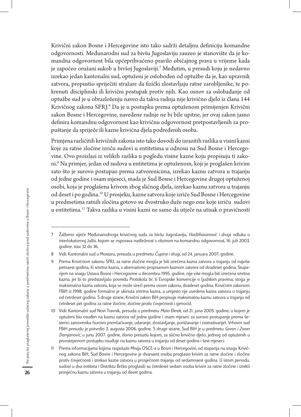Krivični zakon Bosne i Hercegovine isto tako sadrži detaljnu definiciju komandne odgovornosti. Međunarodni sud za bivšu Jugoslaviju zauzeo je stanovište da je komandna odgovornost bila općeprihvaćeno pravilo običajnog prava u vrijeme kada je započeo oružani sukob u bivšoj Jugoslaviji.7 Međutim, u presudi koju je nedavno izrekao jedan kantonalni sud, optuženi je oslobođen od optužbe da je, kao upravnik zatvora, propustio spriječiti stražare da fizički zlostavljaju ratne zarobljenike, te pokrenuti disciplinski ili krivični postupak protiv njih. Kao osnov za oslobađanje od optužbe sud je u obrazloženju naveo da takva radnja nije krivično djelo iz člana 144 Krivičnog zakona SFRJ.<sup>8</sup> Da je u postupku prema optuženom primijenjen Krivični zakon Bosne i Hercegovine, navedene radnje ne bi bile upitne, jer ovaj zakon jasno definira komandnu odgovornost kao krivičnu odgovornost pretpostavljenih za propuštanje da spriječe ili kazne krivična djela podređenih osoba.

Primjena različitih krivičnih zakona isto tako dovodi do izrazitih razlika u visini kazni koje za ratne zločine izriču sudovi u entitetima u odnosu na Sud Bosne i Hercegovine. Ovo proizlazi iz velikih razlika u pogledu visine kazne koju propisuju ti zakoni.9 Na primjer, jedan od sudova u entitetima je optuženom, koji je proglašen krivim zato što je surovo postupao prema zatvorenicima, izrekao kaznu zatvora u trajanju od jedne godine i osam mjeseci, mada je Sud Bosne i Hercegovine drugoj optuženoj osobi, koja je proglašena krivom zbog sličnog djela, izrekao kaznu zatvora u trajanju od deset i po godina.10 U prosjeku, kazne zatvora koje izriče Sud Bosne i Hercegovine u predmetima ratnih zločina gotovo su dvostruko duže nego one koje izriču sudovi u entitetima.11 Takva razlika u visini kazni ne samo da utječe na utisak o pravičnosti

<sup>7</sup> Žalbeno vijeće Međunarodnoga krivičnog suda za bivšu Jugoslaviju, *Hadžihasanović i drugi*; odluka o interlokatornoj žalbi, kojom se osporava nadležnost s obzirom na komandnu odgovornost, 16. juli 2003. godine, stav 32 do 36.

<sup>8</sup> Vidi: Kantonalni sud u Mostaru, presuda u predmetu *Čupina i drugi,* od 24. januara 2007. godine.

<sup>9</sup> Prema Krivičnom zakonu SFRJ, za ratne zločine mogla je biti izrečena kazna zatvora u trajanju od najviše petnaest godina, ili smrtna kazna, s alternativno propisanom kaznom zatvora od dvadeset godina. Stupanjem na snagu Ustava Bosne i Hercegovine u decembru 1995. godine, nije više mogla biti izrečena smrtna kazna, jer bi to predstavljalo povredu Protokola br. 6 Evropske konvencije o ljudskim pravima; stoga je maksimalna kazna zatvora, koja se može izreći prema ovom zakonu, dvadeset godina. Krivičnim zakonom FBiH iz 1998. godine formalno je ukinuta smrtna kazna, a umjesto nje uvedena kazna zatvora u trajanju od četrdeset godina. S druge strane, Krivični zakon BiH propisuje maksimalnu kaznu zatvora u trajanju od četrdeset pet godina za ratne zločine, zločine protiv čovječnosti i genocid.

<sup>10</sup> Vidi: Kantonalni sud Novi Travnik, presuda u predmetu *Mato Đerek*, od 21. juna 2005. godine, u kojem je optuženi bio osuđen na kaznu zatvora od jedne godine i osam mjeseci za surovo postupanje prema šesterici zatvorenika (surovo premlaćivanje, udaranje, zlostavljanje, ponižavanje i zastrašivanje). Vrhovni sud FBiH presudu je potvrdio 3. augusta 2006. godine. S druge strane, Sud BiH je u predmetu *Goran i Zoran Damjanović*, u junu 2007. godine, donio presudu kojom, za slično krivično djelo, jednog od optuženih u prvostepenom postupku osuđuje na kaznu zatvora u trajanju od deset godina i šest mjeseci.

<sup>11</sup> Prema informacijama kojima raspolaže Misija OSCE-a u Bosni i Hercegovini, od stupanja na snagu Krivičnog zakona BiH, Sud Bosne i Hercegovine je dvanaest osoba proglasio krivim za ratne zločine i zločine protiv čovječnosti i izrekao kazne zatvora u prosječnom trajanju od sedamnaest godina. U istom periodu, sudovi u dva entiteta i Distriktu Brčko proglasili su četrdeset sedam osoba krivim za ratne zločine i izrekli prosječnu kaznu zatvora u trajanju od devet godina.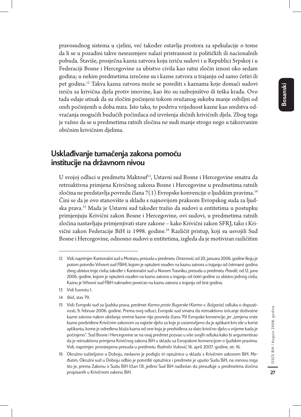pravosudnog sistema u cjelini, već također ostavlja prostora za spekulacije o tome da li se u pozadini takve nesrazmjere nalazi pristrasnost iz političkih ili nacionalnih pobuda. Štaviše, prosječna kazna zatvora koju izriču sudovi i u Republici Srpskoj i u Federaciji Bosne i Hercegovine za ubistvo civila kao ratni zločin iznosi oko sedam godina; u nekim predmetima izrečene su i kazne zatvora u trajanju od samo četiri ili pet godina.12 Takva kazna zatvora može se porediti s kaznama koje domaći sudovi izriču za krivična djela protiv imovine, kao što su razbojništvo ili teška krađa. Ovo tada odaje utisak da su zločini počinjeni tokom oružanog sukoba manje ozbiljni od onih počinjenih u doba mira. Isto tako, to podriva vrijednost kazne kao sredstva odvraćanja mogućih budućih počinilaca od izvršenja sličnih krivičnih djela. Zbog toga je važno da se u predmetima ratnih zločina ne sudi manje strogo nego u takozvanim običnim krivičnim djelima.

#### Usklađivanje tumačenja zakona pomoću institucije na državnom nivou

U svojoj odluci u predmetu Maktouf<sup>13</sup>, Ustavni sud Bosne i Hercegovine smatra da retroaktivna primjena Krivičnog zakona Bosne i Hercegovine u predmetima ratnih zločina ne predstavlja povredu člana  $7(1)$  Evropske konvencije o ljudskim pravima.<sup>14</sup> Čini se da je ovo stanovište u skladu s najnovijom praksom Evropskog suda za ljudska prava.15 Mada je Ustavni sud također tražio da sudovi u entitetima u postupku primjenjuju Krivični zakon Bosne i Hercegovine, ovi sudovi, u predmetima ratnih zločina nastavljaju primjenjivati stare zakone – kako Krivični zakon SFRJ, tako i Krivični zakon Federacije BiH iz 1998. godine.<sup>16</sup> Različit pristup, koji su usvojili Sud Bosne i Hercegovine, odnosno sudovi u entitetima, izgleda da je motiviran različitim

- 13 Vidi fusnotu 1.
- 14 *Ibid.,* stav 79.

27

<sup>12</sup> Vidi, naprimjer: Kantonalni sud u Mostaru, presuda u predmetu *Omanović,* od 20. januara 2006. godine (koju je potom potvrdio Vrhovni sud FBiH), kojom je optuženi osuđen na kaznu zatvora u trajanju od četrnaest godina zbog ubistva troje civila; također i: Kantonalni sud u Novom Travniku, presuda u predmetu *Pravdić*, od 12. juna 2006. godine, kojom je optuženi osuđen na kaznu zatvora u trajanju od četiri godine za ubistvo jednog civila. Kaznu je Vrhovni sud FBiH naknadno povećao na kaznu zatvora u trajanju od šest godina.

<sup>15</sup> Vidi: Evropski sud za ljudska prava, predmet *Karmo protiv Bugarske* (*Karmo v. Bulgaria),* odluka o dopustivosti, 9. februar 2006. godine. Prema ovoj odluci, Evropski sud smatra da retroaktivno izricanje doživotne kazne zatvora nakon ukidanja smrtne kazne nije povreda člana 7(1) Evropske konvencije, jer "izmjena vrste kazne predviđene Krivičnim zakonom za najteže djelo za koje je ustanovljeno da je aplikant kriv ide u korist aplikanta, kome je određena blaža kazna od one koja je predviđena za dato krivično djelo u vrijeme kada je počinjeno". Sud Bosne i Hercegovine se na ovaj predmet pozvao u više svojih odluka kako bi argumentirao da je retroaktivna primjena Krivičnog zakona BiH u skladu sa Evropskom konvencijom o ljudskim pravima. Vidi, naprimjer: prvostepena presuda u predmetu *Radmilo Vuković*, 16. april 2007. godine, str. 16.

<sup>16</sup> Okružno tužiteljstvo u Doboju, nedavno je podiglo tri optužnice u skladu s Krivičnim zakonom BiH. Međutim, Okružni sud u Doboju odbio je potvrditi optužnice i predmete je uputio Sudu BiH, na osnovu toga što je, prema Zakonu o Sudu BiH (član 13), jedino Sud BiH nadležan da presuđuje u predmetima zločina propisanih u Krivičnom zakonu BiH.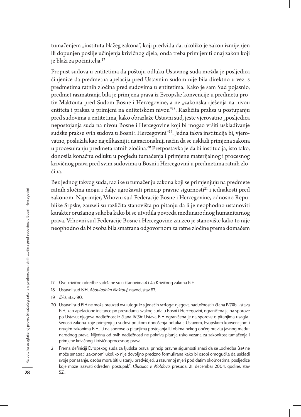tumačenjem "instituta blažeg zakona", koji predviđa da, ukoliko je zakon izmijenjen ili dopunjen poslije učinjenja krivičnog djela, onda treba primijeniti onaj zakon koji je blaži za počinitelja.17

Propust sudova u entitetima da poštuju odluku Ustavnog suda možda je posljedica činjenice da predmetna apelacija pred Ustavnim sudom nije bila direktno u vezi s predmetima ratnih zločina pred sudovima u entitetima. Kako je sam Sud pojasnio, predmet razmatranja bila je primjena prava iz Evropske konvencije u predmetu protiv Maktoufa pred Sudom Bosne i Hercegovine, a ne "zakonska rješenja na nivou entiteta i praksa u primjeni na entitetskom nivou"18. Različita praksa u postupanju pred sudovima u entitetima, kako obrazlaže Ustavni sud, jeste vjerovatno "posljedica nepostojanja suda na nivou Bosne i Hercegovine koji bi mogao vršiti usklađivanje sudske prakse svih sudova u Bosni i Hercegovini"19. Jedna takva institucija bi, vjerovatno, poslužila kao najefikasniji i najracionalniji način da se uskladi primjena zakona u procesuiranju predmeta ratnih zločina.<sup>20</sup> Pretpostavka je da bi institucija, isto tako, donosila konačnu odluku u pogledu tumačenja i primjene materijalnog i procesnog krivičnog prava pred svim sudovima u Bosni i Hercegovini u predmetima ratnih zločina.

Bez jednog takvog suda, razlike u tumačenju zakona koji se primjenjuju na predmete ratnih zločina mogu i dalje ugrožavati princip pravne sigurnosti<sup>21</sup> i jednakosti pred zakonom. Naprimjer, Vrhovni sud Federacije Bosne i Hercegovine, odnosno Republike Srpske, zauzeli su različita stanovišta po pitanju da li je neophodno ustanoviti karakter oružanog sukoba kako bi se utvrdila povreda međunarodnog humanitarnog prava. Vrhovni sud Federacije Bosne i Hercegovine zauzeo je stanovište kako to nije neophodno da bi osoba bila smatrana odgovornom za ratne zločine prema domaćem

<sup>17</sup> Ove krivične odredbe sadržane su u članovima 4 i 4a Krivičnog zakona BiH.

<sup>18</sup> Ustavni sud BiH, *Abduladhim Maktouf*, navod, stav 87.

<sup>19</sup> *Ibid.*, stav 90.

<sup>20</sup> Ustavni sud BiH ne može preuzeti ovu ulogu iz sljedećih razloga: njegova nadležnost iz člana IV(3)b Ustava BiH, kao apelacione instance po presudama svakog suda u Bosni i Hercegovini, ograničena je na sporove po Ustavu; njegova nadležnost iz člana IV(3)c Ustava BiH ograničena je na sporove o pitanjima usaglašenosti zakona koje primjenjuju sudovi prilikom donošenja odluka s Ustavom, Evopskom konvencijom i drugim zakonima BiH, ili na sporove o pitanjima postojanja ili obima nekog općeg pravila javnog međunarodnog prava. Nijedna od ovih nadležnosti ne pokriva pitanja usko vezana za zakonitost tumačenja i primjene krivičnog i krivičnoprocesnog prava.

<sup>21</sup> Prema definiciji Evropskog suda za ljudska prava, princip pravne sigurnosti znači da se "odredba (se) ne može smatrati 'zakonom' ukoliko nije dovoljno precizno formulirana kako bi osobi omogućila da uskladi svoje ponašanje: osoba mora biti u stanju predvidjeti, u razumnoj mjeri pod datim okolnostima, posljedice koje može izazvati određeni postupak". (*Busuioc v. Moldova*, presuda, 21. decembar 2004. godine, stav 52).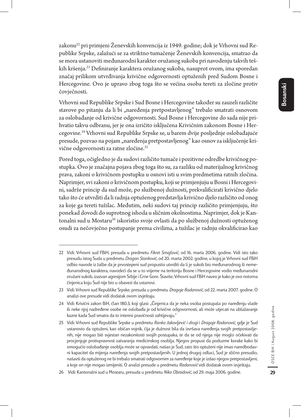zakonu<sup>22</sup> pri primjeni Ženevskih konvencija iz 1949. godine; dok je Vrhovni sud Republike Srpske, zalažući se za striktno tumačenje Ženevskih konvencija, smatrao da se mora ustanoviti međunarodni karakter oružanog sukoba pri navođenju takvih teških kršenja.23 Definiranje karaktera oružanog sukoba, nasuprot ovom, ima sporedan značaj prilikom utvrđivanja krivične odgovornosti optuženih pred Sudom Bosne i Hercegovine. Ovo je upravo zbog toga što se većina osoba tereti za zločine protiv čovječnosti.

Vrhovni sud Republike Srpske i Sud Bosne i Hercegovine također su zauzeli različite stavove po pitanju da li bi "naređenja pretpostavljenog" trebalo smatrati osnovom za oslobađanje od krivične odgovornosti. Sud Bosne i Hercegovine do sada nije prihvatio takvu odbranu, jer je ona izričito isključena Krivičnim zakonom Bosne i Hercegovine.24 Vrhovni sud Republike Srpske se, u barem dvije posljednje oslobađajuće presude, pozvao na pojam "naređenja pretpostavljenog" kao osnov za isključenje krivične odgovornosti za ratne zločine.<sup>25</sup>

Pored toga, očigledno je da sudovi različito tumače i pozitivne odredbe krivičnog postupka. Ovo je značajna pojava zbog toga što su, za razliku od materijalnog krivičnog prava, zakoni o krivičnom postupku u osnovi isti u svim predmetima ratnih zločina. Naprimjer, svi zakoni o krivičnom postupku, koji se primjenjuju u Bosni i Hercegovini, sadrže princip da sud može, po službenoj dužnosti, prekvalificirati krivično djelo tako što će utvrditi da li radnja optuženog predstavlja krivično djelo različito od onog za koje ga tereti tužilac. Međutim, neki sudovi taj princip različito primjenjuju, što ponekad dovodi do suprotnog ishoda u sličnim okolnostima. Naprimjer, dok je Kantonalni sud u Mostaru<sup>26</sup> iskoristio svoje ovlasti da po službenoj dužnosti optuženog osudi za nečovječno postupanje prema civilima, a tužilac je radnju okvalificirao kao

<sup>22</sup> Vidi: Vrhovni sud FBiH, presuda u predmetu *Fikret Smajlović*, od 16. marta 2006. godine. Vidi isto tako presudu istog Suda u predmetu *Dragan Stanković*, od 20. marta 2002. godine, u kojoj je Vrhovni sud FBiH odbio navode iz žalbe da je prvostepeni sud propustio utvrditi da li je sukob bio međunarodnog ili nemeđunarodnog karaktera, navodeći da se u to vrijeme na teritoriju Bosne i Hercegovine vodio međunarodni oružani sukob, izazvan agresijom Srbije i Crne Gore. Štaviše, Vrhovni sud FBiH naveo je kako je ovo notorna činjenica koju Sud nije bio u obavezi da ustanovi.

<sup>23</sup> Vidi: Vrhovni sud Republike Srpske, presuda u predmetu *Dragoje Radanović*, od 22. marta 2007. godine. O analizi ove presude vidi dodatak ovom izvještaju.

<sup>24</sup> Vidi: Krivični zakon BiH, član 180.3, koji glasi: "Činjenica da je neka osoba postupala po naređenju vlade ili neke njoj nadređene osobe ne oslobađa je od krivične odgovornosti, ali može utjecati na ublažavanje kazne kada Sud smatra da to interesi pravičnosti zahtijevaju."

<sup>25</sup> Vidi: Vrhovni sud Republike Srpske u predmetu *Ranko Jakovljević i drugi* i *Dragoje Radanović*, gdje je Sud ustanovio da optuženi, kao običan vojnik, čija je dužnost bila da izvršava naređenja svojih pretpostavljenih, nije mogao biti svjestan nezakonitosti svojih postupaka, te da se od njega nije moglo očekivati da procjenjuje protivpravnost zatvaranja medicinskog osoblja. Njegov propust da poduzme korake kako bi omogućio oslobađanje osoblja može se opravdati, našao je Sud, zato što optuženi nije imao naredbodavni kapacitet da mijenja naređenja svojih pretpostavljenih. U jednoj drugoj odluci, Sud je slično presudio, našavši da optuženog ne bi trebalo smatrati odgovornim za naređenje koje je izdao njegov pretpostavljeni, a koje on nije mogao izmijeniti. O analizi presude u predmetu *Radanović* vidi dodatak ovom izvještaju.

<sup>26</sup> Vidi: Kantonalni sud u Mostaru, presuda u predmetu *Niko Obradović,* od 29. maja 2006. godine.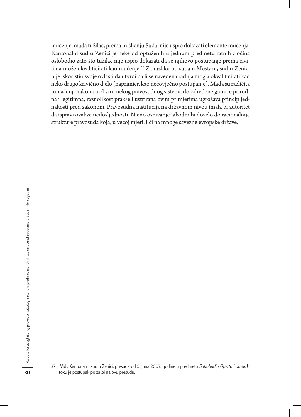mučenje, mada tužilac, prema mišljenju Suda, nije uspio dokazati elemente mučenja, Kantonalni sud u Zenici je neke od optuženih u jednom predmetu ratnih zločina oslobodio zato što tužilac nije uspio dokazati da se njihovo postupanje prema civilima može okvalificirati kao mučenje.27 Za razliku od suda u Mostaru, sud u Zenici nije iskoristio svoje ovlasti da utvrdi da li se navedena radnja mogla okvalificirati kao neko drugo krivično djelo (naprimjer, kao nečovječno postupanje). Mada su različita tumačenja zakona u okviru nekog pravosudnog sistema do određene granice prirodna i legitimna, raznolikost prakse ilustrirana ovim primjerima ugrožava princip jednakosti pred zakonom. Pravosudna institucija na državnom nivou imala bi autoritet da ispravi ovakve nedosljednosti. Njeno osnivanje također bi dovelo do racionalnije strukture pravosuđa koja, u većoj mjeri, liči na mnoge savezne evropske države.

<sup>27</sup> Vidi: Kantonalni sud u Zenici, presuda od 5. juna 2007. godine u predmetu *Sabahudin Operta i drugi.* U toku je postupak po žalbi na ovu presudu.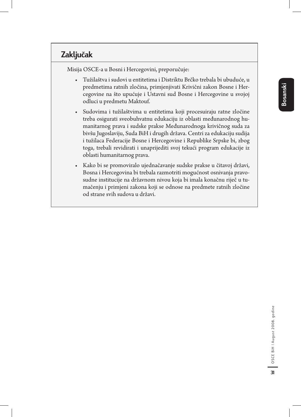## Zaključak

Misija OSCE-a u Bosni i Hercegovini, preporučuje:

- Tužilaštva i sudovi u entitetima i Distriktu Brčko trebala bi ubuduće, u predmetima ratnih zločina, primjenjivati Krivični zakon Bosne i Hercegovine na što upućuje i Ustavni sud Bosne i Hercegovine u svojoj odluci u predmetu Maktouf.
- Sudovima i tužilaštvima u entitetima koji procesuiraju ratne zločine treba osigurati sveobuhvatnu edukaciju iz oblasti međunarodnog humanitarnog prava i sudske prakse Međunarodnoga krivičnog suda za bivšu Jugoslaviju, Suda BiH i drugih država. Centri za edukaciju sudija i tužilaca Federacije Bosne i Hercegovine i Republike Srpske bi, zbog toga, trebali revidirati i unaprijediti svoj tekući program edukacije iz oblasti humanitarnog prava.
- Kako bi se promoviralo ujednačavanje sudske prakse u čitavoj državi, Bosna i Hercegovina bi trebala razmotriti mogućnost osnivanja pravosudne institucije na državnom nivou koja bi imala konačnu riječ u tumačenju i primjeni zakona koji se odnose na predmete ratnih zločine od strane svih sudova u državi.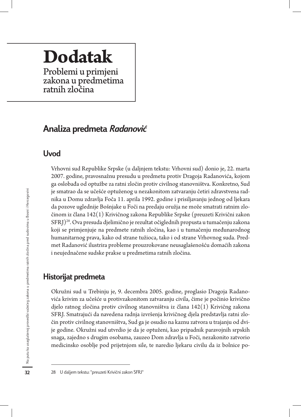# **Dodatak**

Problemi u primjeni zakona u predmetima ratnih zločina

### Analiza predmeta *Radanović*

#### Uvod

Vrhovni sud Republike Srpske (u daljnjem tekstu: Vrhovni sud) donio je, 22. marta 2007. godine, pravosnažnu presudu u predmetu protiv Dragoja Radanovića, kojom ga oslobađa od optužbe za ratni zločin protiv civilnog stanovništva. Konkretno, Sud je smatrao da se učešće optuženog u nezakonitom zatvaranju četiri zdravstvena radnika u Domu zdravlja Foča 11. aprila 1992. godine i prisiljavanju jednog od ljekara da pozove uglednije Bošnjake u Foči na predaju oružja ne može smatrati ratnim zločinom iz člana 142(1) Krivičnog zakona Republike Srpske (preuzeti Krivični zakon SFRJ)28. Ova presuda djelimično je rezultat očiglednih propusta u tumačenju zakona koji se primjenjuje na predmete ratnih zločina, kao i u tumačenju međunarodnog humanitarnog prava, kako od strane tužioca, tako i od strane Vrhovnog suda. Predmet Radanović ilustrira probleme prouzrokovane neusaglašenošću domaćih zakona i neujednačene sudske prakse u predmetima ratnih zločina.

#### Historijat predmeta

Okružni sud u Trebinju je, 9. decembra 2005. godine, proglasio Dragoja Radanovića krivim za učešće u protivzakonitom zatvaranju civila, čime je počinio krivično djelo ratnog zločina protiv civilnog stanovništva iz člana 142(1) Krivičng zakona SFRJ. Smatrajući da navedena radnja izvršenja krivičnog djela predstavlja ratni zločin protiv civilnog stanovništva, Sud ga je osudio na kaznu zatvora u trajanju od dvije godine. Okružni sud utvrdio je da je optuženi, kao pripadnik paravojnih srpskih snaga, zajedno s drugim osobama, zauzeo Dom zdravlja u Foči, nezakonito zatvorio medicinsko osoblje pod prijetnjom sile, te naredio ljekaru civilu da iz bolnice po-

<sup>28</sup> U daljem tekstu: "preuzeti Krivični zakon SFRJ"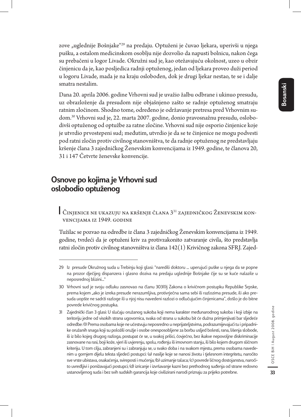zove "uglednije Bošnjake"<sup>29</sup> na predaju. Optuženi je čuvao ljekara, uperivši u njega pušku, a ostalom medicinskom osoblju nije dozvolio da napusti bolnicu, nakon čega su prebačeni u logor Livade. Okružni sud je, kao otežavajuću okolnost, uzeo u obzir činjenicu da je, kao posljedica radnji optuženog, jedan od ljekara proveo duži period u logoru Livade, mada je na kraju oslobođen, dok je drugi ljekar nestao, te se i dalje smatra nestalim.

Dana 20. aprila 2006. godine Vrhovni sud je uvažio žalbu odbrane i ukinuo presudu, uz obrazloženje da presudom nije objašnjeno zašto se radnje optuženog smatraju ratnim zločinom. Shodno tome, određeno je održavanje pretresa pred Vrhovnim sudom.30 Vrhovni sud je, 22. marta 2007. godine, donio pravosnažnu presudu, oslobodivši optuženog od optužbe za ratne zločine. Vrhovni sud nije osporio činjenice koje je utvrdio prvostepeni sud; međutim, utvrdio je da se te činjenice ne mogu podvesti pod ratni zločin protiv civilnog stanovništva, te da radnje optuženog ne predstavljaju kršenje člana 3 zajedničkog Ženevskim konvencijama iz 1949. godine, te članova 20, 31 i 147 Četvrte ženevske konvencije.

### Osnove po kojima je Vrhovni sud oslobodio optuženog

 Činjenice ne ukazuju na kršenje člana 331 zajedničkog Ženevskim konvencijama iz 1949. godine

Tužilac se pozvao na odredbe iz člana 3 zajedničkog Ženevskim konvencijama iz 1949. godine, tvrdeći da je optuženi kriv za protivzakonito zatvaranje civila, što predstavlja ratni zločin protiv civilnog stanovništva iz člana 142(1) Krivičnog zakona SFRJ. Zajed-

<sup>29</sup> Iz presude Okružnog suda u Trebinju koji glasi: "naredili doktoru … uperujući puške u njega da se popne na prozor dječijeg dispanzera i glasno doziva na predaju uglednije Bošnjake čije su se kuće nalazile u neposrednoj blizini...'

<sup>30</sup> Vrhovni sud je svoju odluku zasnovao na članu 303(1)j Zakona o krivičnom postupku Republike Srpske, prema kojem "ako je izreka presude nerazumljiva, protivrječna sama sebi ili razlozima presude, ili ako presuda uopšte ne sadrži razloge ili u njoj nisu navedeni razlozi o odlučujućim činjenicama", došlo je do bitne povrede krivičnog postupka.

<sup>31</sup> Zajednički član 3 glasi: U slučaju oružanog sukoba koji nema karakter međunarodnog sukoba i koji izbije na teritoriju jedne od visokih strana ugovornica, svaka od strana u sukobu bit će dužna primjenjivati bar sljedeće odredbe: (1) Prema osobama koje ne učestvuju neposredno u neprijateljstvima, podrazumijevajući tu i pripadnike oružanih snaga koji su položili oružje i osobe onesposobljene za borbu usljed bolesti, rana, lišenja slobode, ili iz bilo kojeg drugog razloga, postupat će se, u svakoj prilici, čovječno, bez ikakve nepovoljne diskriminacije zasnovane na rasi, boji kože, vjeri ili uvjerenju, spolu, rođenju ili imovnom stanju, ili bilo kojem drugom sličnom kriteriju. U tom cilju, zabranjeni su i zabranjuju se, u svako doba i na svakom mjestu, prema osobama navedenim u gornjem dijelu teksta sljedeći postupci: (a) nasilje koje se nanosi životu i tjelesnom integritetu, naročito sve vrste ubistava, osakaćenja, svireposti i mučenja; (b) uzimanje talaca; (c) povrede ličnog dostojanstva, naročito uvredljivi i ponižavajući postupci; (d) izricanje i izvršavanje kazni bez prethodnog suđenja od strane redovno ustanovljenog suda i bez svih sudskih garancija koje civilizirani narodi priznaju za prijeko potrebne.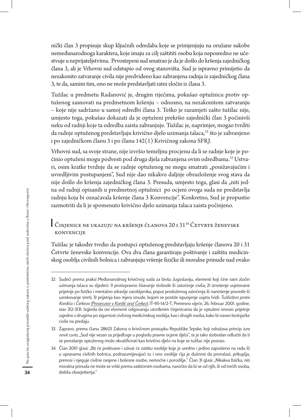nički član 3 propisuje skup ključnih odredaba koje se primjenjuju na oružane sukobe nemeđunarodnoga karaktera, koje imaju za cilj zaštititi osobu koja neposredno ne učestvuje u neprijateljstvima. Prvostepeni sud smatrao je da je došlo do kršenja zajedničkog člana 3, ali je Vrhovni sud odstupio od ovog stanovišta. Sud je ispravno primijetio da nezakonito zatvaranje civila nije predviđeno kao zabranjena radnja iz zajedničkog člana 3, te da, samim tim, ono ne može predstavljati ratni zločin iz člana 3.

Tužilac u predmetu Radanović je, drugim riječima, pokušao optužnicu protiv optuženog zasnovati na predmetnom kršenju – odnosno, na nezakonitom zatvaranju – koje nije sadržano u samoj odredbi člana 3. Teško je razumjeti zašto tužilac nije, umjesto toga, pokušao dokazati da je optuženi prekršio zajednički član 3 počinivši neku od radnji koje ta odredba zaista zabranjuje. Tužilac je, naprimjer, mogao tvrditi da radnje optuženog predstavljaju krivično djelo uzimanja talaca,<sup>32</sup> što je zabranjeno i po zajedničkom članu 3 i po članu 142(1) Krivičnog zakona SFRJ.

Vrhovni sud, sa svoje strane, nije izvršio temeljnu procjenu da li se radnje koje je počinio optuženi mogu podvesti pod druga djela zabranjena ovim odredbama.<sup>33</sup> Ustvari, osim kratke tvrdnje da se radnje optuženog ne mogu smatrati "ponižavajućim i uvredljivim postupanjem", Sud nije dao nikakvo daljnje obrazloženje svog stava da nije došlo do kršenja zajedničkog člana 3. Presuda, umjesto toga, glasi da "niti jedna od radnji opisanih u predmetnoj optužnici po ocjeni ovoga suda ne predstavlja radnju koja bi označavala kršenje člana 3 Konvencije". Konkretno, Sud je propustio razmotriti da li je spomenuto krivično djelo uzimanja talaca zaista počinjeno.

#### Činjenice ne ukazuju na kršenje članova 20 i 3134 Četvrte ženevske konvencije

Tužilac je također tvrdio da postupci optuženog predstavljaju kršenje članova 20 i 31 Četvrte ženevske konvencije. Ova dva člana garantiraju poštivanje i zaštitu medicinskog osoblja civilnih bolnica i zabranjuju vršenje fizičke ili moralne prinude nad ovako

33 Zapravo, prema članu 286(2) Zakona o krivičnom postupku Republike Srpske, koji odražava princip *iura novit curia*, "Sud nije vezan za prijedloge u pogledu pravne ocjene djela", te je tako slobodan odlučiti da li se ponašanje optuženog može okvalificirati kao krivično djelo na koje se tužilac nije pozvao.

<sup>32</sup> Sudeći prema praksi Međunarodnog krivičnog suda za bivšu Jugoslaviju, elementi koji čine ratni zločin uzimanja talaca su sljedeći: 1) protivpravno lišavanje slobode ili zatočenje civila; 2) iznošenje uvjetovane prijetnje po fizičko i mentalno zdravlje zarobljenika, poput produženog zatočenja ili nanošenje povrede ili uzrokovanje smrti; 3) prijetnja kao mjera iznude, kojom se postiže ispunjenje uvjeta (vidi: *Tužilaštvo protiv Kordića i Čerkeza (Prosecutor v Kordić and Čerkez)*, IT-95-14/2-T, Pretresno vijeće, 26. februar 2001. godine, stav 312-313). Izgleda da ovi elementi odgovaraju utvrđenim činjenicama da je optuženi iznosio prijetnje zajedno s drugima po sigurnost civilnog medicinskog osoblja, kao i drugih osoba, kako bi naveo bošnjačke civile na predaju.

<sup>34</sup> Član 20(1) glasi: "Bit će poštivano i uživat će zaštitu osoblje koje je uredno i jedino zaposleno na radu ili u upravama civilnih bolnica, podrazumijevajući tu i ono osoblje čija je dužnost da pronalazi, prikuplja, prenosi i njeguje civilne ranjene i bolesne osobe, nemoćne i porodilje." Član 31 glasi: "Nikakva fizička, niti moralna prinuda ne može se vršiti prema zaštićenim osobama, naročito da bi se od njih, ili od trećih osoba, dobila obavještenja."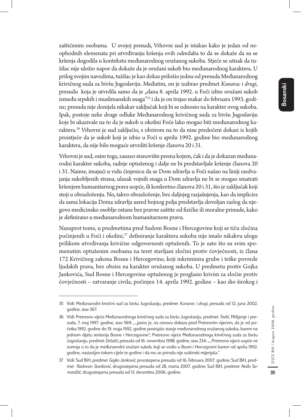zaštićenim osobama. U svojoj presudi, Vrhovni sud je istakao kako je jedan od neophodnih elemenata pri utvrđivanju kršenja ovih odredaba to da se dokaže da su se kršenja dogodila u kontekstu međunarodnog oružanog sukoba. Stječe se utisak da tužilac nije uložio napor da dokaže da je oružani sukob bio međunarodnog karaktera. U prilog svojim navodima, tužilac je kao dokaz priložio jednu od presuda Međunarodnog krivičnog suda za bivšu Jugoslaviju. Međutim, on je izabrao predmet *Kunarac i drugi*, presudu koja je utvrdila samo da je "dana 8. aprila 1992. u Foči izbio oružani sukob između srpskih i muslimanskih snaga"<sup>35</sup> i da je on trajao makar do februara 1993. godine; presuda nije donijela nikakav zaključak koji bi se odnosio na karakter ovog sukoba. Ipak, postoje neke druge odluke Međunarodnog krivičnog suda za bivšu Jugoslaviju koje bi ukazivale na to da je sukob u okolini Foče lako mogao biti međunarodnog karaktera.36 Vrhovni je sud zaključio, s obzirom na to da nisu predočeni dokazi iz kojih proistječe da je sukob koji je izbio u Foči u aprilu 1992. godine bio međunarodnog karaktera, da nije bilo moguće utvrditi kršenje članova 20 i 31.

Vrhovni je sud, osim toga, zauzeo stanovište prema kojem, čak i da je dokazan međunarodni karakter sukoba, radnje optuženog i dalje ne bi predstavljale kršenje članova 20 i 31. Naime, imajući u vidu činjenicu da se Dom zdravlja u Foči našao na liniji razdvajanja sukobljenih strana, ulazak vojnih snaga u Dom zdravlja ne bi se mogao smatrati kršenjem humanitarnog prava uopće, ili konkretno članova 20 i 31, što je zaključak koji stoji u obrazloženju. No, takvo obrazloženje, bez daljnjeg razjašnjenja, kao da implicira da sama lokacija Doma zdravlja usred bojnog polja predstavlja dovoljan razlog da njegovo medicinsko osoblje ostane bez pravne zaštite od fizičke ili moralne prinude, kako je definirano u međunarodnom humanitarnom pravu.

Nasuprot tome, u predmetima pred Sudom Bosne i Hercegovine koji se tiču zločina počinjenih u Foči i okolini,<sup>37</sup> definiranje karaktera sukoba nije imalo nikakvu ulogu prilikom utvrđivanja krivične odgovornosti optuženih. To je zato što su svim spomenutim optuženim osobama na teret stavljani zločini protiv čovječnosti, iz člana 172 Krivičnog zakona Bosne i Hercegovine, koji inkriminira grube i teške povrede ljudskih prava, bez obzira na karakter oružanog sukoba. U predmetu protiv Gojka Jankovića, Sud Bosne i Hercegovine optuženog je proglasio krivim za zločin protiv čovječnosti – zatvaranje civila, počinjen 14. aprila 1992. godine – kao dio širokog i

<sup>35</sup> Vidi: Međunarodni krivični sud za bivšu Jugoslaviju, predmet *Kunarac i drugi*, presuda od 12. juna 2002. godine, stav 567.

<sup>36</sup> Vidi: Pretresno vijeće Međunarodnoga krivičnog suda za bivšu Jugoslaviju, predmet *Tadić*, Mišljenje i presuda, 7. maj 1997. godine, stav 569: "...jasno je, na osnovu dokaza pred Pretresnim vijećem, da je od početka 1992. godine do 19. maja 1992. godine postojalo stanje međunarodnog oružanog sukoba, barem na jednom dijelu teritorija Bosne i Hercegovine"; Pretresno vijeće Međunarodnoga krivičnog suda za bivšu Jugoslaviju, predmet *Delalić*, presuda od 16. novembra 1998. godine, stav 234: "...Pretresno vijeće uopće ne sumnja u to da je međunarodni oružani sukob, koji se vodio u Bosni i Hercegovini barem od aprila 1992. godine, nastavljen tokom cijele te godine i da mu se priroda nije suštinski mijenjala."

<sup>37</sup> Vidi: Sud BiH, predmet *Gojko Janković*, prvostepena presuda od 16. februara 2007. godine; Sud BiH, predmet *Radovan Stanković*, drugostepena presuda od 28. marta 2007. godine; Sud BiH, predmet *Neđo Samardžić*, drugostepena presuda od 13. decembra 2006. godine.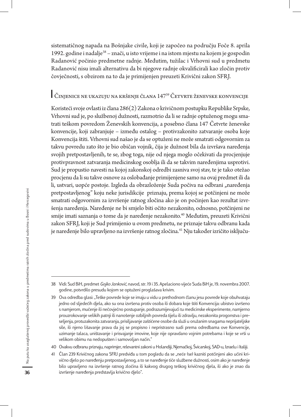sistematičnog napada na Bošnjake civile, koji je započeo na području Foče 8. aprila 1992. godine i nadalje<sup>38</sup> – znači, u isto vrijeme i na istom mjestu na kojem je gospodin Radanović počinio predmetne radnje. Međutim, tužilac i Vrhovni sud u predmetu Radanović nisu imali alternativu da bi njegove radnje okvalificirali kao zločin protiv čovječnosti, s obzirom na to da je primijenjen preuzeti Krivični zakon SFRJ.

#### Činjenice ne ukazuju na kršenje člana 14739 Četvrte ženevske konvencije

Koristeći svoje ovlasti iz člana 286(2) Zakona o krivičnom postupku Republike Srpske, Vrhovni sud je, po službenoj dužnosti, razmotrio da li se radnje optuženog mogu smatrati teškom povredom Ženevskih konvencija, a posebno člana 147 Četvrte ženevske konvencije, koji zabranjuje – između ostalog – protivzakonito zatvaranje osoba koje Konvencija štiti. Vrhovni sud našao je da se optuženi ne može smatrati odgovornim za takvu povredu zato što je bio običan vojnik, čija je dužnost bila da izvršava naređenja svojih pretpostavljenih, te se, zbog toga, nije od njega moglo očekivati da procjenjuje protivpravnost zatvaranja medicinskog osoblja ili da se takvim naređenjima usprotivi. Sud je propustio navesti na kojoj zakonskoj odredbi zasniva svoj stav, te je tako otežao procjenu da li su takve osnove za oslobađanje primijenjene samo na ovaj predmet ili da li, ustvari, uopće postoje. Izgleda da obrazloženje Suda počiva na odbrani "naređenja pretpostavljenog" koju neke jurisdikcije priznaju, prema kojoj se potčinjeni ne može smatrati odgovornim za izvršenje ratnog zločina ako je on počinjen kao rezultat izvršenja naređenja. Naređenje ne bi smjelo biti očito nezakonito, odnosno, potčinjeni ne smije imati saznanja o tome da je naređenje nezakonito.<sup>40</sup> Međutim, preuzeti Krivični zakon SFRJ, koji je Sud primijenio u ovom predmetu, ne priznaje takvu odbranu kada je naređenje bilo upravljeno na izvršenje ratnog zločina.41 Nju također izričito isključu-

<sup>38</sup> Vidi: Sud BiH, predmet *Gojko Janković*, navod, str. 19 i 35. Apelaciono vijeće Suda BiH je, 19. novembra 2007. godine, potvrdilo presudu kojom se optuženi proglašava krivim.

<sup>39</sup> Ova odredba glasi: "Teške povrede koje se imaju u vidu u prethodnom članu jesu povrede koje obuhvataju jedno od sljedećih djela, ako su ona izvršena protiv osoba ili dobara koje štiti Konvencija: ubistvo izvršeno s namjerom, mučenje ili nečovječno postupanje, podrazumijevajući tu medicinske eksperimente, namjerno prouzrokovanje velikih patnji ili nanošenje ozbiljnih povreda tijelu ili zdravlju, nezakonita progonstva i preseljenja, protuzakonita zatvaranja, prisiljavanje zaštićene osobe da služi u oružanim snagama neprijateljske sile, ili njeno lišavanje prava da joj se propisno i nepristrasno sudi prema odredbama ove Konvencije, uzimanje talaca, uništavanje i prisvajanje imovine, koje nije opravdano vojnim potrebama i koje se vrši u velikom obimu na nedopušten i samovoljan način."

<sup>40</sup> Ovakvu odbranu priznaju, naprimjer, relevantni zakoni u Holandiji, Njemačkoj, Švicarskoj, SAD-u, Izraelu i Italiji.

<sup>41</sup> Član 239 Krivičnog zakona SFRJ predviđa u tom pogledu da se "neće (se) kazniti potčinjeni ako učini krivično djelo po naređenju pretpostavljenog, a to se naređenje tiče službene dužnosti, osim ako je naređenje bilo upravljeno na izvršenje ratnog zločina ili kakvog drugog teškog krivičnog djela, ili ako je znao da izvršenje naređenja predstavlja krivično djelo".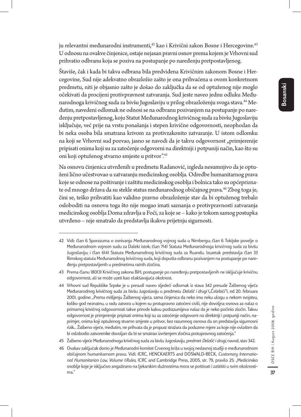ju relevantni međunarodni instrumenti,<sup>42</sup> kao i Krivični zakon Bosne i Hercegovine.<sup>43</sup> U odnosu na ovakve činjenice, ostaje nejasan pravni osnov prema kojem je Vrhovni sud prihvatio odbranu koja se poziva na postupanje po naređenju pretpostavljenog.

Štaviše, čak i kada bi takva odbrana bila predviđena Krivičnim zakonom Bosne i Hercegovine, Sud nije adekvatno obrazložio zašto je ona prihvaćena u ovom konkretnom predmetu, niti je objasnio zašto je došao do zaključka da se od optuženog nije moglo očekivati da procijeni protivpravnost zatvaranja. Sud jeste naveo jednu odluku Međunarodnoga krivičnog suda za bivšu Jugoslaviju u prilog obrazloženju svoga stava.44 Međutim, navedeni odlomak ne odnosi se na odbranu pozivanjem na postupanje po naređenju pretpostavljenog, koju Statut Međunarodnog krivičnog suda za bivšu Jugoslaviju isključuje, već prije na vrstu ponašanja i stepen krivične odgovornosti, neophodan da bi neka osoba bila smatrana krivom za protivzakonito zatvaranje. U istom odlomku na koji se Vrhovni sud pozvao, jasno se navodi da je takvu odgovornost "primjerenije pripisati onima koji su za zatočenje odgovorni na direktniji i potpuniji način, kao što su oni koji optuženog stvarno smjeste u pritvor".45

Na osnovu činjenica utvrđenih u predmetu Radanović, izgleda nesumnjivo da je optuženi lično učestvovao u zatvaranju medicinskog osoblja. Odredbe humanitarnog prava koje se odnose na poštivanje i zaštitu medicinskog osoblja i bolnica tako su općepriznate od mnogo država da su stekle status međunarodnog običajnog prava.<sup>46</sup> Zbog toga je, čini se, teško prihvatiti kao validno pravno obrazloženje stav da bi optuženog trebalo osloboditi na osnovu toga što nije mogao imati saznanja o protivpravnosti zatvaranja medicinskog osoblja Doma zdravlja u Foči, za koje se – kako je tokom samog postupka utvrđeno – nije smatralo da predstavlja ikakvu prijetnju sigurnosti.

<sup>42</sup> Vidi: član 6 Sporazuma o osnivanju Međunarodnog vojnog suda u Nirnbergu; član 6 Tokijske povelje o Međunarodnom vojnom sudu za Daleki istok; član 7(4) Statuta Međunarodnoga krivičnog suda za bivšu Jugoslaviju; i član 6(4) Statuta Međunarodnog krivičnog suda za Ruandu. Izuzetak predstavlja član 33 Rimskog statuta Međunarodnog krivičnog suda, koji dopušta odbranu pozivanjem na postupanje po naređenju pretpostavljenih u predmetima ratnih zločina.

<sup>43</sup> Prema članu 180(3) Krivičnog zakona BiH, postupanje po naređenju pretpostavljenih ne isključuje krivičnu odgovornost, ali se može uzeti kao olakšavajuća okolnost.

<sup>44</sup> Vrhovni sud Republike Srpske je u presudi naveo sljedeći odlomak iz stava 342 presude Žalbenog vijeća Međunarodnog krivičnog suda za bivšu Jugoslaviju u predmetu *Delalić i drugi* ("Čelebići"), od 20. februara 2001. godine: "Prema mišljenju Žalbenog vijeća, sama činjenica da neko ima neku ulogu u nekom svojstvu, koliko god neznatnu, u radu zatvora u kojem su protupravno zatočeni civili, nije dovoljna osnova za nalaz o primarnoj krivičnoj odgovornosti takve prirode kakvu podrazumijeva nalaz da je neko počinio zločin. Takvu odgovornost je primjerenije pripisati onima koji su za zatočenje odgovorni na direktniji i potpuniji način, naprimjer, onima koji optuženog stvarno smjeste u pritvor, bez razumnog osnova da on predstavlja sigurnosni rizik... Žalbeno vijeće, međutim, ne prihvata da je propust stražara da poduzme mjere za koje nije ovlašten da bi oslobodio zatvorenike dovoljan da bi se smatrao izvršenjem zločina protupravnog zatočenja."

<sup>45</sup> Žalbeno vijeće Međunarodnoga krivičnog suda za bivšu Jugoslaviju, predmet *Delalić i drugi*, navod, stav 342.

<sup>46</sup> Ovakav zaključak donio je Međunarodni komitet Crvenog križa u svojoj nedavnoj studiji o međunarodnom običajnom humanitarnom pravu. Vidi: ICRC, HENCKAERTS and DOSWALD-BECK, *Customary International Humanitarian Law, Volume 1:Rules*, ICRC and Cambridge Press, 2005, str. 79, pravilo 25: "Medicinsko osoblje koje je isključivo angažirano na ljekarskim dužnostima mora se poštivati i zaštititi u svim okolnostima."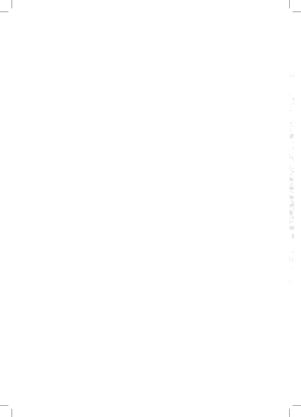计区分 医心包性贫血 化基苯基代苯胺 医诺曼塞斯 医德国斯特斯 建四氢乙烯 网络塔尔

 $\overline{\phantom{a}}$ 

 $\overline{\phantom{a}}$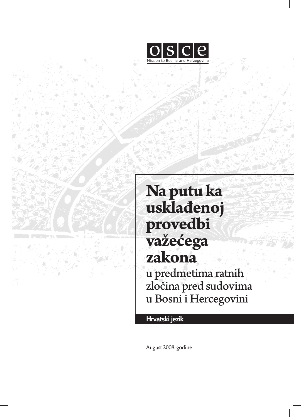

# **Na putu ka usklađenoj provedbi važećega zakona**

u predmetima ratnih zločina pred sudovima u Bosni i Hercegovini

Hrvatski jezik

August 2008. godine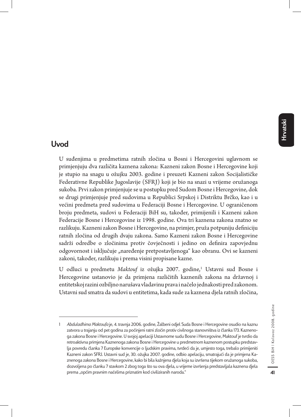### Uvod

U suđenjima u predmetima ratnih zločina u Bosni i Hercegovini uglavnom se primjenjuju dva različita kaznena zakona: Kazneni zakon Bosne i Hercegovine koji je stupio na snagu u ožujku 2003. godine i preuzeti Kazneni zakon Socijalističke Federativne Republike Jugoslavije (SFRJ) koji je bio na snazi u vrijeme oružanoga sukoba. Prvi zakon primjenjuje se u postupku pred Sudom Bosne i Hercegovine, dok se drugi primjenjuje pred sudovima u Republici Srpskoj i Distriktu Brčko, kao i u većini predmeta pred sudovima u Federaciji Bosne i Hercegovine. U ograničenom broju predmeta, sudovi u Federaciji BiH su, također, primijenili i Kazneni zakon Federacije Bosne i Hercegovine iz 1998. godine. Ova tri kaznena zakona znatno se razlikuju. Kazneni zakon Bosne i Hercegovine, na primjer, pruža potpuniju definiciju ratnih zločina od drugih dvaju zakona. Samo Kazneni zakon Bosne i Hercegovine sadrži odredbe o zločinima protiv čovječnosti i jedino on definira zapovjednu odgovornost i isključuje "naređenje pretpostavljenoga" kao obranu. Ovi se kazneni zakoni, također, razlikuju i prema visini propisane kazne.

U odluci u predmetu *Maktouf* iz ožujka 2007. godine,<sup>1</sup> Ustavni sud Bosne i Hercegovine ustanovio je da primjena različitih kaznenih zakona na državnoj i entitetskoj razini ozbiljno narušava vladavinu prava i načelo jednakosti pred zakonom. Ustavni sud smatra da sudovi u entitetima, kada sude za kaznena djela ratnih zločina,

<sup>1</sup> *Abduladhima Maktoufa* je, 4. travnja 2006. godine, Žalbeni odjel Suda Bosne i Hercegovine osudio na kaznu zatvora u trajanju od pet godina za počinjeni ratni zločin protiv civilnoga stanovništva iz članka 173. Kaznenoga zakona Bosne i Hercegovine. U svojoj apelaciji Ustavnome sudu Bosne i Hercegovine, Maktouf je tvrdio da retroaktivna primjena Kaznenoga zakona Bosne i Hercegovine u predmetnom kaznenom postupku predstavlja povredu članka 7 Europske konvencije o ljudskim pravima, tvrdeći da je, umjesto toga, trebalo primijeniti Kazneni zakon SFRJ. Ustavni sud je, 30. ožujka 2007. godine, odbio apelaciju, smatrajući da je primjena Kaznenoga zakona Bosne i Hercegovine, kako bi bila kažnjena djela koja su izvršena tijekom oružanoga sukoba, dozvoljena po članku 7 stavkom 2 zbog toga što su ova djela, u vrijeme izvršenja predstavljala kaznena djela prema "općim pravnim načelima priznatim kod civiliziranih naroda."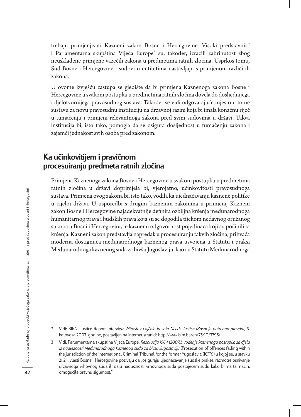trebaju primjenjivati Kazneni zakon Bosne i Hercegovine. Visoki predstavnik<sup>2</sup> i Parlamentarna skupština Vijeća Europe<sup>3</sup> su, također, izrazili zabrinutost zbog neusklađene primjene važećih zakona u predmetima ratnih zločina. Usprkos tomu, Sud Bosne i Hercegovine i sudovi u entitetima nastavljaju s primjenom različitih zakona.

U ovome izvješću zastupa se gledište da bi primjena Kaznenoga zakona Bosne i Hercegovine u svakom postupku u predmetima ratnih zločina dovela do dosljednijega i djelotvornijega pravosudnog sustava. Također se vidi odgovarajuće mjesto u tome sustavu za novu pravosudnu instituciju na državnoj razini koja bi imala konačnu riječ u tumačenju i primjeni relevantnoga zakona pred svim sudovima u državi. Takva institucija bi, isto tako, pomogla da se osigura dosljednost u tumačenju zakona i zajamči jednakost svih osoba pred zakonom.

#### Ka učinkovitijem i pravičnom procesuiranju predmeta ratnih zločina

Primjena Kaznenoga zakona Bosne i Hercegovine u svakom postupku u predmetima ratnih zločina u državi doprinijela bi, vjerojatno, učinkovitosti pravosudnoga sustava. Primjena ovog zakona bi, isto tako, vodila ka ujednačavanju kaznene politike u cijeloj državi. U usporedbi s drugim kaznenim zakonima u primjeni, Kazneni zakon Bosne i Hercegovine najadekvatnije definira ozbiljna kršenja međunarodnoga humanitarnog prava i ljudskih prava koja su se dogodila tijekom nedavnog oružanog sukoba u Bosni i Hercegovini, te kaznenu odgovornost pojedinaca koji su počinili ta kršenja. Kazneni zakon predstavlja napredak u procesuiranju takvih zločina, prihvaća moderna dostignuća međunarodnoga kaznenog prava usvojena u Statutu i praksi Međunarodnoga kaznenog suda za bivšu Jugoslaviju, kao i u Statutu Međunarodnoga

<sup>2</sup> Vidi: BIRN, Justice Report Interview, *Miroslav Lajčak: Bosnia Needs Justice (Bosni je potrebna pravda)*, 6. kolovoza 2007. godine, postavljen na internet stranici: http://www.bim.ba/en/75/10/3795/.

<sup>3</sup> Vidi: Parlamentarna skupština Vijeća Europe, *Rezolucija 1564 (2007.)*, *Vođenje kaznenoga postupka za djela iz nadležnosti Međunarodnoga kaznenog suda za bivšu Jugoslaviju* (Prosecution of offences falling within the jurisdiction of the International Criminal Tribunal for the former Yugoslavia (ICTY)) u kojoj se, u stavku 21.2.1, vlasti Bosne i Hercegovine pozivaju da "osiguraju ujednačavanje sudske prakse, razmotre osnivanje državnoga vrhovnog suda ili daju nadležnosti vrhovnoga suda postojećem sudu kako bi, na taj način, omogućile pravnu sigurnost."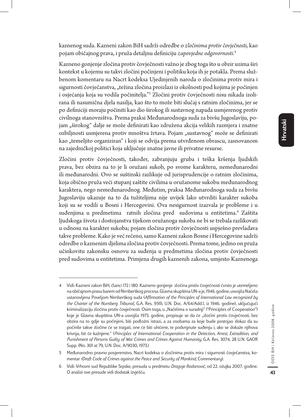kaznenog suda. Kazneni zakon BiH sadrži odredbe o *zločinima protiv čovječnosti,* kao pojam običajnog prava, i pruža detaljnu definiciju *zapovjedne odgovornosti*. 4

Kazneno gonjenje zločina protiv čovječnosti važno je zbog toga što u obzir uzima širi kontekst u kojemu su takvi zločini počinjeni i politiku koja ih je potakla. Prema službenom komentaru na Nacrt kodeksa Ujedinjenih naroda o zločinima protiv mira i sigurnosti čovječanstva, "težina zločina proizlazi iz okolnosti pod kojima je počinjen i osjećanja koja su vodila počinitelja."5 Zločini protiv čovječnosti nisu nikada izolirana ili nasumična djela nasilja, kao što to može biti slučaj s ratnim zločinima, jer se po definiciji moraju počiniti kao dio širokog ili sustavnog napada usmjerenog protiv civilnoga stanovništva. Prema praksi Međunarodnoga suda za bivšu Jugoslaviju, pojam "širokog" dalje se može definirati kao združena akcija velikih razmjera i znatne ozbiljnosti usmjerena protiv mnoštva žrtava. Pojam "sustavnog" može se definirati kao "temeljito organiziran" i koji se odvija prema utvrđenom obrascu, zasnovanom na zajedničkoj politici koja uključuje znatne javne ili privatne resurse.

Zločini protiv čovječnosti, također, zabranjuju gruba i teška kršenja ljudskih prava, bez obzira na to je li oružani sukob, po svome karakteru, nemeđunarodni ili međunarodni. Ovo se suštinski razlikuje od jurisprudencije o ratnim zločinima, koja obično pruža veći stupanj zaštite civilima u oružanome sukobu međunarodnog karaktera, nego nemeđunarodnog. Međutim, praksa Međunarodnoga suda za bivšu Jugoslaviju ukazuje na to da tužiteljima nije uvijek lako utvrditi karakter sukoba koji su se vodili u Bosni i Hercegovini. Ova nesigurnost izazvala je probleme i u suđenjima u predmetima ratnih zločina pred sudovima u entitetima.<sup>6</sup> Zaštita ljudskoga života i dostojanstva tijekom oružanoga sukoba ne bi se trebala razlikovati u odnosu na karakter sukoba; pojam zločina protiv čovječnosti uspješno prevladava takve probleme. Kako je već rečeno, samo Kazneni zakon Bosne i Hercegovine sadrži odredbe o kaznenim djelima zločina protiv čovječnosti. Prema tome, jedino on pruža učinkovitu zakonsku osnovu za suđenja u predmetima zločina protiv čovječnosti pred sudovima u entitetima. Primjena drugih kaznenih zakona, umjesto Kaznenoga

godine

<sup>4</sup> Vidi: Kazneni zakon BiH, članci 172 i 180. Kazneno gonjenje zločina protiv čovječnosti čvrsto je utemeljeno na običajnom pravu barem od Nirnberškog procesa. Glavna skupština UN-a je, 1946. godine, usvojila Načela ustanovljena Poveljom Nirnberškog suda (*Affirmation of the Principles of International Law recognized by the Charter of the Nurnberg Tribunal,* G.A. Res. 95(I), U.N. Doc. A/64/Add.1, iz 1946. godine), uključujući kriminalizaciju zločina protiv čovječnosti. Osim toga, u "Načelima o suradnji" ("Principles of Cooperation") koje je Glavna skupština UN-a usvojila 1973. godine, propisuje se da će "zločini protiv čovječnosti, bez obzira na to gdje su počinjeni, biti podložni istrazi, a za osobama za koje bude postojao dokaz da su počinile takve zločine će se tragati, one će biti uhićene, te podvrgnute suđenju i, ako se dokaže njihova krivnja, bit će kažnjene." (*Principles of International Cooperation in the Detection, Arrest, Extradition, and Punishment of Persons Guilty of War Crimes and Crimes Against Humanity,* G.A. Res. 3074, 28 U.N. GAOR Supp. (No. 30) at 79, U.N. Doc. A/9030, 1973.)

<sup>5</sup> Međunarodno pravno povjerenstvo, Nacrt kodeksa o zločinima protiv mira i sigurnosti čovječanstva, komentar *(Draft Code of Crimes against the Peace and Security of Mankind*, Commentary).

<sup>6</sup> Vidi: Vrhovni sud Republike Srpske, presuda u predmetu *Dragoje Radanović,* od 22. ožujka 2007. godine. O analizi ove presude vidi dodatak izvješću.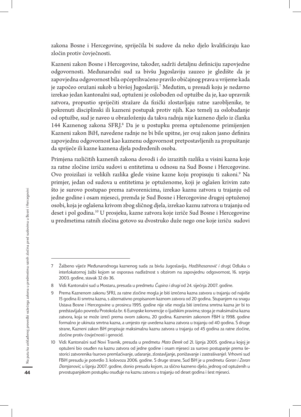zakona Bosne i Hercegovine, spriječila bi sudove da neko djelo kvalificiraju kao zločin protiv čovječnosti.

Kazneni zakon Bosne i Hercegovine, također, sadrži detaljnu definiciju zapovjedne odgovornosti. Međunarodni sud za bivšu Jugoslaviju zauzeo je gledište da je zapovjedna odgovornost bila općeprihvaćeno pravilo običajnog prava u vrijeme kada je započeo oružani sukob u bivšoj Jugoslaviji.7 Međutim, u presudi koju je nedavno izrekao jedan kantonalni sud, optuženi je oslobođen od optužbe da je, kao upravnik zatvora, propustio spriječiti stražare da fizički zlostavljaju ratne zarobljenike, te pokrenuti disciplinski ili kazneni postupak protiv njih. Kao temelj za oslobađanje od optužbe, sud je naveo u obrazloženju da takva radnja nije kazneno djelo iz članka 144 Kaznenog zakona SFRJ.8 Da je u postupku prema optuženome primijenjen Kazneni zakon BiH, navedene radnje ne bi bile upitne, jer ovaj zakon jasno definira zapovjednu odgovornost kao kaznenu odgovornost pretpostavljenih za propuštanje da spriječe ili kazne kaznena djela podređenih osoba.

Primjena različitih kaznenih zakona dovodi i do izrazitih razlika u visini kazna koje za ratne zločine izriču sudovi u entitetima u odnosu na Sud Bosne i Hercegovine. Ovo proizilazi iz velikih razlika glede visine kazne koju propisuju ti zakoni.9 Na primjer, jedan od sudova u entitetima je optuženome, koji je oglašen krivim zato što je surovo postupao prema zatvorenicima, izrekao kaznu zatvora u trajanju od jedne godine i osam mjeseci, premda je Sud Bosne i Hercegovine drugoj optuženoj osobi, koja je oglašena krivom zbog sličnog djela, izrekao kaznu zatvora u trajanju od deset i pol godina.10 U prosjeku, kazne zatvora koje izriče Sud Bosne i Hercegovine u predmetima ratnih zločina gotovo su dvostruko duže nego one koje izriču sudovi

<sup>7</sup> Žalbeno vijeće Međunarodnoga kaznenog suda za bivšu Jugoslaviju, *Hadžihasanović i drugi*; Odluka o interlokatornoj žalbi kojom se osporava nadležnost s obzirom na zapovjednu odgovornost, 16. srpnja 2003. godine, stavak 32 do 36.

<sup>8</sup> Vidi: Kantonalni sud u Mostaru, presuda u predmetu *Čupina i drugi* od 24. siječnja 2007. godine.

<sup>9</sup> Prema Kaznenom zakonu SFRJ, za ratne zločine mogla je biti izrečena kazna zatvora u trajanju od najviše 15 godina ili smrtna kazna, s alternativno propisanom kaznom zatvora od 20 godina. Stupanjem na snagu Ustava Bosne i Hercegovine u prosincu 1995. godine nije više mogla biti izrečena smrtna kazna jer bi to predstavljalo povredu Protokola br. 6 Europske konvencije o ljudskim pravima; stoga je maksimalna kazna zatvora, koja se može izreći prema ovom zakonu, 20 godina. Kaznenim zakonom FBiH iz 1998. godine formalno je ukinuta smrtna kazna, a umjesto nje uvedena kazna zatvora u trajanju od 40 godina. S druge strane, Kazneni zakon BiH propisuje maksimalnu kaznu zatvora u trajanju od 45 godina za ratne zločine, zločine protiv čovječnosti i genocid.

<sup>10</sup> Vidi: Kantonalni sud Novi Travnik, presuda u predmetu *Mato Đerek* od 21. lipnja 2005. godine,u kojoj je optuženi bio osuđen na kaznu zatvora od jedne godine i osam mjeseci za surovo postupanje prema šestorici zatvorenika (surovo premlaćivanje, udaranje, zlostavljanje, ponižavanje i zastrašivanje). Vrhovni sud FBiH presudu je potvrdio 3. kolovoza 2006. godine. S druge strane, Sud BiH je u predmetu *Goran i Zoran Damjanović,* u lipnju 2007. godine, donio presudu kojom, za slično kazneno djelo, jednog od optuženih u prvostupanjskom postupku osuđuje na kaznu zatvora u trajanju od deset godina i šest mjeseci.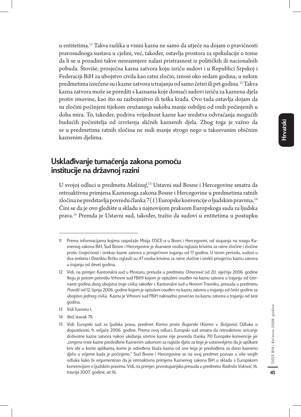u entitetima.11 Takva razlika u visini kazna ne samo da utječe na dojam o pravičnosti pravosudnoga sustava u cjelini, već, također, ostavlja prostora za spekulacije o tome da li se u pozadini takve nesrazmjere nalazi pristrasnost iz političkih ili nacionalnih pobuda. Štoviše, prosječna kazna zatvora koju izriču sudovi i u Republici Srpskoj i Federaciji BiH za ubojstvo civila kao ratni zločin, iznosi oko sedam godina; u nekim predmetima izrečene su i kazne zatvora u trajanju od samo četiri ili pet godina.12 Takva kazna zatvora može se porediti s kaznama koje domaći sudovi izriču za kaznena djela protiv imovine, kao što su razbojništvo ili teška krađa. Ovo tada ostavlja dojam da su zločini počinjeni tijekom oružanoga sukoba manje ozbiljni od onih počinjenih u doba mira. To, također, podriva vrijednost kazne kao sredstva odvraćanja mogućih budućih počinitelja od izvršenja sličnih kaznenih djela. Zbog toga je važno da se u predmetima ratnih zločina ne sudi manje strogo nego u takozvanim običnim kaznenim djelima.

#### Usklađivanje tumačenja zakona pomoću institucije na državnoj razini

U svojoj odluci u predmetu *Maktouf*, 13 Ustavni sud Bosne i Hercegovine smatra da retroaktivna primjena Kaznenoga zakona Bosne i Hercegovine u predmetima ratnih zločina ne predstavlja povredu članka  $7(1)$  Europske konvencije o ljudskim pravima.<sup>14</sup> Čini se da je ovo gledište u skladu s najnovijom praksom Europskoga suda za ljudska prava.15 Premda je Ustavni sud, također, tražio da sudovi u entitetima u postupku

- 13 Vidi fusnotu 1.
- 14 *Ibid,* stavak 79.

<sup>11</sup> Prema informacijama kojima raspolaže Misija OSCE-a u Bosni i Hercegovini, od stupanja na snagu Kaznenog zakona BiH, Sud Bosne i Hercegovine je dvanaest osoba oglasio krivima za ratne zločine i zločine protiv čovječnosti i izrekao kazne zatvora u prosječnom trajanju od 17 godina. U istom periodu, sudovi u dva entiteta i Distriktu Brčko oglasili su 47 osoba krivima za ratne zločine i izrekli prosječnu kaznu zatvora u trajanju od devet godina.

<sup>12</sup> Vidi, na primjer: Kantonalni sud u Mostaru, presuda u predmetu *Omanović* od 20. siječnja 2006. godine (koju je potom potvrdio Vrhovni sud FBiH) kojom je optuženi osuđen na kaznu zatvora u trajanju od četrnaest godina zbog ubojstva troje civila; također i: Kantonalni sud u Novom Travniku, presuda u predmetu *Pravdić* od 12. lipnja 2006. godine kojom je optuženi osuđen na kaznu zatvora u trajanju od četiri godine za ubojstvo jednog civila. Kaznu je Vrhovni sud FBiH naknadno povećao na kaznu zatvora u trajanju od šest godina.

<sup>15</sup> Vidi: Europski sud za ljudska prava, predmet *Karmo protiv Bugarske* (*Karmo v. Bulgaria),* Odluka o dopustivosti, 9. veljače 2006. godine. Prema ovoj odluci, Europski sud smatra da retroaktivno izricanje doživotne kazne zatvora nakon ukidanja smrtne kazne nije povreda članka 7(1) Europske konvencije jer "izmjena vrste kazne predviđene Kaznenim zakonom za najteže djelo za koje je ustanovljeno da je aplikant kriv ide u korist aplikanta, kome je određena blaža kazna od one koja je predviđena za dano kazneno djelo u vrijeme kada je počinjeno." Sud Bosne i Hercegovine se na ovaj predmet pozvao u više svojih odluka kako bi argumentirao da je retroaktivna primjena Kaznenog zakona BiH u skladu s Europskom konvencijom o ljudskim pravima. Vidi, na primjer: prvostupanjska presuda u predmetu *Radmilo Vuković*, 16. travnja 2007. godine, str.16.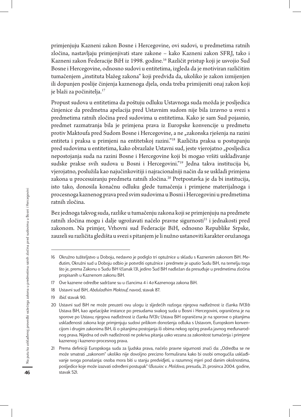primjenjuju Kazneni zakon Bosne i Hercegovine, ovi sudovi, u predmetima ratnih zločina, nastavljaju primjenjivati stare zakone – kako Kazneni zakon SFRJ, tako i Kazneni zakon Federacije BiH iz 1998. godine.<sup>16</sup> Različit pristup koji je usvojio Sud Bosne i Hercegovine, odnosno sudovi u entitetima, izgleda da je motiviran različitim tumačenjem "instituta blažeg zakona" koji predviđa da, ukoliko je zakon izmijenjen ili dopunjen poslije činjenja kaznenoga djela, onda treba primijeniti onaj zakon koji je blaži za počinitelja.17

Propust sudova u entitetima da poštuju odluku Ustavnoga suda možda je posljedica činjenice da predmetna apelacija pred Ustavnim sudom nije bila izravno u svezi s predmetima ratnih zločina pred sudovima u entitetima. Kako je sam Sud pojasnio, predmet razmatranja bila je primjena prava iz Europske konvencije u predmetu protiv Maktoufa pred Sudom Bosne i Hercegovine, a ne "zakonska rješenja na razini entiteta i praksa u primjeni na entitetskoj razini."18 Različita praksa u postupanju pred sudovima u entitetima, kako obrazlaže Ustavni sud, jeste vjerojatno "posljedica nepostojanja suda na razini Bosne i Hercegovine koji bi mogao vršiti usklađivanje sudske prakse svih sudova u Bosni i Hercegovini."19 Jedna takva institucija bi, vjerojatno, poslužila kao najučinkovitiji i najracionalniji način da se uskladi primjena zakona u procesuiranju predmeta ratnih zločina.20 Pretpostavka je da bi institucija, isto tako, donosila konačnu odluku glede tumačenja i primjene materijalnoga i procesnoga kaznenog prava pred svim sudovima u Bosni i Hercegovini u predmetima ratnih zločina.

Bez jednoga takvog suda, razlike u tumačenju zakona koji se primjenjuju na predmete ratnih zločina mogu i dalje ugrožavati načelo pravne sigurnosti<sup>21</sup> i jednakosti pred zakonom. Na primjer, Vrhovni sud Federacije BiH, odnosno Republike Srpske, zauzeli su različita gledišta u svezi s pitanjem je li nužno ustanoviti karakter oružanoga

<sup>16</sup> Okružno tužiteljstvo u Doboju, nedavno je podiglo tri optužnice u skladu s Kaznenim zakonom BiH. Međutim, Okružni sud u Doboju odbio je potvrditi optužnice i predmete je uputio Sudu BiH, na temelju toga što je, prema Zakonu o Sudu BiH (članak 13), jedino Sud BiH nadležan da presuđuje u predmetima zločina propisanih u Kaznenom zakonu BiH.

<sup>17</sup> Ove kaznene odredbe sadržane su u člancima 4 i 4*a* Kaznenoga zakona BiH.

<sup>18</sup> Ustavni sud BiH, *Abduladhim Maktouf*, navod, stavak 87.

<sup>19</sup> *Ibid.* stavak 90.

<sup>20</sup> Ustavni sud BiH ne može preuzeti ovu ulogu iz sljedećih razloga: njegova nadležnost iz članka IV(3)*b* Ustava BiH, kao apelacijske instance po presudama svakog suda u Bosni i Hercegovini, ograničena je na sporove po Ustavu; njegova nadležnost iz članka IV(3)*c* Ustava BiH ograničena je na sporove o pitanjima usklađenosti zakona koje primjenjuju sudovi prilikom donošenja odluka s Ustavom, Europskom konvencijom i drugim zakonima BiH, ili o pitanjima postojanja ili obima nekog općeg pravila javnog međunarodnog prava. Nijedna od ovih nadležnosti ne pokriva pitanja usko vezana za zakonitost tumačenja i primjene kaznenog i kazneno-procesnog prava.

<sup>21</sup> Prema definiciji Europskoga suda za ljudska prava, načelo pravne sigurnosti znači da: "Odredba se ne može smatrati "zakonom" ukoliko nije dovoljno precizno formulirana kako bi osobi omogućila usklađivanje svoga ponašanja: osoba mora biti u stanju predvidjeti, u razumnoj mjeri pod danim okolnostima, posljedice koje može izazvati određeni postupak" (*Busuioc v. Moldova*, presuda, 21. prosinca 2004. godine, stavak 52).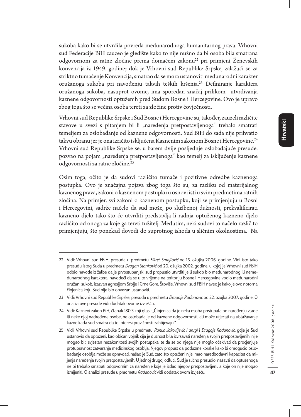sukoba kako bi se utvrdila povreda međunarodnoga humanitarnog prava. Vrhovni sud Federacije BiH zauzeo je gledište kako to nije nužno da bi osoba bila smatrana odgovornom za ratne zločine prema domaćem zakonu<sup>22</sup> pri primjeni Ženevskih konvencija iz 1949. godine; dok je Vrhovni sud Republike Srpske, zalažući se za striktno tumačenje Konvencija, smatrao da se mora ustanoviti međunarodni karakter oružanoga sukoba pri navođenju takvih teških kršenja.23 Definiranje karaktera oružanoga sukoba, nasuprot ovome, ima sporedan značaj prilikom utvrđivanja kaznene odgovornosti optuženih pred Sudom Bosne i Hercegovine. Ovo je upravo zbog toga što se većina osoba tereti za zločine protiv čovječnosti.

Vrhovni sud Republike Srpske i Sud Bosne i Hercegovine su, također, zauzeli različite stavove u svezi s pitanjem bi li "naređenja pretpostavljenoga" trebalo smatrati temeljem za oslobađanje od kaznene odgovornosti. Sud BiH do sada nije prihvatio takvu obranu jer je ona izričito isključena Kaznenim zakonom Bosne i Hercegovine.<sup>24</sup> Vrhovni sud Republike Srpske se, u barem dvije posljednje oslobađajuće presude, pozvao na pojam "naređenja pretpostavljenoga" kao temelj za isključenje kaznene odgovornosti za ratne zločine.25

Osim toga, očito je da sudovi različito tumače i pozitivne odredbe kaznenoga postupka. Ovo je značajna pojava zbog toga što su, za razliku od materijalnog kaznenog prava, zakoni o kaznenom postupku u osnovi isti u svim predmetima ratnih zločina. Na primjer, svi zakoni o kaznenom postupku, koji se primjenjuju u Bosni i Hercegovini, sadrže načelo da sud može, po službenoj dužnosti, prekvalificirati kazneno djelo tako što će utvrditi predstavlja li radnja optuženog kazneno djelo različito od onoga za koje ga tereti tužitelj. Međutim, neki sudovi to načelo različito primjenjuju, što ponekad dovodi do suprotnog ishoda u sličnim okolnostima. Na

<sup>22</sup> Vidi: Vrhovni sud FBiH, presuda u predmetu *Fikret Smajlović* od 16. ožujka 2006. godine. Vidi isto tako presudu istog Suda u predmetu *Dragan Stanković* od 20. ožujka 2002. godine, u kojoj je Vrhovni sud FBiH odbio navode iz žalbe da je prvostupanjski sud propustio utvrditi je li sukob bio međunarodnog ili nemeđunarodnog karaktera, navodeći da se u to vrijeme na teritoriju Bosne i Hercegovine vodio međunarodni oružani sukob, izazvan agresijom Srbije i Crne Gore. Štoviše, Vrhovni sud FBiH naveo je kako je ovo notorna činjenica koju Sud nije bio obvezan ustanoviti.

<sup>23</sup> Vidi: Vrhovni sud Republike Srpske, presuda u predmetu *Dragoje Radanović* od 22. ožujka 2007. godine. O analizi ove presude vidi dodatak ovome izvješću.

<sup>24</sup> Vidi: Kazneni zakon BiH, članak 180.3 koji glasi: "Činjenica da je neka osoba postupala po naređenju vlade ili neke njoj nadređene osobe, ne oslobađa je od kaznene odgovornosti, ali može utjecati na ublažavanje kazne kada sud smatra da to interesi pravičnosti zahtijevaju."

<sup>25</sup> Vidi: Vrhovni sud Republike Srpske u predmetu *Ranko Jakovljević i drugi* i *Dragoje Radanović,* gdje je Sud ustanovio da optuženi, kao običan vojnik čija je dužnost bila izvršavati naređenja svojih pretpostavljenih, nije mogao biti svjestan nezakonitosti svojih postupaka, te da se od njega nije moglo očekivati da procjenjuje protupravnost zatvaranja medicinskog osoblja. Njegov propust da poduzme korake kako bi omogućio oslobađanje osoblja može se opravdati, našao je Sud, zato što optuženi nije imao naredbodavni kapacitet da mijenja naređenja svojih pretpostavljenih. U jednoj drugoj odluci, Sud je slično presudio, našavši da optuženoga ne bi trebalo smatrati odgovornim za naređenje koje je izdao njegov pretpostavljeni, a koje on nije mogao izmijeniti. O analizi presude u pradmetu *Radanović* vidi dodatak ovom izvješću.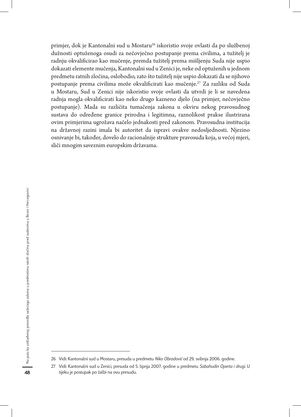primjer, dok je Kantonalni sud u Mostaru<sup>26</sup> iskoristio svoje ovlasti da po službenoj dužnosti optuženoga osudi za nečovječno postupanje prema civilima, a tužitelj je radnju okvalificirao kao mučenje, premda tužitelj prema mišljenju Suda nije uspio dokazati elemente mučenja, Kantonalni sud u Zenici je, neke od optuženih u jednom predmetu ratnih zločina, oslobodio, zato što tužitelj nije uspio dokazati da se njihovo postupanje prema civilima može okvalificirati kao mučenje.27 Za razliku od Suda u Mostaru, Sud u Zenici nije iskoristio svoje ovlasti da utvrdi je li se navedena radnja mogla okvalificirati kao neko drugo kazneno djelo (na primjer, nečovječno postupanje). Mada su različita tumačenja zakona u okviru nekog pravosudnog sustava do određene granice prirodna i legitimna, raznolikost prakse ilustrirana ovim primjerima ugrožava načelo jednakosti pred zakonom. Pravosudna institucija na državnoj razini imala bi autoritet da ispravi ovakve nedosljednosti. Njezino osnivanje bi, također, dovelo do racionalnije strukture pravosuđa koja, u većoj mjeri, sliči mnogim saveznim europskim državama.

<sup>26</sup> Vidi: Kantonalni sud u Mostaru, presuda u predmetu *Niko Obradović* od 29. svibnja 2006. godine.

<sup>27</sup> Vidi: Kantonalni sud u Zenici, presuda od 5. lipnja 2007. godine u predmetu *Sabahudin Operta i drugi.* U tijeku je postupak po žalbi na ovu presudu.

<sup>48</sup>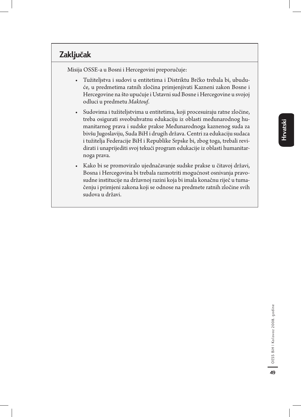### Zaključak

Misija OSSE-a u Bosni i Hercegovini preporučuje:

- • Tužiteljstva i sudovi u entitetima i Distriktu Brčko trebala bi, ubuduće, u predmetima ratnih zločina primjenjivati Kazneni zakon Bosne i Hercegovine na što upućuje i Ustavni sud Bosne i Hercegovine u svojoj odluci u predmetu *Maktouf*.
- Sudovima i tužiteljstvima u entitetima, koji procesuiraju ratne zločine, treba osigurati sveobuhvatnu edukaciju iz oblasti međunarodnog humanitarnog prava i sudske prakse Međunarodnoga kaznenog suda za bivšu Jugoslaviju, Suda BiH i drugih država. Centri za edukaciju sudaca i tužitelja Federacije BiH i Republike Srpske bi, zbog toga, trebali revidirati i unaprijediti svoj tekući program edukacije iz oblasti humanitarnoga prava.
- Kako bi se promoviralo ujednačavanje sudske prakse u čitavoj državi, Bosna i Hercegovina bi trebala razmotriti mogućnost osnivanja pravosudne institucije na državnoj razini koja bi imala konačnu riječ u tumačenju i primjeni zakona koji se odnose na predmete ratnih zločine svih sudova u državi.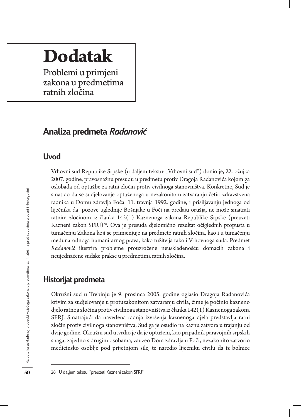# **Dodatak**

Problemi u primjeni zakona u predmetima ratnih zločina

## Analiza predmeta *Radanović*

#### Uvod

Vrhovni sud Republike Srpske (u daljem tekstu: "Vrhovni sud") donio je, 22. ožujka 2007. godine, pravosnažnu presudu u predmetu protiv Dragoja Radanovića kojom ga oslobađa od optužbe za ratni zločin protiv civilnoga stanovništva. Konkretno, Sud je smatrao da se sudjelovanje optuženoga u nezakonitom zatvaranju četiri zdravstvena radnika u Domu zdravlja Foča, 11. travnja 1992. godine, i prisiljavanju jednoga od liječnika da pozove uglednije Bošnjake u Foči na predaju oružja, ne može smatrati ratnim zločinom iz članka 142(1) Kaznenoga zakona Republike Srpske (preuzeti Kazneni zakon SFRJ)<sup>28</sup>. Ova je presuda djelomično rezultat očiglednih propusta u tumačenju Zakona koji se primjenjuje na predmete ratnih zločina, kao i u tumačenju međunarodnoga humanitarnog prava, kako tužitelja tako i Vrhovnoga suda. Predmet *Radanović* ilustrira probleme prouzročene neusklađenošću domaćih zakona i neujednačene sudske prakse u predmetima ratnih zločina.

#### Historijat predmeta

Okružni sud u Trebinju je 9. prosinca 2005. godine oglasio Dragoja Radanovića krivim za sudjelovanje u protuzakonitom zatvaranju civila, čime je počinio kazneno djelo ratnog zločina protiv civilnoga stanovništva iz članka 142(1) Kaznenoga zakona SFRJ. Smatrajući da navedena radnja izvršenja kaznenoga djela predstavlja ratni zločin protiv civilnoga stanovništva, Sud ga je osudio na kaznu zatvora u trajanju od dvije godine. Okružni sud utvrdio je da je optuženi, kao pripadnik paravojnih srpskih snaga, zajedno s drugim osobama, zauzeo Dom zdravlja u Foči, nezakonito zatvorio medicinsko osoblje pod prijetnjom sile, te naredio liječniku civilu da iz bolnice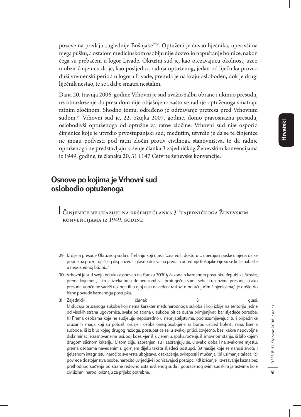pozove na predaju "uglednije Bošnjake"<sup>29</sup>. Optuženi je čuvao liječnika, uperivši na njega pušku, a ostalom medicinskom osoblju nije dozvolio napuštanje bolnice, nakon čega su prebačeni u logor Livade. Okružni sud je, kao otežavajuću okolnost, uzeo u obzir činjenicu da je, kao posljedica radnja optuženog, jedan od liječnika proveo duži vremenski period u logoru Livade, premda je na kraju oslobođen, dok je drugi liječnik nestao, te se i dalje smatra nestalim.

Dana 20. travnja 2006. godine Vrhovni je sud uvažio žalbu obrane i ukinuo presudu, uz obrazloženje da presudom nije objašnjeno zašto se radnje optuženoga smatraju ratnim zločinom. Shodno tomu, određeno je održavanje pretresa pred Vrhovnim sudom.30 Vrhovni sud je, 22. ožujka 2007. godine, donio pravosnažnu presudu, oslobodivši optuženoga od optužbe za ratne zločine. Vrhovni sud nije osporio činjenice koje je utvrdio prvostupanjski sud; međutim, utvrdio je da se te činjenice ne mogu podvesti pod ratni zločin protiv civilnoga stanovništva, te da radnje optuženoga ne predstavljaju kršenje članka 3 zajedničkog Ženevskim konvencijama iz 1949. godine, te članaka 20, 31 i 147 Četvrte ženevske konvencije.

#### Osnove po kojima je Vrhovni sud oslobodio optuženoga

 Činjenice ne ukazuju na kršenje članka 331zajedničkoga Ženevskim konvencijama iz 1949. godine

<sup>29</sup> Iz dijela presude Okružnog suda u Trebinju koji glasi: "…naredili doktoru ... uperujući puške u njega da se popne na prozor djećijeg dispanzera i glasno doziva na predaju uglednije Bošnjake ćije su se kuće nalazile u neposrednoj blizini..."

<sup>30</sup> Vrhovni je sud svoju odluku zasnovao na članku 303(1)*j* Zakona o kaznenom postupku Republike Srpske, prema kojemu: "...ako je izreka presude nerazumljiva, proturječna sama sebi ili razlozima presude, ili ako presuda uopće ne sadrži razloge ili u njoj nisu navedeni razlozi o odlučujućim činjenicama," je došlo do bitne povrede kaznenoga postupka.

<sup>31</sup> Zajednički članak 3 glasi: U slučaju oružanoga sukoba koji nema karakter međunarodnoga sukoba i koji izbije na teritoriju jedne od visokih strana ugovornica, svaka od strana u sukobu bit će dužna primjenjivati bar sljedeće odredbe: (1) Prema osobama koje ne sudjeluju neposredno u neprijateljstvima, podrazumijevajući tu i pripadnike oružanih snaga koji su položili oružje i osobe onesposobljene za borbu uslijed bolesti, rana, lišenja slobode, ili iz bilo kojeg drugog razloga, postupat će se, u svakoj prilici, čovječno, bez ikakve nepovoljne diskriminacije zasnovane na rasi, boji kože, vjeri ili uvjerenju, spolu, rođenju ili imovnom stanju, ili bilo kojem drugom sličnom kriteriju. U tom cilju, zabranjeni su i zabranjuju se, u svako doba i na svakome mjestu, prema osobama navedenim u gornjem dijelu teksta sljedeći postupci: (a) nasilje koje se nanosi životu i tjelesnom integritetu, naročito sve vrste ubojstava, osakaćenja, svireposti i mučenja; (b) uzimanje talaca; (c) povrede dostojanstva osobe, naročito uvrjedljivi i ponižavajući postupci; (d) izricanje i izvršavanje kazna bez prethodnog suđenja od strane redovno ustanovljenog suda i popraćenog svim sudskim jamstvima koje civilizirani narodi priznaju za prijeko potrebne.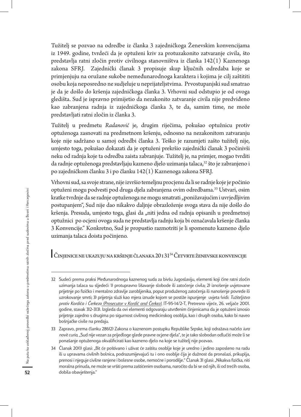Tužitelj se pozvao na odredbe iz članka 3 zajedničkoga Ženevskim konvencijama iz 1949. godine, tvrdeći da je optuženi kriv za protuzakonito zatvaranje civila, što predstavlja ratni zločin protiv civilnoga stanovništva iz članka 142(1) Kaznenoga zakona SFRJ. Zajednički članak 3 propisuje skup ključnih odredaba koje se primjenjuju na oružane sukobe nemeđunarodnoga karaktera i kojima je cilj zaštititi osobu koja neposredno ne sudjeluje u neprijateljstvima. Prvostupanjski sud smatrao je da je došlo do kršenja zajedničkoga članka 3. Vrhovni sud odstupio je od ovoga gledišta. Sud je ispravno primijetio da nezakonito zatvaranje civila nije predviđeno kao zabranjena radnja iz zajedničkoga članka 3, te da, samim time, ne može predstavljati ratni zločin iz članka 3.

Tužitelj u predmetu *Radanović* je, drugim riječima, pokušao optužnicu protiv optuženoga zasnovati na predmetnom kršenju, odnosno na nezakonitom zatvaranju koje nije sadržano u samoj odredbi članka 3. Teško je razumjeti zašto tužitelj nije, umjesto toga, pokušao dokazati da je optuženi prekršio zajednički članak 3 počinivši neku od radnja koje ta odredba zaista zabranjuje. Tužitelj je, na primjer, mogao tvrditi da radnje optuženoga predstavljaju kazneno djelo uzimanja talaca,<sup>32</sup> što je zabranjeno i po zajedničkom članku 3 i po članku 142(1) Kaznenoga zakona SFRJ.

Vrhovni sud, sa svoje strane, nije izvršio temeljnu procjenu da li se radnje koje je počinio optuženi mogu podvesti pod druga djela zabranjena ovim odredbama.33 Ustvari, osim kratke tvrdnje da se radnje optuženoga ne mogu smatrati "ponižavajućim i uvrjedljivim postupanjem", Sud nije dao nikakvo daljnje obrazloženje svoga stava da nije došlo do kršenja. Presuda, umjesto toga, glasi da "niti jedna od radnja opisanih u predmetnoj optužnici po ocjeni ovoga suda ne predstavlja radnju koja bi označavala kršenje članka 3 Konvencije." Konkretno, Sud je propustio razmotriti je li spomenuto kazneno djelo uzimanja talaca doista počinjeno.

Činjenice ne ukazuju na kršenje članaka 20 i 3134 Četvrte ženevske konvencije

33 Zapravo, prema članku 286(2) Zakona o kaznenom postupku Republike Srpske, koji odražava načelo *iura novit curia*, "Sud nije vezan za prijedloge glede pravne ocjene djela", te je tako slobodan odlučiti može li se ponašanje optuženoga okvalificirati kao kazneno djelo na koje se tužitelj nije pozvao.

<sup>32</sup> Sudeći prema praksi Međunarodnoga kaznenog suda za bivšu Jugoslaviju, elementi koji čine ratni zločin uzimanja talaca su sljedeći: 1) protupravno lišavanje slobode ili zatočenje civila; 2) iznošenje uvjetovane prijetnje po fizičko i mentalno zdravlje zarobljenika, poput produženog zatočenja ili nanošenje povrede ili uzrokovanje smrti; 3) prijetnja služi kao mjera iznude kojom se postiže ispunjenje uvjeta (vidi: *Tužiteljstvo protiv Kordića i Čerkeza (Prosecutor v Kordić and Čerkez)*, IT-95-14/2-T, Pretresno vijeće, 26. veljače 2001. godine, stavak 312-313). Izgleda da ovi elementi odgovaraju utvrđenim činjenicama da je optuženi iznosio prijetnje zajedno s drugima po sigurnost civilnog medicinskog osoblja, kao i drugih osoba, kako bi naveo bošnjačke civile na predaju.

<sup>34</sup> Članak 20(1) glasi: "Bit će poštivano i uživat će zaštitu osoblje koje je uredno i jedino zaposleno na radu ili u upravama civilnih bolnica, podrazumijevajući tu i ono osoblje čija je dužnost da pronalazi, prikuplja, prenosi i njeguje civilne ranjene i bolesne osobe, nemoćne i porodilje." Članak 31 glasi: "Nikakva fizička, niti moralna prinuda, ne može se vršiti prema zaštićenim osobama, naročito da bi se od njih, ili od trećih osoba, dobila obavještenja."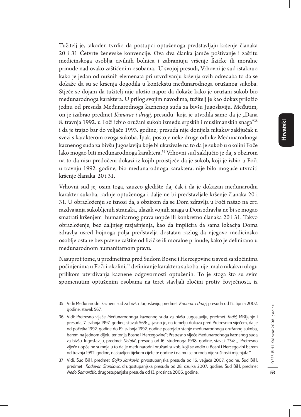Tužitelj je, također, tvrdio da postupci optuženoga predstavljaju kršenje članaka 20 i 31 Četvrte ženevske konvencije. Ova dva članka jamče poštivanje i zaštitu medicinskoga osoblja civilnih bolnica i zabranjuju vršenje fizičke ili moralne prinude nad ovako zaštićenim osobama. U svojoj presudi, Vrhovni je sud istaknuo kako je jedan od nužnih elemenata pri utvrđivanju kršenja ovih odredaba to da se dokaže da su se kršenja dogodila u kontekstu međunarodnoga oružanog sukoba. Stječe se dojam da tužitelj nije uložio napor da dokaže kako je oružani sukob bio međunarodnoga karaktera. U prilog svojim navodima, tužitelj je kao dokaz priložio jednu od presuda Međunarodnoga kaznenog suda za bivšu Jugoslaviju. Međutim, on je izabrao predmet *Kunarac i drugi,* presudu koja je utvrdila samo da je "Dana 8. travnja 1992. u Foči izbio oružani sukob između srpskih i muslimanskih snaga"35 i da je trajao bar do veljače 1993. godine; presuda nije donijela nikakav zaključak u svezi s karakterom ovoga sukoba. Ipak, postoje neke druge odluke Međunarodnoga kaznenog suda za bivšu Jugoslaviju koje bi ukazivale na to da je sukob u okolini Foče lako mogao biti međunarodnoga karaktera.<sup>36</sup> Vrhovni sud zaključio je da, s obzirom na to da nisu predočeni dokazi iz kojih proistječe da je sukob, koji je izbio u Foči u travnju 1992. godine, bio međunarodnoga karaktera, nije bilo moguće utvrditi kršenje članaka 20 i 31.

Vrhovni sud je, osim toga, zauzeo gledište da, čak i da je dokazan međunarodni karakter sukoba, radnje optuženoga i dalje ne bi predstavljale kršenje članaka 20 i 31. U obrazloženju se iznosi da, s obzirom da se Dom zdravlja u Foči našao na crti razdvajanja sukobljenih stranaka, ulazak vojnih snaga u Dom zdravlja ne bi se mogao smatrati kršenjem humanitarnog prava uopće ili konkretno članaka 20 i 31. Takvo obrazloženje, bez daljnjeg razjašnjenja, kao da implicira da sama lokacija Doma zdravlja usred bojnoga polja predstavlja dostatan razlog da njegovo medicinsko osoblje ostane bez pravne zaštite od fizičke ili moralne prinude, kako je definirano u međunarodnom humanitarnom pravu.

Nasuprot tome, u predmetima pred Sudom Bosne i Hercegovine u svezi sa zločinima počinjenima u Foči i okolini,<sup>37</sup> definiranje karaktera sukoba nije imalo nikakvu ulogu prilikom utvrđivanja kaznene odgovornosti optuženih. To je stoga što su svim spomenutim optuženim osobama na teret stavljali zločini protiv čovječnosti, iz

<sup>35</sup> Vidi: Međunarodni kazneni sud za bivšu Jugoslaviju, predmet *Kunarac i drugi,* presuda od 12. lipnja 2002. godine, stavak 567.

<sup>36</sup> Vidi: Pretresno vijeće Međunarodnoga kaznenog suda za bivšu Jugoslaviju, predmet *Tadić*, Mišljenje i presuda, 7. svibnja 1997. godine, stavak 569: "...jasno je, na temelju dokaza pred Pretresnim vijećem, da je od početka 1992. godine do 19. svibnja 1992. godine postojalo stanje međunarodnoga oružanog sukoba, barem na jednom dijelu teritorija Bosne i Hercegovine"; Pretresno vijeće Međunarodnoga kaznenog suda za bivšu Jugoslaviju, predmet *Delalić*, presuda od 16. studenoga 1998. godine, stavak 234: "...Pretresno vijeće uopće ne sumnja u to da je međunarodni oružani sukob, koji se vodio u Bosni i Hercegovini barem od travnja 1992. godine, nastavljen tijekom cijele te godine i da mu se priroda nije suštinski mijenjala."

<sup>37</sup> Vidi: Sud BiH, predmet *Gojko Janković*, prvostupanjska presuda od 16. veljača 2007. godine; Sud BiH, predmet *Radovan Stanković*, drugostupanjska presuda od 28. ožujka 2007. godine; Sud BiH, predmet *Neđo Samardžić*, drugostupanjska presuda od 13. prosinca 2006. godine.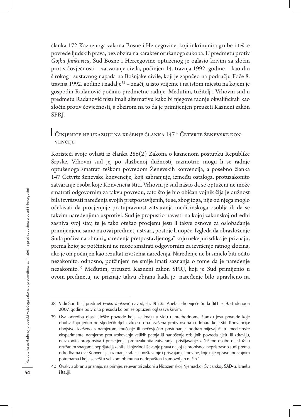članka 172 Kaznenoga zakona Bosne i Hercegovine, koji inkriminira grube i teške povrede ljudskih prava, bez obzira na karakter oružanoga sukoba. U predmetu protiv *Gojka Jankovića*, Sud Bosne i Hercegovine optuženog je oglasio krivim za zločin protiv čovječnosti – zatvaranje civila, počinjen 14. travnja 1992. godine – kao dio širokog i sustavnog napada na Bošnjake civile, koji je započeo na području Foče 8. travnja 1992. godine i nadalje $38 - z$ nači, u isto vrijeme i na istom mjestu na kojem je gospodin Radanović počinio predmetne radnje. Međutim, tužitelj i Vrhovni sud u predmetu Radanović nisu imali alternativu kako bi njegove radnje okvalificirali kao zločin protiv čovječnosti, s obzirom na to da je primijenjen preuzeti Kazneni zakon SFRJ.

#### Činjenice ne ukazuju na kršenje članka 14739 Četvrte ženevske konvencije

Koristeći svoje ovlasti iz članka 286(2) Zakona o kaznenom postupku Republike Srpske, Vrhovni sud je, po službenoj dužnosti, razmotrio mogu li se radnje optuženoga smatrati teškom povredom Ženevskih konvencija, a posebno članka 147 Četvrte ženevske konvencije, koji zabranjuje, između ostaloga, protuzakonito zatvaranje osoba koje Konvencija štiti. Vrhovni je sud našao da se optuženi ne može smatrati odgovornim za takvu povredu, zato što je bio običan vojnik čija je dužnost bila izvršavati naređenja svojih pretpostavljenih, te se, zbog toga, nije od njega moglo očekivati da procjenjuje protupravnost zatvaranja medicinskoga osoblja ili da se takvim naređenjima usprotivi. Sud je propustio navesti na kojoj zakonskoj odredbi zasniva svoj stav, te je tako otežao procjenu jesu li takve osnove za oslobađanje primijenjene samo na ovaj predmet, ustvari, postoje li uopće. Izgleda da obrazloženje Suda počiva na obrani "naređenja pretpostavljenoga" koju neke jurisdikcije priznaju, prema kojoj se potčinjeni ne može smatrati odgovornim za izvršenje ratnog zločina, ako je on počinjen kao rezultat izvršenja naređenja. Naređenje ne bi smjelo biti očito nezakonito, odnosno, potčinjeni ne smije imati saznanja o tome da je naređenje nezakonito.40 Međutim, preuzeti Kazneni zakon SFRJ, koji je Sud primijenio u ovom predmetu, ne priznaje takvu obranu kada je naređenje bilo upravljeno na

<sup>38</sup> Vidi: Sud BiH, predmet *Gojko Janković*, navod, str. 19 i 35. Apelacijsko vijeće Suda BiH je 19. studenoga 2007. godine potvrdilo presudu kojom se optuženi oglašava krivim.

<sup>39</sup> Ova odredba glasi: "Teške povrede koje se imaju u vidu u prethodnome članku jesu povrede koje obuhvaćaju jedno od sljedećih djela, ako su ona izvršena protiv osoba ili dobara koje štiti Konvencija: ubojstvo izvršeno s namjerom, mučenje ili nečovječno postupanje, podrazumijevajući tu medicinske eksperimente, namjerno prouzrokovanje velikih patnja ili nanošenje ozbiljnih povreda tijelu ili zdravlju, nezakonita progonstva i preseljenja, protuzakonita zatvaranja, prisiljavanje zaštićene osobe da služi u oružanim snagama neprijateljske sile ili njezino lišavanje prava da joj se propisno i nepristrasno sudi prema odredbama ove Konvencije, uzimanje talaca, uništavanje i prisvajanje imovine, koje nije opravdano vojnim potrebama i koje se vrši u velikom obimu na nedopušten i samovoljan način."

<sup>40</sup> Ovakvu obranu priznaju, na primjer, relevantni zakoni u Nizozemskoj, Njemačkoj, Švicarskoj, SAD-u, Izraelu i Italiji.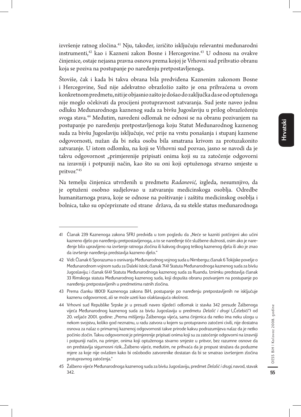izvršenje ratnog zločina.<sup>41</sup> Nju, također, izričito isključuju relevantni međunarodni instrumenti,42 kao i Kazneni zakon Bosne i Hercegovine.43 U odnosu na ovakve činjenice, ostaje nejasna pravna osnova prema kojoj je Vrhovni sud prihvatio obranu koja se poziva na postupanje po naređenju pretpostavljenoga.

Štoviše, čak i kada bi takva obrana bila predviđena Kaznenim zakonom Bosne i Hercegovine, Sud nije adekvatno obrazložio zašto je ona prihvaćena u ovom konkretnom predmetu, niti je objasnio zašto je došao do zaključka da se od optuženoga nije moglo očekivati da procijeni protupravnost zatvaranja. Sud jeste naveo jednu odluku Međunarodnoga kaznenog suda za bivšu Jugoslaviju u prilog obrazloženju svoga stava.44 Međutim, navedeni odlomak ne odnosi se na obranu pozivanjem na postupanje po naređenju pretpostavljenoga koju Statut Međunarodnog kaznenog suda za bivšu Jugoslaviju isključuje, već prije na vrstu ponašanja i stupanj kaznene odgovornosti, nužan da bi neka osoba bila smatrana krivom za protuzakonito zatvaranje. U istom odlomku, na koji se Vrhovni sud pozvao, jasno se navodi da je takvu odgovornost "primjerenije pripisati onima koji su za zatočenje odgovorni na izravniji i potpuniji način, kao što su oni koji optuženoga stvarno smjeste u pritvor."45

Na temelju činjenica utvrđenih u predmetu *Radanović,* izgleda, nesumnjivo, da je optuženi osobno sudjelovao u zatvaranju medicinskoga osoblja. Odredbe humanitarnoga prava, koje se odnose na poštivanje i zaštitu medicinskog osoblja i bolnica, tako su općepriznate od strane država, da su stekle status međunarodnoga

<sup>41</sup> Članak 239 Kaznenoga zakona SFRJ predviđa u tom pogledu da "Neće se kazniti potčinjeni ako učini kazneno djelo po naređenju pretpostavljenoga, a to se naređenje tiče službene dužnosti, osim ako je naređenje bilo upravljeno na izvršenje ratnoga zločina ili kakvog drugog teškog kaznenog djela ili ako je znao da izvršenje naređenja predstavlja kazneno djelo."

<sup>42</sup> Vidi: Članak 6 Sporazuma o osnivanju Međunarodnog vojnog suda u Nirnbergu; članak 6 Tokijske povelje o Međunarodnom vojnom sudu za Daleki istok; članak 7(4) Statuta Međunarodnoga kaznenog suda za bivšu Jugoslaviju; i članak 6(4) Statuta Međunarodnoga kaznenog suda za Ruandu. Iznimku predstavlja članak 33 Rimskoga statuta Međunarodnog kaznenog suda, koji dopušta obranu pozivanjem na postupanje po naređenju pretpostavljenih u predmetima ratnih zločina.

<sup>43</sup> Prema članku 180(3) Kaznenoga zakona BiH, postupanje po naređenju pretpostavljenih ne isključuje kaznenu odgovornost, ali se može uzeti kao olakšavajuća okolnost.

<sup>44</sup> Vrhovni sud Republike Srpske je u presudi naveo sljedeći odlomak iz stavka 342 presude Žalbenoga vijeća Međunarodnog kaznenog suda za bivšu Jugoslaviju u predmetu *Delalić i drugi* ("Čelebići") od 20. veljače 2001. godine: "Prema mišljenju Žalbenoga vijeća, sama činjenica da netko ima neku ulogu u nekom svojstvu, koliko god neznatnu, u radu zatvora u kojem su protupravno zatočeni civili, nije dostatna osnova za nalaz o primarnoj kaznenoj odgovornosti takve prirode kakvu podrazumijeva nalaz da je netko počinio zločin. Takvu odgovornost je primjerenije pripisati onima koji su za zatočenje odgovorni na izravniji i potpuniji način, na primjer, onima koji optuženoga stvarno smjeste u pritvor, bez razumne osnove da on predstavlja sigurnosni rizik...Žalbeno vijeće, međutim, ne prihvaća da je propust stražara da poduzme mjere za koje nije ovlašten kako bi oslobodio zatvorenike dostatan da bi se smatrao izvršenjem zločina protupravnog zatočenja."

<sup>45</sup> Žalbeno vijeće Međunarodnoga kaznenog suda za bivšu Jugoslaviju, predmet *Delalić i drugi,* navod, stavak 342.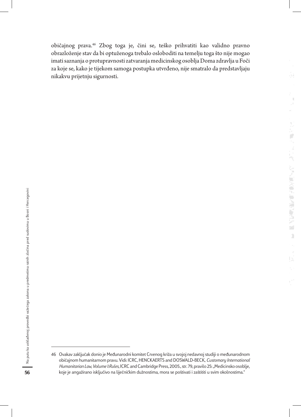običajnog prava.46 Zbog toga je, čini se, teško prihvatiti kao validno pravno obrazloženje stav da bi optuženoga trebalo osloboditi na temelju toga što nije mogao imati saznanja o protupravnosti zatvaranja medicinskog osoblja Doma zdravlja u Foči za koje se, kako je tijekom samoga postupka utvrđeno, nije smatralo da predstavljaju nikakvu prijetnju sigurnosti.

<sup>46</sup> Ovakav zaključak donio je Međunarodni komitet Crvenog križa u svojoj nedavnoj studiji o međunarodnom običajnom humanitarnom pravu. Vidi: ICRC, HENCKAERTS and DOSWALD-BECK, *Customary International Humanitarian Law, Volume 1: Rules*, ICRC and Cambridge Press, 2005., str. 79, pravilo 25: "Medicinsko osoblje, koje je angažirano isključivo na liječničkim dužnostima, mora se poštivati i zaštititi u svim okolnostima."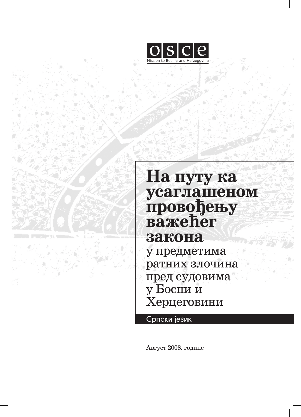

# На путу ка усаглашеном провођењу **va**&*B*a&*R***efer zakona**  у предметима ратних злочина пред судовима у Босни и Херцеговини

**Srpski jezik**

Август 2008. године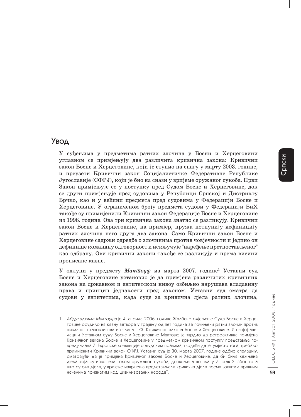#### **Увод**

V суђењима у предметима ратних злочина у Босни и Херцеговини углавном се примјењују два различита кривична закона: Кривични закон Босне и Херцеговине, који је ступио на снагу у марту 2003. године, и преузети Кривични закон Социјалистичке Федеративне Републике Југославије (СФРЈ), који је био на снази у вријеме оружаног сукоба. Први Закон примјењује се у поступку пред Судом Босне и Херцеговине, док се други примјењује пред судовима у Републици Српској и Дистрикту Брчко, као и у већини предмета пред судовима у Федерацији Босне и Херцеговине. У ограниченом броју предмета судови у Федерацији БиХ такође су примијенили Кривични закон Федерације Босне и Херцеговине из 1998. године. Ова три кривична закона знатно се разликују. Кривични закон Босне и Херцеговине, на примјер, пружа потпунију дефиницију ратних злочина него друга два закона. Само Кривични закон Босне и Херцеговине садржи одредбе о злочинима против човјечности и једино он дефинише командну одговорност и искључује "наређење претпостављеног" као одбрану. Ови кривични закони такође се разликују и према висини прописане казне.

У одлуци у предмету *Макшоуф* из марта 2007. године<sup>1</sup> Уставни суд Босне и Херцеговине установио је да примјена различитих кривичних закона на државном и ентитетском нивоу озбиљно нарушава владавину права и принцип једнакости пред законом. Уставни суд сматра да судови у ентитетима, када суде за кривична дјела ратних злочина,

<sup>1</sup> *Абдуладхима Мактоуфа* је 4. априла 2006. године Жалбено одјељење Суда Босне и Херцеговине осудило на казну затвора у трајању од пет година за почињени ратни злочин против цивилног становништва из члана 173. Кривичног закона Босне и Херцеговине. У својој апелацији Уставном суду Босне и Херцеговине Мактоуф је тврдио да ретроактивна примјена Кривичног закона Босне и Херцеговине у предметном кривичном поступку представља повреду члана 7. Европске конвенције о људским правима, тврдећи да је, умјесто тога, требало примијенити Кривични закон СФРЈ. Уставни суд је 30. марта 2007. године одбио апелацију, сматрајући да је примјена Кривичног закона Босне и Херцеговине, да би била кажњена дјела која су извршена током оружаног сукоба, дозвољена по члану 7. став 2. због тога што су ова дјела, у вријеме извршења представљала кривична дјела према "општим правним начелима признатим код цивилизованих народа".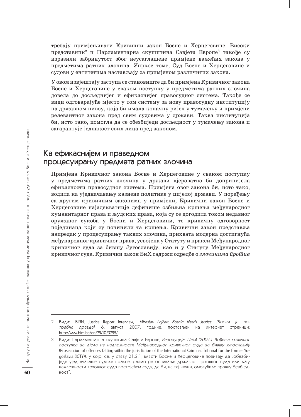требају примјењивати Кривични закон Босне и Херцеговине. Високи представник<sup>2</sup> и Парламентарна скупштина Савјета Европе<sup>з</sup> такође су изразили забринутост због неусаглашене примјене важећих закона у предметима ратних злочина. Упркос томе, Суд Босне и Херцеговине и судови у ентитетима настављају са примјеном различитих закона.

 $V$ овом извјештају заступа се становиште да би примјена Кривичног закона Босне и Херцеговине у сваком поступку у предметима ратних злочина довела до досљеднијег и ефикаснијег правосудног система. Такође се види одговарајуће мјесто у том систему за нову правосудну институцију на државном нивоу, која би имала коначну ријеч у тумачењу и примјени релевантног закона пред свим судовима у држави. Таква институција би, исто тако, помогла да се обезбиједи досљедност у тумачењу закона и загарантује једнакост свих лица пред законом.

#### Ка ефикаснијем и праведном процесуирању предмета ратних злочина

Примјена Кривичног закона Босне и Херцеговине у сваком поступку у предметима ратних злочина у држави вјероватно би допринијела ефикасности правосудног система. Примјена овог закона би, исто тако, водила ка уједначавању казнене политике у цијелој држави. У поређењу са другим кривичним законима у примјени, Кривични закон Босне и Херцеговине најадекватније дефинише озбиљна кршења међународног хуманитарног права и људских права, која су се догодила током недавног оружаног сукоба у Босни и Херцеговини, те кривичну одговорност појединаца који су починили та кршења. Кривични закон представља напредак у процесуирању таквих злочина, прихвата модерна достигнућа међународног кривичног права, усвојена у Статуту и пракси Међународног кривичног суда за бившу Југославију, као и у Статуту Међународног кривичног суда. Кривични закон БиХ садржи одредбе о злочинима *прошив* 

<sup>2</sup> Vidi: BIRN, Justice Report Interview, *Miroslav Lajčak: Bosnia Needs Justice (Bosni je poтребна правда), 6.* август 2007. године, постављен на интернет страници: http://www.bim.ba/en/75/10/3795/.

<sup>3</sup> Види: Парламентарна скупштина Савјета Европе, Резолуција 1564 (2007.), Вођење кривчног *postupka za djela iz nadle`nosti Me|unarodnog krivi~nog suda za biv{u Jugoslaviju* (Prosecution of offences falling within the jurisdiction of the International Criminal Tribunal for the former Yugoslavia (ICTY)), у којој се, у ставу 21.2.1, власти Босне и Херцеговине позивају да "обезбиједе уједначавање судске праксе, размотре оснивање државног врховног суда или дају надлежности врховног суда постојећем суду, да би, на тај начин, омогућиле правну безбјед-HOCT".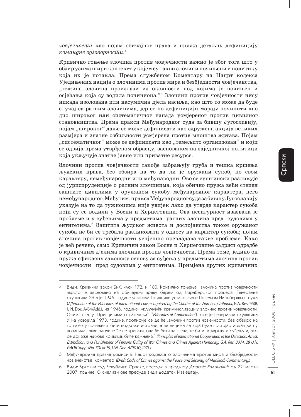$\psi$ овјечнос*ти* као појам обичајног права и пружа детаљну дефиницију *komandne odgovornosti*. 4

Кривично гоњење злочина против човјечности важно је због тога што у обзир узима шири контекст у којем су такви злочини почињени и политику која их је потакла. Према службеном Коментару на Нацрт кодекса  $V$ једињених нација о злочинима против мира и безбједности човјечанства, пежина злочина произлази из околности под којима је почињен и осјећања која су водила починиоца."<sup>5</sup> Злочини против човјечности нису никада изолована или насумична дјела насиља, као што то може да буде случај са ратним злочинима, јер се по дефиницији морају починити као дио широког или систематичног напада усмјереног против цивилног становништва. Према пракси Међународног суда за бившу Југославију, појам "широког" даље се може дефинисати као здружена акција великих размјера и знатне озбиљности усмјерена против мноштва жртава. Појам "систематичног" може се дефинисати као "темељито организован" и који се одвија према утврђеном обрасцу, заснованом на заједничкој политици која укључује знатне јавне или приватне ресурсе.

Злочини против човјечности такође забрањују груба и тешка кршења људских права, без обзира на то да ли је оружани сукоб, по свом карактеру, немеђународни или међународни. Ово се суштински разликује од јуриспруденције о ратним злочинима, која обично пружа већи степен заштите цивилима у оружаном сукобу међународног карактера, него  $n_{\text{e}}$ немеђународног. Међутим, пракса Међународног суда за бившу Југославију указује на то да тужиоцима није увијек лако да утврде карактер сукоба који су се водили у Босни и Херцеговини. Ова несигурност изазвала је проблеме и у суђењима у предметима ратних злочина пред судовима у ентитетима.<sup>6</sup> Заштита људског живота и достојанства током оружаног сукоба не би се требала разликовати у односу на карактер сукоба; појам злочина против човјечности успјешно превладава такве проблеме. Како је већ речено, само Кривични закон Босне и Херцеговине садржи одредбе о кривичним дјелима злочина против човјечности. Према томе, једино он пружа ефикасну законску основу за суђења у предметима злочина против човјечности пред судовима у ентитетима. Примјена других кривичних

OEBC БиХ | Aвгуст 2008. године

ОЕБС БиХ | Август 2008. године

<sup>4</sup> Види: Кривични закон БиХ, члан 172. и 180. Кривично гоњење злочина против човјечности чврсто је засновано на обичајном праву барем од Нирнбершког процеса. Генерална скупштина УН-а је 1946. године усвојила Принципе установљене Повељом Нирнбершког суда (*Affirmation of the Principles of International Law recognized by the Charter of the Nurnberg Tribunal*, G.A. Res. 95(I), U.N. Doc. A/64/Add.1, из 1946. године), укључујући криминализацију злочина против човјечности. Осим тога, у "Принципима о сарадњи" ("*Principles of Cooperation*"), које је Генерална скупштина УН-а усвојила 1973. године, прописује се да ће "злочини против човјечности, без обзира на то гдје су почињени, бити подложи истрази, а за лицима за која буде постојао доказ да су починила такве злочине ће се трагати, она ће бити хапшена, те бити подвргнута суђењу и, ако се докаже њихова кривица, биће кажњена." *(Principles of International Cooperation in the Detection, Arrest, Extradition, and Punishment of Persons Guilty of War Crimes and Crimes Against Humanity, G.A. Res. 3074, 28 U.N. GAOR Supp. (No. 30) at 79, U.N. Doc. A/9030, 1973.)*

<sup>5</sup> Meђународна правна комисија, Нацрт кодекса о злочинима против мира и безбједности ~ovje~anstva, komentar *(Draft Code of Crimes against the Peace and Security of Mankind, Commentary)*.

<sup>6</sup> Види: Врховни суд Републике Српске, пресуда у предмету *Драгоје Радановић*, од 22. марта 2007. године. О анализи ове пресуде види додатак Извјештају.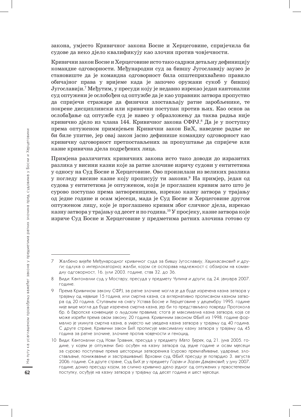закона, умјесто Кривичног закона Босне и Херцеговине, спријечила би судове да неко дјело квалификују као злочин против човјечности.

Кривични закон Босне и Херцеговине исто тако садржи детаљну дефиницију командне одговорности. Међународни суд за бившу Југославију заузео је становиште да је командна одговорност била општеприхваћено правило  $\alpha$ обичајног права у вријеме када је започео оружани сукоб у бившој Југославији.<sup>7</sup> Међутим, у пресуди коју је недавно изрекао један кантонални суд оптужени је ослобођен од оптужбе да је као управник затвора пропустио да спријечи стражаре да физички злостављају ратне заробљенике, те покрене дисциплински или кривични поступак против њих. Као основ за ослобађање од оптужбе суд је навео у образложењу да таква радња није кривично дјело из члана 144. Кривичног закона СФРЈ.<sup>8</sup> Да је у поступку према оптуженом примијењен Кривични закон БиХ, наведене радње не би биле упитне, јер овај закон јасно дефинише командну одговорност као кривичну одговорност претпостављених за пропуштање да спријече или казне кривична дјела подређених лица.

Примјена различитих кривичних закона исто тако доводи до изразитих разлика у висини казни које за ратне злочине изричу судови у ентитетима у односу на Суд Босне и Херцеговине. Ово произилази из великих разлика у погледу висине казне коју прописују ти закони.<sup>9</sup> На примјер, један од судова у ентитетима је оптуженом, који је проглашен кривим зато што је сурово поступао према затвореницима, изрекао казну затвора у трајању од једне године и осам мјесеци, мада је Суд Босне и Херцеговине другом оптуженом лицу, које је проглашено кривим због сличног дјела, изрекао казну затвора у трајању од десет и по година.<sup>10</sup> У просјеку, казне затвора које изриче Суд Босне и Херцеговине у предметима ратних злочина готово су

Жалбено вијеће Међународног кривичног суда за бившу Југославију, Хаџихасановић и други; одлука о интерлокаторној жалби, којом се оспорава надлежност с обзиром на командну одговорност, 16. јули 2003. године, став 32. до 36.

<sup>8</sup> Види: Кантонални суд у Мостару, пресуда у предмету *Чупина и други*, од 24. јануара 2007. godine.

<sup>9</sup> Према Кривичном закону СФРЈ, за ратне злочине могла је да буде изречена казна затвора у трајању од највише 15 година, или смртна казна, са алтернативно прописаном казном затвора од 20 година. Ступањем на снагу Устава Босне и Херцеговине у децембру 1995. године није више могла да буде изречена смртна казна, јер би то представљало повреду Протокола бр. 6 Европске конвенције о људским правима; стога је максимална казна затвора, која се може изрећи према овом закону, 20 година. Кривичним законом ФБиХ из 1998. године формално је укинута смртна казна, а умјесто ње уведена казна затвора у трајању од 40 година. С друге стране, Кривични закон БиХ прописује максималну казну затвора у трајању од 45 година за ратне злочине, злочине против човјечости и геноцид.

<sup>10</sup> Види: Кантонални суд Нови Травник, пресуда у предмету Мато Ђерек, од 21. јуна 2005. године, у којем је оптужени био осуђен на казну затвора од једне године и осам мјесеци за сурово поступање према шесторици затвореника (сурово премлаћивање, ударање, злостављање, понижавање и застрашивање). Врховни суд ФБиХ пресуду је потврдио 3. августа 2006. године. Са друге стране, Суд БиХ је у предмету *Горан и Зоран Дамјановић,* у јуну 2007. године, донио пресуду којом, за слично кривично дјело једног од оптужених у првостепеном поступку, осуђује на казну затвора у трајању од десет година и шест мјесеци.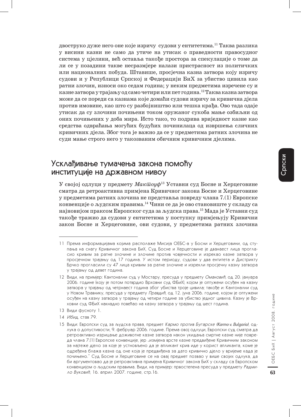двоструко дуже него оне које изричу судови у ентитетима.<sup>11</sup> Таква разлика у висини казни не само да утиче на утисак о праведности правосудног система у цјелини, већ оставља такође простора за спекулације о томе да ли се у позадини такве несразмјере налази пристрасност из политичких или националних побуда. Штавише, просјечна казна затвора коју изричу судови и у Републици Српској и Федерацији БиХ за убиство цивила као ратни злочин, износи око седам година; у неким предметима изречене су и казне затвора у трајању од само четири или пет година.<sup>12</sup> Таква казна затвора може да се пореди са казнама које домаћи судови изричу за кривична дјела против имовине, као што су разбојништво или тешка крађа. Ово тада одаје утисак да су злочини почињени током оружаног сукоба мање озбиљни од оних почињених у доба мира. Исто тако, то подрива вриједност казне као средства одвраћања могућих будућих починилаца од извршења сличних кривичних дјела. Због тога је важно да се у предметима ратних злочина не суди мање строго него у такозваним обичним кривичним дјелима.

#### Усклаћивање тумачења закона помоћу **институције на државном нивоу**

V својој одлуци у предмету *Макшоуф*<sup>13</sup> Уставни суд Босне и Херцеговине сматра да ретроактивна примјена Кривичног закона Босне и Херцеговине у предметима ратних злочина не представља повреду члана 7.(1) Европске конвенције о људским правима.<sup>14</sup> Чини се да је ово становиште у складу са најновијом праксом Европског суда за људска права.<sup>15</sup> Мада је Уставни суд такође тражио да судови у ентитетима у поступку примјењују Кривични закон Босне и Херцеговине, ови судови, у предметима ратних злочина

14 *Ибид*, став 79.

<sup>11</sup> Према информацијама којима располаже Мисија ОЕБС-а у Босни и Херцеговини, од ступања на снагу Кривичног закона БиХ, Суд Босне и Херцеговине је дванаест лица прогласио кривим за ратне злочине и злочине против човјечности и изрекао казне затвора у просјечном трајању од 17 година. У истом периоду, судови у два ентитета и Дистрикту Брчко прогласили су 47 лица кривим за ратне злочине и изрекли просјечну казну затвора у трајању од девет година.

<sup>12</sup> Види, на примјер: Кантонални суд у Мостару, пресуда у предмету Омановић, од 20. јануара 2006. године (коју је потом потврдио Врховни суд ФБиХ), којом је оптужени осуђен на казну затвора у трајању од четрнаест година због убиства троје цивила; такође и: Кантонални суд у Новом Травнику, пресуда у предмету *Правдић*, од 12. јуна 2006. године, којом је оптужени осуђен на казну затвора у трајању од четири године за убиство једног цивила. Казну је Врховни суд ФБиХ накнадно повећао на казну затвора у трајању од шест година.

<sup>13</sup> Види фусноту 1.

<sup>15</sup> Види: Европски суд за људска права, предмет Кармо против Бугарске (Karmo v. Bulgaria), одлука о допустивости, 9. фебруар 2006. године. Према овој одлуци, Европски суд сматра да ретроактивно изрицање доживотне казне затвора након укидања смртне казне није повреда члана 7.(1) Европске конвенције, јер "измјена врсте казне предвиђене Кривичним законом за најтеже дјело за које је устновљено да је апликант крив иде у корист апликанта, коме је одређена блажа казна од оне која је предвиђена за дато кривично дјело у вријеме када је почињено." Суд Босне и Херцеговине се на овај предмет позвао у више својих одлука, да би аргументовао да је ретроактивна примјена Кривичног закона БиХ у складу са Европском конвенцијом о људским правима. Види, на примјер: првостепена пресуда у предмету Радмило Вуковић, 16. април 2007. године, стр.16.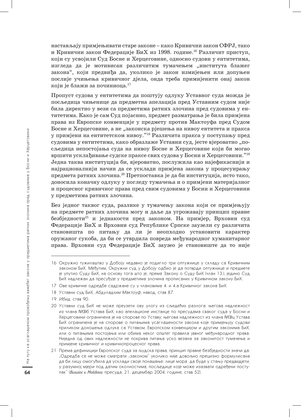настављају примјењивати старе законе – како Кривични закон СФРЈ, тако и Кривични закон Федерације БиХ из 1998. године.<sup>16</sup> Различит приступ, који су усвојили Суд Босне и Херцеговине, односно судови у ентитетима, изгледа да је мотивисан различитим тумачењем "института блажег закона", који предвиђа да, уколико је закон измијењен или допуњен послије учињења кривичног дјела, онда треба примијенити онај закон који је блажи за починиоца.<sup>17</sup>

Пропуст судова у ентитетима да поштују одлуку Уставног суда можда је посљедица чињенице да предметна апелација пред Уставним судом није била директно у вези са предметима ратних злочина пред судовима у ентитетима. Како је сам Суд појаснио, предмет разматрања је била примјена права из Европске конвенције у предмету против Мактоуфа пред Судом Босне и Херцеговине, а не "законска рјешења на нивоу ентитета и пракса у примјени на ентитетском нивоу."<sup>18</sup> Различита пракса у поступању пред судовима у ентитетима, како образлаже Уставни суд, јесте вјероватно "посљедица непостојања суда на нивоу Босне и Херцеговине који би могао вршити усклађивање судске праксе свих судова у Босни и Херцеговини."<sup>19</sup> Jедна таква институција би, вјероватно, послужила као најефикаснији и најрационалнији начин да се усклади примјена закона у процесуирању предмета ратних злочина.<sup>20</sup> Претпоставка је да би институција, исто тако, доносила коначну одлуку у погледу тумачења и о примјени материјалног и процесног кривичног права пред свим судовима у Босни и Херцеговини у предметима ратних злочина.

Без једног таквог суда, разлике у тумачењу закона који се примјењују на предмете ратних злочина могу и даље да угрожавају принцип правне безбједности<sup>21</sup> и једнакости пред законом. На примјер, Врховни суд Федерације БиХ и Врховни суд Републике Српске заузели су различита становишта по питању да ли је неопходно установити карактер оружаног сукоба, да би се утврдила повреда међународног хуманитарног права. Врховни суд Федерације БиХ заузео је становиште да то није

<sup>16</sup> Окружно тужилаштво у Добоју недавно је подигло три оптужнице у складу са Кривичним законом БиХ. Међутим, Окружни суд у Добоју одбио је да потврди оптужнице и предмете је упутио Суду БиХ, на основу тога што је, према Закону о Суду БиХ (члан 13.), једино Суд БиХ надлежан да пресуђује у предметима злочина прописаних у Кривичном закону БиХ.

<sup>17</sup> Ове кривичне одредбе садржане су у члановима 4. и 4.а Кривичног закона БиХ.

<sup>18</sup> Уставни суд БиХ, *Абдуладхим Мактоуф*, навод, став 87.

<sup>19</sup> Ибид. став 90.

<sup>20</sup> Уставни суд БиХ не може преузети ову улогу из сљедећих разлога: његова надлежност из члана IV(3)б Устава БиХ, као апелационе инстанце по пресудама сваког суда у Босни и Херцеговини ограничена је на спорове по Уставу; његова надлежност из члана IV(3)ц Устава БиХ ограничена је на спорове о питањима усаглашености закона које примјењују судови приликом доношења одлука са Уставом, Европском конвенцијом и другим законима БиХ, или о питањима постојања или обима неког општег правила јавног међународног права. Ниједна од ових надлежности не покрива питања уско везана за законитост тумачења и примјене кривичног и кривичнопроцесног права.

<sup>21</sup> Према дефиницији Европског суда за људска права, принцип правне безбједности значи да: "Одредба се не може сматрати "законом" уколико није довољно прецизно формулисана да би лицу омогућила да усклади своје понашање: лице мора да буде у стању предвидјети, у разумној мјери под датим околностима, посљедице које може изазвати одређени поступак" (*Busuioc v. Moldova*, пресуда, 21. децембар 2004. године, став 52).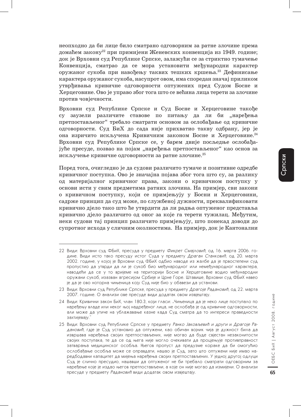Српски

неопходно да би лице било сматрано одговорним за ратне злочине према домаћем закону<sup>22</sup> при примијени Женевских конвенција из 1949. године; док је Врховни суд Републике Српске, залажући се за стриктно тумачење Конвенција, сматрао да се мора установити међународни карактер оружаног сукоба при навођењу таквих тешких кршења.<sup>23</sup> Дефинисање карактера оружаног сукоба, насупрот овом, има споредан значај приликом утврђивања кривичне одговорности оптужених пред Судом Босне и Керцеговине. Ово је управо због тога што се већина лица терети за злочине против човјечности.

Врховни суд Републике Српске и Суд Босне и Херцеговине такође су заузели различите ставове по питању да ли би "наређења претпостављеног" требало сматрати основом за ослобађање од кривичне одговорности. Суд БиХ до сада није прихватио такву одбрану, јер је она изричито искључена Кривичним законом Босне и Херцеговине.<sup>24</sup> Врховни суд Републике Српске се, у барем двије посљедње ослобађаjyhe пресуде, позвао на појам "наређења претпостављеног" као основ за искључење кривичне одговорности за ратне злочине.<sup>25</sup>

Поред тога, очигледно је да судови различито тумаче и позитивне одредбе кривичног поступка. Ово је значајна појава због тога што су, за разлику од материјалног кривичног права, закони о кривичном поступку у основи исти у свим предметима ратних злочина. На примјер, сви закони о кривичном поступку, који се примјењују у Босни и Херцеговини, садрже принцип да суд може, по службеној дужности, преквалификовати кривично дјело тако што ће утврдити да ли радња оптуженог представља кривично дјело различито од оног за које га терети тужилац. Међутим, неки судови тај принцип различито примјењују, што понекад доводи до супротног исхода у сличним околностима. На примјер, док је Кантонални

<sup>22</sup> Види: Врховни суд ФБиХ, пресуда у предмету Фикрет Смајловић, од 16. марта 2006. године. Види исто тако пресуду истог Суда у предмету *Драган Станковић*, од 20. марта 2002. године, у којој је Врховни суд ФБиХ одбио наводе из жалбе да је првостепени суд пропустио да утврди да ли је сукоб био међународног или немеђународног карактера, наводећи да се у то вријеме на територији Босне и Херцеговине водио међународни оружани сукоб, изазван агресијом Србије и Црне Горе. Штавише, Врховни суд ФБиХ навео је да је ово ноторна чињеница коју Суд није био у обавези да установи.

<sup>23</sup> Види: Врховни суд Републике Српске, пресуда у предмету *Драгоје Радановић*, од 22. марта 2007. године. О анализи ове пресуде види додатак овом извјештају.

<sup>24</sup> Види: Кривични закон БиХ, члан 180.3, који гласи: "Чињеница да је неко лице поступало по наређењу владе или неког њој надређеног лица, не ослобађа је од кривичне одговорности, али може да утиче на ублажавање казне када Суд сматра да то интереси праведности захтијевају."

<sup>25</sup> Види: Врховни суд Републике Српске у предмету Ранко Јаковљевић и други и Драгоје Радановић, гдје је Суд установио да оптужени, као обичан војник чија је дужност била да извршава наређења својих претпостављених, није могао да буде свјестан незаконитости својих поступака, те да се од њега није могло очекивати да процјењује противправност затварања медицинског особља. Његов пропуст да предузме кораке да би омогућио ослобађање особља може се оправдати, нашао је Суд, зато што оптужени није имао наредбодавни капацитет да мијења наређења својих претпостављених. У једној другој одлуци Суд је слично пресудио, нашавши да оптуженог не би требало сматрати одговорним за наређење које је издао његов претпостављени, а које он није могао да измијени. О анализи пресуде у предмету Радановић види додатак овом извјештају.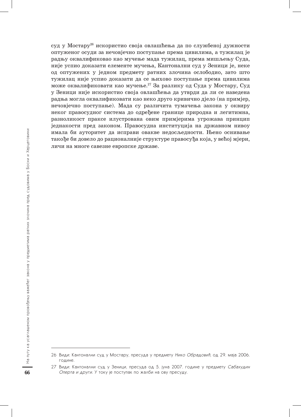суд у Мостару<sup>26</sup> искористио своја овлашћења да по службеној дужности оптуженог осуди за нечовјечно поступање према цивилима, а тужилац је радњу оквалификовао као мучење мада тужилац, према мишљењу Суда, није успио доказати елементе мучења, Кантонални суд у Зеници је, неке од оптужених у једном предмету ратних злочина ослободио, зато што тужилац није успио доказати да се њихово поступање према цивилима може оквалификовати као мучење.<sup>27</sup> За разлику од Суда у Мостару, Суд у Зеници није искористио своја овлашћења да утврди да ли се наведена радња могла оквалификовати као неко друго кривично дјело (на примјер, нечовјечно поступање). Мада су различита тумачења закона у оквиру неког правосудног система до одређене границе природна и легитимна, разноликост праксе илустрована овим примјерима угрожава принцип једнакости пред законом. Правосудна институција на државном нивоу имала би ауторитет да исправи овакве недосљедности. Њено оснивање такође би довело до рационалније структуре правосуђа која, у већој мјери, личи на многе савезне европске државе.

<sup>26</sup> Види: Кантонални суд у Мостару, пресуда у предмету Нико Обрадовић, од 29. маја 2006. године.

<sup>27</sup> Види: Кантонални суд у Зеници, пресуда од 5. јуна 2007. године у предмету Сабахудин *Оперта и други.* У току је поступак по жалби на ову пресуду.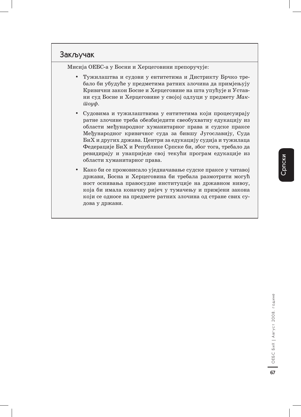#### $3a$ кључак

Мисија ОЕБС-а у Босни и Херцеговини препоручује:

- Тужилаштва и судови у ентитетима и Дистрикту Брчко требало би убудуће у предметима ратних злочина да примјењују Кривични закон Босне и Херцеговине на шта упућује и Уставни суд Босне и Херцеговине у својој одлуци у предмету Мак*touf*.
- Судовима и тужилаштвима у ентитетима који процесуирају ратне злочине треба обезбиједити свеобухватну едукацију из области међународног хуманитарног права и судске праксе Међународног кривичног суда за бившу Југославију, Суда БиХ и других држава. Центри за едукацију судија и тужилаца Федерације БиХ и Републике Српске би, због тога, требало да ревидирају и унаприједе свој текући програм едукације из области хуманитарног права.
- Како би се промовисало уједначавање судске праксе у читавој држави, Босна и Херцеговина би требала размотрити могућ ност оснивања правосудне институције на државном нивоу, која би имала коначну ријеч у тумачењу и примјени закона који се односе на предмете ратних злочина од стране свих судова у држави.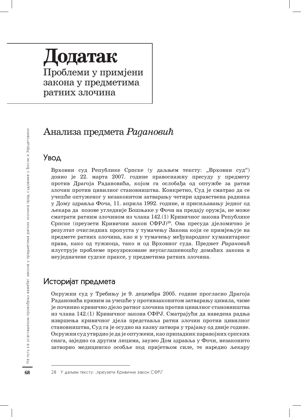# **Dodatak**

Проблеми у примјени закона у предметима ратних злочина

# Анализа предмета Радановић

#### **Увод**

Врховни суд Републике Српске (у даљњем тексту: "Врховни суд") донио је 22. марта 2007. године правоснажну пресуду у предмету против Драгоја Радановића, којом га ослобађа од оптужбе за ратни злочин против цивилног становништва. Конкретно, Суд је сматрао да се учешће оптуженог у незаконитом затварању четири здравствена радника у Дому здравља Фоча, 11. априла 1992. године, и присиљавању једног од љекара да позове угледније Бошњаке у Фочи на предају оружја, не може сматрати ратним злочином из члана  $142(1)$  Кривичног закона Републике Српске (преузети Кривични закон СФРЈ)<sup>28</sup>. Ова пресуда дјеломично је резултат очигледних пропуста у тумачењу Закона који се примјењује на предмете ратних злочина, као и у тумачењу међународног хуманитарног права, како од тужиоца, тако и од Врховног суда. Предмет Радановић илуструје проблеме проузроковане неусаглашеношћу домаћих закона и неуједначене судске праксе, у предметима ратних злочина.

### Историјат предмета

Окружни суд у Требињу је 9. децембра 2005. године прогласио Драгоја Радановића кривим за учешће у противзаконитом затварању цивила, чиме је починио кривично дјело ратног злочина против цивилног становништва из члана  $142(1)$  Кривичног закона СФРЈ. Сматрајући да наведена радња извршења кривичног дјела представља ратни злочин против цивилног становништва, Суд га је осудио на казну затвора у трајању од двије године. Окружни суд утврдио је да је оптужени, као припадник паравојних српских снага, заједно са другим лицима, заузео Дом здравља у Фочи, незаконито затворио медицинско особље под пријетњом силе, те наредио љекару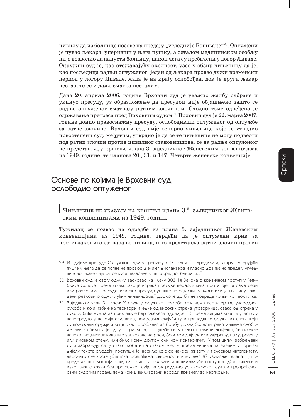цивилу да из болнице позове на предају "угледније Бошњаке"<sup>29</sup>. Оптужени је чувао љекара, уперивши у њега пушку, а осталом медицинском особљу није дозволио да напусти болницу, након чега су пребачени у логор Ливаде. Окружни суд је, као отежавајућу околност, узео у обзир чињеницу да је, као посљедица радњи оптуженог, један од љекара провео дужи временски период у логору Ливаде, мада је на крају ослобођен, док је други љекар нестао, те се и даље сматра несталим.

Дана 20. априла 2006. године Врховни суд је уважио жалбу одбране и укинуо пресуду, уз образложење да пресудом није објашњено зашто се радње оптуженог сматрају ратним злочином. Сходно томе одређено је одржавање претреса пред Врховним судом.<sup>30</sup> Врховни суд је 22. марта 2007. године донио правоснажну пресуду, ослободивши оптуженог од оптужбе за ратне злочине. Врховни суд није оспорио чињенице које је утврдио првостепени суд; међутим, утврдио је да се те чињенице не могу подвести под ратни злочин против цивилног становништва, те да радње оптуженог не представљају кршење члана 3. заједничног Женевским конвенцијама из 1949. године, те чланова 20., 31. и 147. Четврте женевске конвенције.

#### Основе по којима је Врховни суд **ослободио оптуженог**

 $\blacksquare$ Чињенице не указују на кршење члана  $3.^{31}$  заједничког Женевским конвенцијама из 1949. године

Тужилац се позвао на одредбе из члана 3. заједничког Женевским конвенцијама из 1949. године, тврдећи да је оптужени крив за противзаконито затварање цивила, што представља ратни злочин против

<sup>29</sup> Из дијела пресуде Окружног суда у Требињу која гласи: "...наредили доктору... уперујући пушке у њега да се попне на прозор дјечијег диспанзера и гласно дозива на предају угледније Бошњаке чије су се куће налазиле у непосредној близини..."

<sup>30</sup> Врховни суд је своју одлуку засновао на члану 303.(1)ј Закона о кривичном поступку Републике Српске, према којем: "ако је изрека пресуде неразумљива, противрјечна сама себи или разлозима пресуде, или ако пресуда уопште не садржи разлоге или у њој нису наведени разлози о одлучујућим чињеницама," дошло је до битне повреде кривичног поступка.

<sup>31</sup> Заједнички члан 3. гласи: У случају оружаног сукоба који нема карактер међународног сукоба и који избије на територији једне од високих страна уговорница, свака од страна у сукобу биће дужна да примјењује бар сљедеће одредбе: (1) Према лицима која не учествују непосредно у непријатељствима, подразумијевајући ту и припаднике оружаних снага који су положили оружје и лица онеспособљена за борбу усљед болести, рана, лишења слободе, или из било којег другог разлога, поступаће се, у свакој прилици, човјечно, без икакве неповољне дискриминације засноване на раси, боји коже, вјери или увјерењу, полу, рођењу или имовном стању, или било којем другом сличном критеријуму. У том циљу, забрањени су и забрањују се, у свако доба и на сваком мјесту, према лицима наведеним у горњем дијелу текста сљедећи поступци: (а) насиље које се наноси животу и тјелесном интегритету, нарочито све врсте убистава, осакаћења, свирепости и мучења; (б) узимање талаца; (ц) повреде личног достојанства, нарочито увредљиви и понижавајући поступци; (д) изрицање и извршавање казни без претходног суђења од редовно установљеног суда и пропраћеног свим судским гаранцијама које цивилизовани народи признају за неопходне.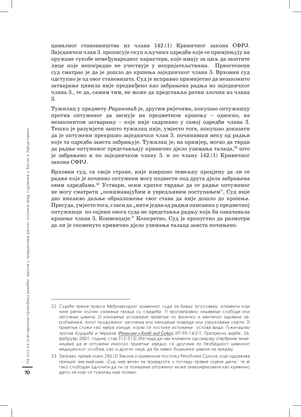цивилног становништва из члана  $142.1$ ) Кривичног закона СФРЈ. Заједнички члан 3. прописује скуп кључних одредби које се примјењују на оружане сукобе немеђународног карактера, које имају за циљ да заштите лице које непосредно не учествује у непријатељствима. Првостепени суд сматрао је да је дошло до кршења заједничког члана 3. Врховни суд одступио је од овог становишта. Суд је исправно примијетио да незаконито затварање цивила није предвиђено као забрањена радња из заједничког члана 3., те да, самим тим, не може да представља ратни злочин из члана 3.

Тужилац у предмету *Радановић* је, другим ријечима, покушао оптужницу против оптуженог да заснује на предметном кршењу – односно, на незаконитом затварању – које није садржано у самој одредби члана 3. Тешко је разумјети зашто тужилац није, умјесто тога, покушао доказати да је оптужени прекршио заједнички члан 3. починивши неку од радњи које та одредба заиста забрањује. Тужилац је, на примјер, могао да тврди да радње оптуженог представљају кривично дјело узимања талаца, 32 што је забрањено и по заједничком члану 3. и по члану  $142(1)$  Кривичног закона СФРЈ.

Врховни суд, са своје стране, није извршио темељну процјену да ли се радње које је починио оптужени могу подвести под друга дјела забрањена овим одредбама.<sup>33</sup> Уствари, осим кратке тврдње да се радње оптуженог не могу сматрати "понижавајућим и увредљивим поступањем", Суд није дао никакво даљње образложење свог става да није дошло до кршења. Пресуда, умјесто тога, гласи да "нити једна од радњи описаних у предметној оптужници по оцјени овога суда не представља радњу која би означавала кршење члана 3. Конвенције." Конкретно, Суд је пропустио да размотри да ли је споменуто кривично дјело узимања талаца заиста почињено.

<sup>32</sup> Судећи према пракси Међународног кривичног суда за бившу Југославију, елементи који чине ратни злочин узимања талаца су сљедећи: 1) противправно лишавање слободе или заточење цивила; 2) изношење условљене пријетње по физичко и ментално здравље заробљеника, попут продуженог заточења или наношење повреде или узроковање смрти; 3) пријетња служи као мјера изнуде, којом се постиже испуњење услова (види: *Тужилаштво ppoтив Кордића и Черкеза (Prosecutor v Kordić and Čerkez), VIT-95-14/2-T, Претресно вијеће, 26.* фебруар 2001. године, став 312-313). Изгледа да ови елементи одговарају утврђеним чињеницама да је оптужени износио пријетње заједно са другима по безбједност цивилног медицинског особља, као и других лица, да би навео бошњачке цивиле на предају.

<sup>33</sup> Заправо, према члану 286.(2) Закона о кривичном поступку Републике Српске, који одражава принцип *iura novit curia*, "Суд није везан за приједлоге у погледу правне оцјене дјела," те је тако слободан одлучити да ли се понашање оптуженог може оквалификовати као кривично дјело на које се тужилац није позвао.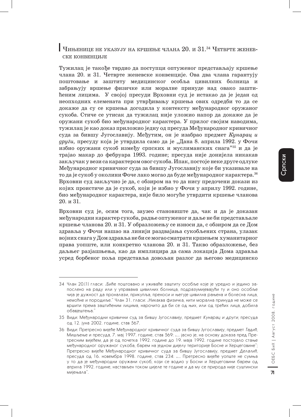#### <sup> $\mid$ </sup> Чињенице не указују на кршење члана 20. и 31.<sup>34</sup> Четврте женевске конвенције

Тужилац је такође тврдио да поступци оптуженог представљају кршење члана 20. и 31. Четврте женевске конвенције. Ова два члана гарантују поштовање и заштиту медицинског особља цивилних болница и забрањују вршење физичке или моралне принуде над овако заштићеним лицима. У својој пресуди Врховни суд је истакао да је један од неопходних елемената при утврђивању кршења ових одредби то да се докаже да су се кршења догодила у контексту међународног оружаног сукоба. Стиче се утисак да тужилац није уложио напор да докаже да је оружани сукоб био међународног карактера. У прилог својим наводима, тужилац је као доказ приложио једну од пресуда Међународног кривичног суда за бившу Југославију. Међутим, он је изабрао предмет Кунарац и *gpyāu*, пресуду која је утврдила само да је "Дана 8. априла 1992. у Фочи избио оружани сукоб између српских и муслиманских снага<sup>"35</sup> и да је трајао макар до фебруара 1993. године; пресуда није донијела никакав закључак у вези са карактером овог сукоба. Ипак, постоје неке друге одлуке Meђународног кривичног суда за бившу Југославију које би указивале на то да је сукоб у околини Фоче лако могао да буде међународног карактера.<sup>36</sup> Врховни суд закључио је да, с обзиром на то да нису предочени докази из којих проистиче да је сукоб, који је избио у Фочи у априлу 1992. године, био међународног карактера, није било могуће утврдити кршење чланова 20. и 31.

Врховни суд је, осим тога, заузео становиште да, чак и да је доказан међународни карактер сукоба, радње оптуженог и даље не би представљале кршење чланова 20. и 31. У образложењу се износи да, с обзиром да се Дом здравља у Фочи нашао на линији раздвајања сукобљених страна, улазак војних снага у Дом здравља не би се могао сматрати кршењем хуманитарног права уопште, или конкретно чланова 20. и 31. Такво образложење, без даљњег разјашњења, као да имплицира да сама локација Дома здравља усред борбеног поља представља довољан разлог да његово медицинско

<sup>34</sup> Члан 20.(1) гласи: "Биће поштовано и уживаће заштиту особље које је уредно и једино запослено на раду или у управама цивилних болница, подразумијевајући ту и оно особље чија је дужност да проналази, прикупља, преноси и његује цивилна рањена и болесна лица, немоћне и породиље." Члан 31. гласи: "Никаква физичка, нити морална принуда не може се вршити према заштићеним лицима, нарочито да би се од њих, или од трећих лица, добила обавјештења."

<sup>35</sup> Види: Међународни кривични суд за бившу Југославију, предмет *Кунарац и други,* пресуда од 12. јуна 2002. године, став 567.

<sup>36</sup> Види: Претресно вијеће Међународног кривичног суда за бившу Југославију, предмет *Тадић*, Мишљење и пресуда, 7. мај 1997. године, став 569: "... јасно је, на основу доказа пред Претресним вијећем, да је од почетка 1992. године до 19. маја 1992. године постојало стање међународног оружаног сукоба, барем на једном дијелу територије Босне и Херцеговине"; Претресно вијеће Међународног кривичног суда за бившу Југославију, предмет *Делалић*, пресуда од 16. новембра 1998. године, став 234: "... Претресно вијеће уопште не сумња у то да је међународни оружани сукоб, који се водио у Босни и Херцеговини барем од априла 1992. године, настављен током цијеле те године и да му се природа није суштински мијењала".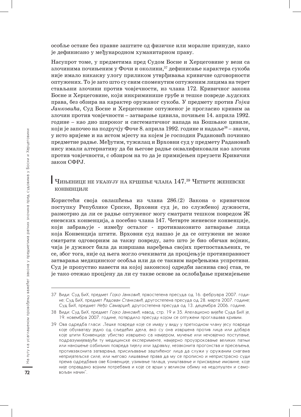особље остане без правне заштите од физичке или моралне принуде, како је дефинисано у међународном хуманитарном праву.

Насупрот томе, у предметима пред Судом Босне и Херцеговине у вези са злочинима почињеним у Фочи и околини, $37$  дефинисање карактера сукоба није имало никакву улогу приликом утврђивања кривичне одговорности  $\overline{\text{or}}$ тужених. То је зато што су свим споменутим оптуженим лицима на терет стављани злочини против човјечности, из члана 172. Кривичног закона Босне и Херцеговине, који инкриминише грубе и тешке повреде људских права, без обзира на карактер оружаног сукоба. У предмету против Гојка *Jankosuha*, Суд Босне и Херцеговине оптуженог је прогласио кривим за злочин против човјечности – затварање цивила, почињен 14. априла 1992. године – као дио широког и систематичног напада на Бошњаке цивиле, који је започео на подручју Фоче 8. априла 1992. године и надаље<sup>38</sup> – значи, у исто вријеме и на истом мјесту на којем је господин Радановић починио предметне радње. Међутим, тужилац и Врховни суд у предмету Радановић нису имали алтернативу да би његове радње оквалификовали као злочин против човјечности, с обзиром на то да је примијењен преузети Кривични закон СФРЈ.

#### $\blacksquare$  Чињенице не указују на кршење члана  $147.39$  Четврте женевске kohbehiimje

Користећи своја овлашћења из члана  $286(2)$  Закона о кривичном поступку Републике Српске, Врховни суд је, по службеној дужности, размотрио да ли се радње оптуженог могу сматрати тешком повредом  ${\mathfrak R}$ еневских конвенција, а посебно члана 147. Четврте женевске конвенције, који забрањује - између осталог - противзаконито затварање лица која Конвенција штити. Врховни суд нашао је да се оптужени не може сматрати одговорним за такву повреду, зато што је био обичан војник, чија је дужност била да извршава наређења својих претпостављених, те се, због тога, није од њега могло очекивати да процјењује противправност затварања медицинског особља или да се таквим наређењима успротиви. Суд је пропустио навести на којој законској одредби заснива свој став, те  $j$ е тако отежао процјену да ли су такве основе за ослобађање примијењене

<sup>37</sup> Види: Суд БиХ, предмет Гојко Јанковић, првостепена пресуда од 16. фебруара 2007. године; Суд БиХ, предмет Радован Станковић, другостепена пресуда од 28. марта 2007. године; Суд БиХ, предмет *Неђо Самарџић*, другостепена пресуда од 13. децембра 2006. године.

<sup>38</sup> Види: Суд БиХ, предмет *Гојко Јанковић*, навод, стр. 19 и 35. Апелационо вијеће Суда БиХ је, 19. новембра 2007. године, потврдило пресуду којом се оптужени проглашава кривим.

<sup>39</sup> Ова одредба гласи: "Тешке повреде које се имају у виду у претходном члану јесу повреде које обухватају једно од сљедећих дјела, ако су она извршена против лица или добара које штити Конвенција: убиство извршено са намјером, мучење или нечовјечно поступање, подразумијевајући ту медицинске експерименте, намјерно проузроковање великих патњи или наношење озбиљних повреда тијелу или здрављу, незаконита прогонства и пресељења, противзаконита затварања, присиљавање заштићеног лица да служи у оружаним снагама непријатељске силе, или његово лишавање права да му се прописно и непристрасно суди према одредбама ове Конвенције, узимање талаца, уништавање и присвајање имовине, које није оправдано војним потребама и које се врши у великом обиму на недопуштен и самовољан начин".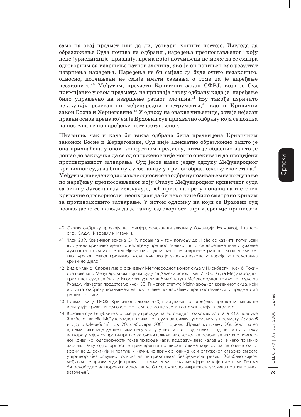само на овај предмет или да ли, уствари, уопште постоје. Изгледа да образложење Суда почива на одбрани "наређења претпостављеног" коју неке јурисдикције признају, према којој потчињени не може да се сматра одговорним за извршење ратног злочина, ако је он почињен као резултат извршења наређења. Наређење не би смјело да буде очито незаконито, односно, потчињени не смије имати сазнања о томе да је наређење незаконито.<sup>40</sup> Међутим, преузети Кривични закон СФРЈ, који је Суд примијенио у овом предмету, не признаје такву одбрану када је наређење било управљено на извршење ратног злочина.<sup>41</sup> Њу такође изричито искључују релевантни међународни инструменти,<sup>42</sup> као и Кривични закон Босне и Херцеговине.<sup>43</sup> У односу на овакве чињенице, остаје нејасан правни основ према којем је Врховни суд прихватио одбрану која се позива на поступање по наређењу претпостављеног.

Штавише, чак и када би таква одбрана била предвиђена Кривичним законом Босне и Херцеговине, Суд није адекватно образложио зашто је oна прихваћена у овом конкретном предмету, нити је објаснио зашто је дошао до закључка да се од оптуженог није могло очекивати да процијени противправност затварања. Суд јесте навео једну одлуку Међународног кривичног суда за бившу Југославију у прилог образложењу свог става.<sup>44</sup> Међутим, наведени одломак не односи се на одбрану позивањем на поступање по наређењу претпостављеног коју Статут Међународног кривичног суда за бившу Југославију искључује, већ прије на врсту понашања и степен кривичне одговорности, неопходан да би неко лице било сматрано кривим за противзаконито затварање. У истом одломку на који се Врховни суд позвао јасно се наводи да је такву одговорност "примјереније приписати

43 Према члану 180.(3) Кривичног закона БиХ, поступање по наређењу претпостављених не искључује кривичну одговорност, али се може узети као олакшавајућа околност.

<sup>40</sup> Овакву одбрану признају, на примјер, релевантни закони у Холандији, Њемачкој, Швајцарској, САД-у, Израелу и Италији.

<sup>41</sup> Члан 239. Кривичног закона СФРЈ предвиђа у том погледу да "Неће се казнити потчињени ако учини кривично дјело по наређењу претпостављеног, а то се наређење тиче службене дужности, осим ако је наређење било управљено на извршење ратног злочина или каквог другог тешког кривичног дјела, или ако је знао да извршење наређења представља кривично дјело."

<sup>42</sup> Види: члан 6. Споразума о оснивању Међународног војног суда у Нирнбергу; члан 6. Токијске повеље о Међународном војном суду за Далеки исток; члан 7.(4) Статута Међународног кривичног суда за бившу Југославију; и члан 6.(4) Статута Међународног кривичног суда за Руанду. Изузетак представља члан 33. Римског статута Међународног кривичног суда, који допушта одбрану позивањем на поступање по наређењу претпостављених у предметима ратних злочина.

<sup>44</sup> Врховни суд Републике Српске је у пресуди навео сљедећи одломак из става 342. пресуде Жалбеног вијећа Међународног кривичног суда за бившу Југославију у предмету *Делалић и други* ("Челебићи"), од 20. фебруара 2001. године: "Према мишљењу Жалбеног вијећ а, сама чињеница да неко има неку улогу у неком својству, колико год незнатну, у раду затвора у којем су противправно заточени цивили, није довољна основа за налаз о примарној кривичној одговорности такве природе какву подразумијева налаз да је неко починио злочин. Такву одговорност је примјереније приписати онима који су за заточење одговорни на директнији и потпунији начин, на примјер, онима који оптуженог стварно смјесте у притвор, без разумног основа да он представља безбједносни ризик... Жалбено вијеће, међутим, не прихвата да је пропуст стражара да предузме мјере за које није овлашћен да би ослободио затворенике довољан да би се сматрао извршењем злочина противправног заточења".